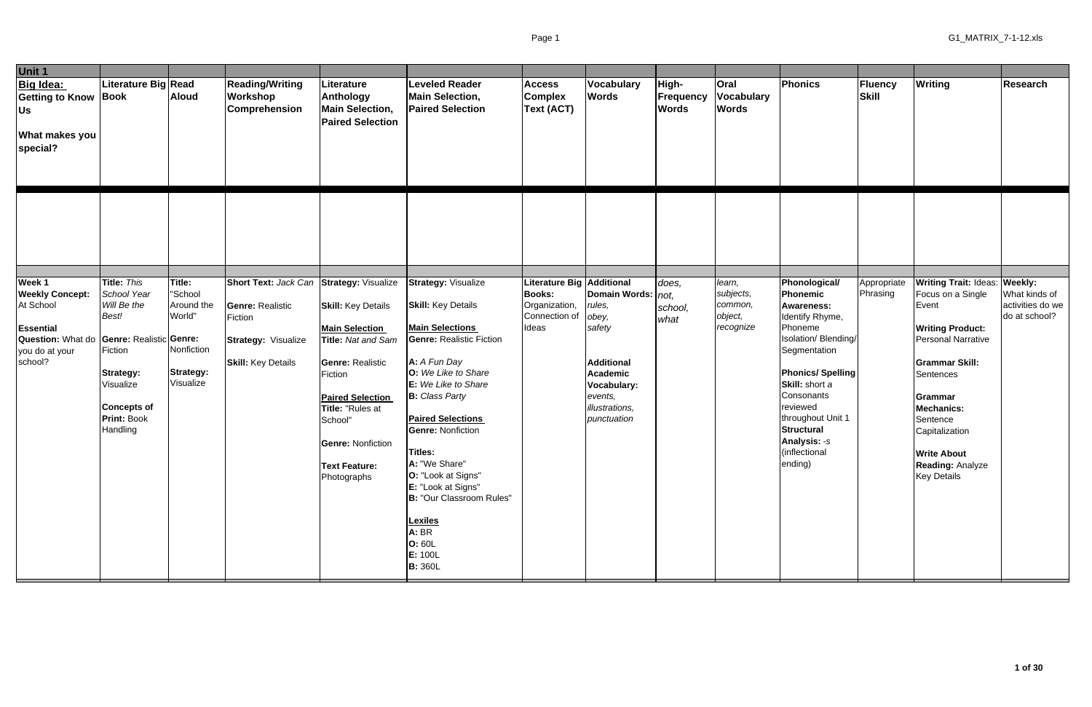| Unit 1                                                                                                                     |                                                                                                                                                                                          |                                                                                          |                                                                                                                                    |                                                                                                                                                                                                                                             |                                                                                                                                                                                                                                                                                                                                                                                                                                           |                                                                                       |                                                                                                                                                 |                                    |                                                        |                                                                                                                                                                                                                                                                                          |                                |                                                                                                                                                                                                                                                                                                       |                                                    |
|----------------------------------------------------------------------------------------------------------------------------|------------------------------------------------------------------------------------------------------------------------------------------------------------------------------------------|------------------------------------------------------------------------------------------|------------------------------------------------------------------------------------------------------------------------------------|---------------------------------------------------------------------------------------------------------------------------------------------------------------------------------------------------------------------------------------------|-------------------------------------------------------------------------------------------------------------------------------------------------------------------------------------------------------------------------------------------------------------------------------------------------------------------------------------------------------------------------------------------------------------------------------------------|---------------------------------------------------------------------------------------|-------------------------------------------------------------------------------------------------------------------------------------------------|------------------------------------|--------------------------------------------------------|------------------------------------------------------------------------------------------------------------------------------------------------------------------------------------------------------------------------------------------------------------------------------------------|--------------------------------|-------------------------------------------------------------------------------------------------------------------------------------------------------------------------------------------------------------------------------------------------------------------------------------------------------|----------------------------------------------------|
| Big Idea:<br><b>Getting to Know Book</b><br>U <sub>s</sub><br><b>What makes you</b><br>special?                            | Literature Big Read                                                                                                                                                                      | <b>Aloud</b>                                                                             | <b>Reading/Writing</b><br>Workshop<br><b>Comprehension</b>                                                                         | Literature<br>Anthology<br><b>Main Selection,</b><br><b>Paired Selection</b>                                                                                                                                                                | <b>Leveled Reader</b><br><b>Main Selection,</b><br><b>Paired Selection</b>                                                                                                                                                                                                                                                                                                                                                                | <b>Access</b><br><b>Complex</b><br><b>Text (ACT)</b>                                  | Vocabulary<br><b>Words</b>                                                                                                                      | High-<br>Frequency<br><b>Words</b> | Oral<br><b>Vocabulary</b><br><b>Words</b>              | Phonics                                                                                                                                                                                                                                                                                  | <b>Fluency</b><br><b>Skill</b> | Writing                                                                                                                                                                                                                                                                                               | Research                                           |
|                                                                                                                            |                                                                                                                                                                                          |                                                                                          |                                                                                                                                    |                                                                                                                                                                                                                                             |                                                                                                                                                                                                                                                                                                                                                                                                                                           |                                                                                       |                                                                                                                                                 |                                    |                                                        |                                                                                                                                                                                                                                                                                          |                                |                                                                                                                                                                                                                                                                                                       |                                                    |
| Week 1<br><b>Weekly Concept:</b><br>At School<br><b>Essential</b><br><b>Question: What do</b><br>you do at your<br>school? | Title: This<br>School Year<br>Will Be the<br>Best!<br><b>Genre: Realistic Genre:</b><br>Fiction<br><b>Strategy:</b><br>Visualize<br><b>Concepts of</b><br><b>Print: Book</b><br>Handling | Title:<br>"School<br>Around the<br>World"<br>Nonfiction<br><b>Strategy:</b><br>Visualize | Short Text: Jack Can Strategy: Visualize<br><b>Genre: Realistic</b><br>Fiction<br>Strategy: Visualize<br><b>Skill:</b> Key Details | <b>Skill:</b> Key Details<br><b>Main Selection</b><br>Title: Nat and Sam<br><b>Genre: Realistic</b><br>Fiction<br><b>Paired Selection</b><br>Title: "Rules at<br>School"<br><b>Genre: Nonfiction</b><br><b>Text Feature:</b><br>Photographs | <b>Strategy: Visualize</b><br><b>Skill:</b> Key Details<br><b>Main Selections</b><br><b>Genre: Realistic Fiction</b><br>A: A Fun Day<br>O: We Like to Share<br>E: We Like to Share<br><b>B:</b> Class Party<br><b>Paired Selections</b><br><b>Genre: Nonfiction</b><br>Titles:<br>A: "We Share"<br>O: "Look at Signs"<br>E: "Look at Signs"<br>B: "Our Classroom Rules"<br><b>Lexiles</b><br>A: BR<br>O: 60L<br>E: 100L<br><b>B:</b> 360L | Literature Big Additional<br><b>Books:</b><br>Organization,<br>Connection of<br>Ideas | Domain Words: $ not$ ,<br>rules,<br>obey,<br>safety<br><b>Additional</b><br>Academic<br>Vocabulary:<br>events,<br>illustrations,<br>punctuation | does,<br>school,<br>what           | learn,<br>subjects,<br>common,<br>object,<br>recognize | Phonological/<br>Phonemic<br><b>Awareness:</b><br>Identify Rhyme,<br>Phoneme<br>Isolation/ Blending/<br>Segmentation<br><b>Phonics/Spelling</b><br>Skill: short a<br>Consonants<br>reviewed<br>throughout Unit 1<br><b>Structural</b><br><b>Analysis: -s</b><br>(inflectional<br>ending) | Appropriate<br>Phrasing        | <b>Writing Trait: Ideas: Weekly:</b><br>Focus on a Single<br>Event<br><b>Writing Product:</b><br><b>Personal Narrative</b><br><b>Grammar Skill:</b><br>Sentences<br>Grammar<br><b>Mechanics:</b><br>Sentence<br>Capitalization<br><b>Write About</b><br><b>Reading: Analyze</b><br><b>Key Details</b> | What kinds of<br>activities do we<br>do at school? |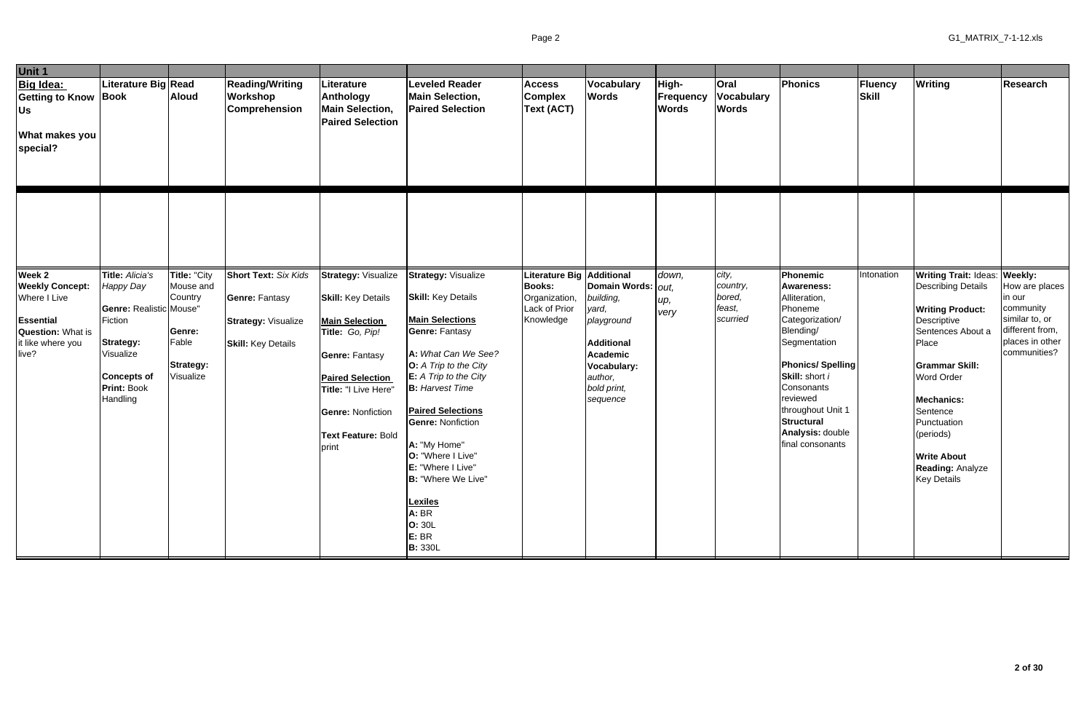| Unit 1                                                                                                                         |                                                                                                                                                                    |                                                                                          |                                                                                                                 |                                                                                                                                                                                                                                                   |                                                                                                                                                                                                                                                                                                                                                                                                                                       |                                                                                           |                                                                                                                                                |                                    |                                                   |                                                                                                                                                                                                                                                                    |                                |                                                                                                                                                                                                                                                                                                                      |                                                                                                               |
|--------------------------------------------------------------------------------------------------------------------------------|--------------------------------------------------------------------------------------------------------------------------------------------------------------------|------------------------------------------------------------------------------------------|-----------------------------------------------------------------------------------------------------------------|---------------------------------------------------------------------------------------------------------------------------------------------------------------------------------------------------------------------------------------------------|---------------------------------------------------------------------------------------------------------------------------------------------------------------------------------------------------------------------------------------------------------------------------------------------------------------------------------------------------------------------------------------------------------------------------------------|-------------------------------------------------------------------------------------------|------------------------------------------------------------------------------------------------------------------------------------------------|------------------------------------|---------------------------------------------------|--------------------------------------------------------------------------------------------------------------------------------------------------------------------------------------------------------------------------------------------------------------------|--------------------------------|----------------------------------------------------------------------------------------------------------------------------------------------------------------------------------------------------------------------------------------------------------------------------------------------------------------------|---------------------------------------------------------------------------------------------------------------|
| Big Idea:<br><b>Getting to Know Book</b><br>Us<br><b>What makes you</b><br>special?                                            | Literature Big Read                                                                                                                                                | <b>Aloud</b>                                                                             | <b>Reading/Writing</b><br><b>Workshop</b><br>Comprehension                                                      | Literature<br>Anthology<br><b>Main Selection,</b><br><b>Paired Selection</b>                                                                                                                                                                      | <b>Leveled Reader</b><br><b>Main Selection,</b><br><b>Paired Selection</b>                                                                                                                                                                                                                                                                                                                                                            | <b>Access</b><br><b>Complex</b><br>Text (ACT)                                             | Vocabulary<br><b>Words</b>                                                                                                                     | High-<br>Frequency<br><b>Words</b> | <b>Oral</b><br><b>Vocabulary</b><br><b>Words</b>  | Phonics                                                                                                                                                                                                                                                            | <b>Fluency</b><br><b>Skill</b> | Writing                                                                                                                                                                                                                                                                                                              | Research                                                                                                      |
|                                                                                                                                |                                                                                                                                                                    |                                                                                          |                                                                                                                 |                                                                                                                                                                                                                                                   |                                                                                                                                                                                                                                                                                                                                                                                                                                       |                                                                                           |                                                                                                                                                |                                    |                                                   |                                                                                                                                                                                                                                                                    |                                |                                                                                                                                                                                                                                                                                                                      |                                                                                                               |
| Week 2<br><b>Weekly Concept:</b><br>Where I Live<br><b>Essential</b><br><b>Question: What is</b><br>it like where you<br>live? | Title: Alicia's<br><b>Happy Day</b><br>Genre: Realistic Mouse"<br>Fiction<br><b>Strategy:</b><br>Visualize<br><b>Concepts of</b><br><b>Print: Book</b><br>Handling | Title: "City<br>Mouse and<br>Country<br>Genre:<br>Fable<br><b>Strategy:</b><br>Visualize | <b>Short Text: Six Kids</b><br><b>Genre: Fantasy</b><br><b>Strategy: Visualize</b><br><b>Skill:</b> Key Details | <b>Strategy: Visualize</b><br><b>Skill:</b> Key Details<br><b>Main Selection</b><br>Title: Go, Pip!<br><b>Genre: Fantasy</b><br><b>Paired Selection</b><br>Title: "I Live Here"<br><b>Genre: Nonfiction</b><br><b>Text Feature: Bold</b><br>print | <b>Strategy: Visualize</b><br><b>Skill:</b> Key Details<br><b>Main Selections</b><br><b>Genre: Fantasy</b><br>A: What Can We See?<br><b>O:</b> A Trip to the City<br>$E: A$ Trip to the City<br><b>B:</b> Harvest Time<br><b>Paired Selections</b><br><b>Genre: Nonfiction</b><br>A: "My Home"<br>O: "Where I Live"<br>E: "Where I Live"<br><b>B:</b> "Where We Live"<br><b>Lexiles</b><br>A: BR<br>O: 30L<br>E: BR<br><b>B: 330L</b> | Literature Big Additional<br><b>Books:</b><br>Organization,<br>Lack of Prior<br>Knowledge | Domain Words:   out,<br>building,<br>yard,<br>playground<br><b>Additional</b><br>Academic<br>Vocabulary:<br>author,<br>bold print,<br>sequence | down,<br>up,<br>very               | city,<br>country,<br>bored,<br>feast,<br>scurried | Phonemic<br><b>Awareness:</b><br>Alliteration,<br>Phoneme<br>Categorization/<br>Blending/<br>Segmentation<br><b>Phonics/Spelling</b><br>Skill: short i<br>Consonants<br>reviewed<br>throughout Unit 1<br><b>Structural</b><br>Analysis: double<br>final consonants | Intonation                     | Writing Trait: Ideas: Weekly:<br><b>Describing Details</b><br><b>Writing Product:</b><br>Descriptive<br>Sentences About a<br>Place<br><b>Grammar Skill:</b><br><b>Word Order</b><br><b>Mechanics:</b><br>Sentence<br>Punctuation<br>(periods)<br><b>Write About</b><br><b>Reading: Analyze</b><br><b>Key Details</b> | How are places<br>in our<br>community<br>similar to, or<br>different from,<br>places in other<br>communities? |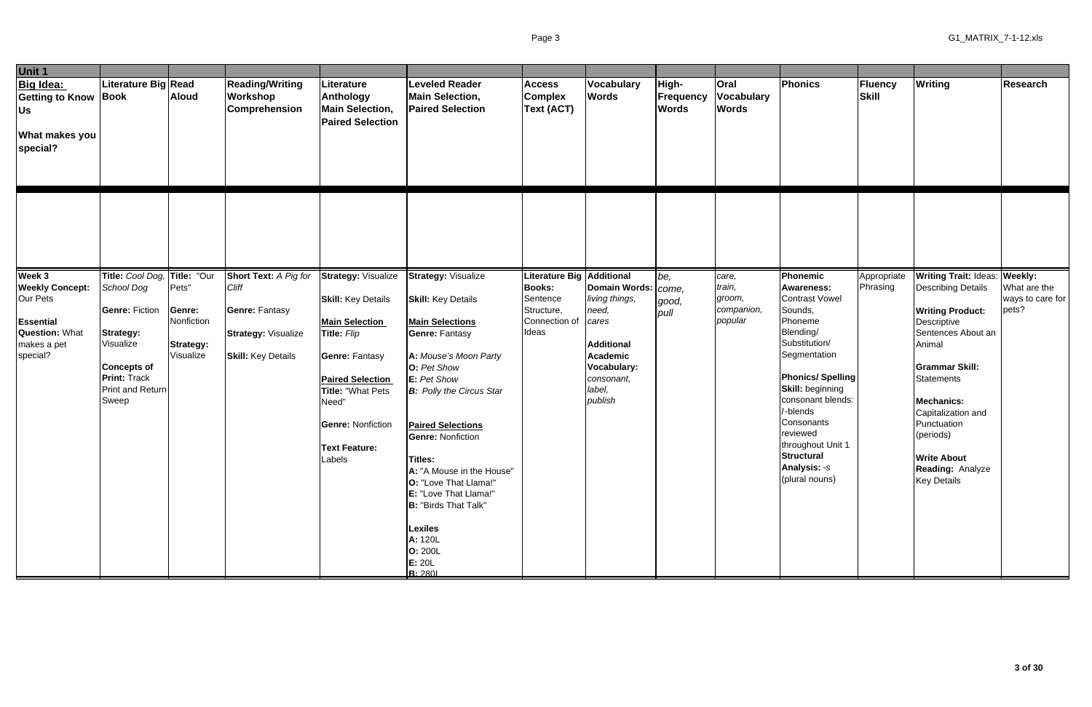| Unit 1                                                                                                               |                                                                                                                                                                         |                                                         |                                                                                                                    |                                                                                                                                                                                                                                          |                                                                                                                                                                                                                                                                                                                                                                                                                                                           |                                                                                            |                                                                                                                                                                          |                                           |                                                    |                                                                                                                                                                                                                                                                                                                               |                         |                                                                                                                                                                                                                                                                                                                                         |                                           |
|----------------------------------------------------------------------------------------------------------------------|-------------------------------------------------------------------------------------------------------------------------------------------------------------------------|---------------------------------------------------------|--------------------------------------------------------------------------------------------------------------------|------------------------------------------------------------------------------------------------------------------------------------------------------------------------------------------------------------------------------------------|-----------------------------------------------------------------------------------------------------------------------------------------------------------------------------------------------------------------------------------------------------------------------------------------------------------------------------------------------------------------------------------------------------------------------------------------------------------|--------------------------------------------------------------------------------------------|--------------------------------------------------------------------------------------------------------------------------------------------------------------------------|-------------------------------------------|----------------------------------------------------|-------------------------------------------------------------------------------------------------------------------------------------------------------------------------------------------------------------------------------------------------------------------------------------------------------------------------------|-------------------------|-----------------------------------------------------------------------------------------------------------------------------------------------------------------------------------------------------------------------------------------------------------------------------------------------------------------------------------------|-------------------------------------------|
| Big Idea:<br><b>Getting to Know Book</b><br>Us<br><b>What makes you</b><br>special?                                  | Literature Big Read                                                                                                                                                     | <b>Aloud</b>                                            | <b>Reading/Writing</b><br>Workshop<br><b>Comprehension</b>                                                         | Literature<br>Anthology<br><b>Main Selection,</b><br><b>Paired Selection</b>                                                                                                                                                             | <b>Leveled Reader</b><br><b>Main Selection,</b><br><b>Paired Selection</b>                                                                                                                                                                                                                                                                                                                                                                                | <b>Access</b><br><b>Complex</b><br>Text (ACT)                                              | Vocabulary<br><b>Words</b>                                                                                                                                               | High-<br><b>Frequency</b><br><b>Words</b> | <b>Oral</b><br><b>Vocabulary</b><br><b>Words</b>   | Phonics                                                                                                                                                                                                                                                                                                                       | Fluency<br><b>Skill</b> | <b>Writing</b>                                                                                                                                                                                                                                                                                                                          | Research                                  |
|                                                                                                                      |                                                                                                                                                                         |                                                         |                                                                                                                    |                                                                                                                                                                                                                                          |                                                                                                                                                                                                                                                                                                                                                                                                                                                           |                                                                                            |                                                                                                                                                                          |                                           |                                                    |                                                                                                                                                                                                                                                                                                                               |                         |                                                                                                                                                                                                                                                                                                                                         |                                           |
| Week 3<br><b>Weekly Concept:</b><br>Our Pets<br><b>Essential</b><br><b>Question: What</b><br>makes a pet<br>special? | Title: Cool Dog, Title: "Our<br>School Dog<br><b>Genre: Fiction</b><br>Strategy:<br>Visualize<br><b>Concepts of</b><br><b>Print: Track</b><br>Print and Return<br>Sweep | Pets"<br>Genre:<br>Nonfiction<br>Strategy:<br>Visualize | Short Text: A Pig for<br>Cliff<br><b>Genre: Fantasy</b><br><b>Strategy: Visualize</b><br><b>Skill:</b> Key Details | <b>Strategy: Visualize</b><br><b>Skill:</b> Key Details<br><b>Main Selection</b><br>Title: Flip<br><b>Genre: Fantasy</b><br><b>Paired Selection</b><br>Title: "What Pets<br>Need"<br><b>Genre: Nonfiction</b><br>Text Feature:<br>Labels | <b>Strategy: Visualize</b><br><b>Skill:</b> Key Details<br><b>Main Selections</b><br><b>Genre: Fantasy</b><br>A: Mouse's Moon Party<br>O: Pet Show<br>E: Pet Show<br><b>B:</b> Polly the Circus Star<br><b>Paired Selections</b><br><b>Genre: Nonfiction</b><br>Titles:<br>A: "A Mouse in the House"<br>O: "Love That Llama!"<br>E: "Love That Llama!"<br><b>B: "Birds That Talk"</b><br><b>Lexiles</b><br>A: 120L<br><b>O: 200L</b><br>E: 20L<br>B: 2801 | <b>Literature Big</b><br><b>Books:</b><br>Sentence<br>Structure,<br>Connection of<br>Ideas | <b>Additional</b><br>Domain Words:   come,<br>living things,<br>need,<br>cares<br><b>Additional</b><br><b>Academic</b><br>Vocabulary:<br>consonant,<br>label,<br>publish | be,<br>good,<br>pull                      | care,<br>train,<br>groom,<br>companion,<br>popular | Phonemic<br><b>Awareness:</b><br><b>Contrast Vowel</b><br>Sounds,<br>Phoneme<br>Blending/<br>Substitution/<br>Segmentation<br><b>Phonics/Spelling</b><br><b>Skill: beginning</b><br>consonant blends:<br>-blends<br>Consonants<br>reviewed<br>throughout Unit 1<br><b>Structural</b><br><b>Analysis: -s</b><br>(plural nouns) | Appropriate<br>Phrasing | <b>Writing Trait: Ideas: Weekly:</b><br><b>Describing Details</b><br><b>Writing Product:</b><br>Descriptive<br>Sentences About an<br>Animal<br><b>Grammar Skill:</b><br><b>Statements</b><br><b>Mechanics:</b><br>Capitalization and<br>Punctuation<br>(periods)<br><b>Write About</b><br><b>Reading: Analyze</b><br><b>Key Details</b> | What are the<br>ways to care for<br>pets? |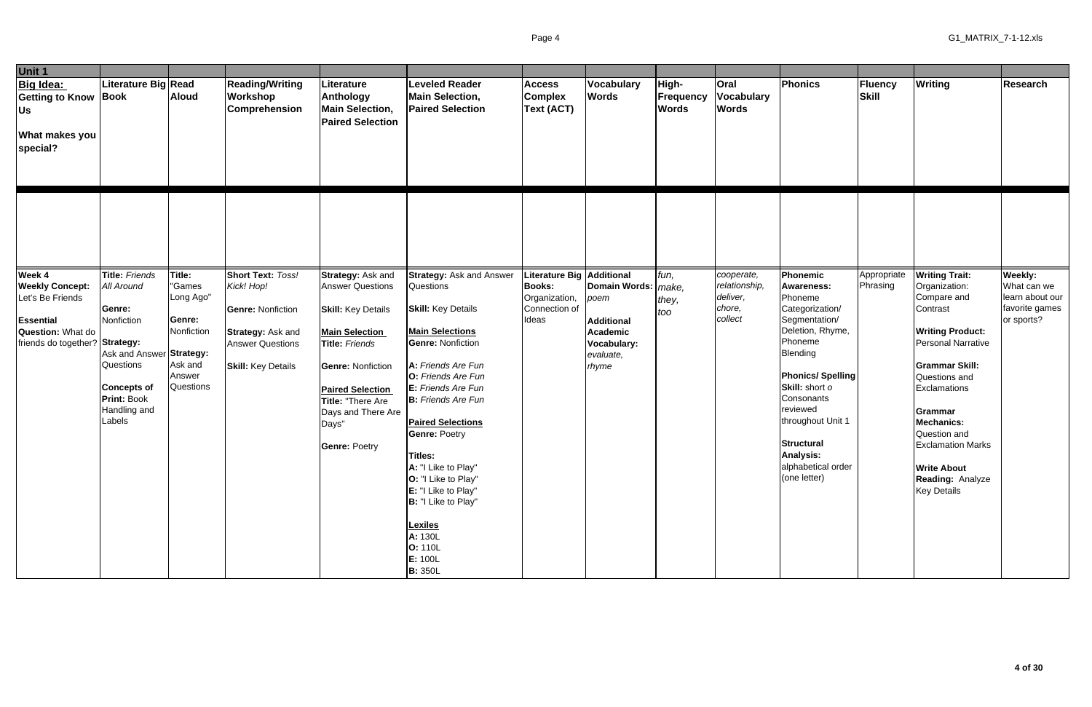| Unit 1                                                                                                                          |                                                                                                                                                                                   |                                                                                                |                                                                                                                                                 |                                                                                                                                                                                                                                                         |                                                                                                                                                                                                                                                                                                                                                                                                                                                                |                                                                                              |                                                                                                     |                                           |                                                              |                                                                                                                                                                                                                                                                                                    |                                |                                                                                                                                                                                                                                                                                                                                        |                                                                                  |
|---------------------------------------------------------------------------------------------------------------------------------|-----------------------------------------------------------------------------------------------------------------------------------------------------------------------------------|------------------------------------------------------------------------------------------------|-------------------------------------------------------------------------------------------------------------------------------------------------|---------------------------------------------------------------------------------------------------------------------------------------------------------------------------------------------------------------------------------------------------------|----------------------------------------------------------------------------------------------------------------------------------------------------------------------------------------------------------------------------------------------------------------------------------------------------------------------------------------------------------------------------------------------------------------------------------------------------------------|----------------------------------------------------------------------------------------------|-----------------------------------------------------------------------------------------------------|-------------------------------------------|--------------------------------------------------------------|----------------------------------------------------------------------------------------------------------------------------------------------------------------------------------------------------------------------------------------------------------------------------------------------------|--------------------------------|----------------------------------------------------------------------------------------------------------------------------------------------------------------------------------------------------------------------------------------------------------------------------------------------------------------------------------------|----------------------------------------------------------------------------------|
| <b>Big Idea:</b><br><b>Getting to Know Book</b><br>Us<br><b>What makes you</b><br>special?                                      | Literature Big Read                                                                                                                                                               | <b>Aloud</b>                                                                                   | <b>Reading/Writing</b><br>Workshop<br><b>Comprehension</b>                                                                                      | Literature<br>Anthology<br><b>Main Selection,</b><br><b>Paired Selection</b>                                                                                                                                                                            | <b>Leveled Reader</b><br><b>Main Selection,</b><br><b>Paired Selection</b>                                                                                                                                                                                                                                                                                                                                                                                     | <b>Access</b><br><b>Complex</b><br>Text (ACT)                                                | Vocabulary<br><b>Words</b>                                                                          | High-<br><b>Frequency</b><br><b>Words</b> | Oral<br><b>Vocabulary</b><br><b>Words</b>                    | <b>Phonics</b>                                                                                                                                                                                                                                                                                     | <b>Fluency</b><br><b>Skill</b> | Writing                                                                                                                                                                                                                                                                                                                                | <b>Research</b>                                                                  |
|                                                                                                                                 |                                                                                                                                                                                   |                                                                                                |                                                                                                                                                 |                                                                                                                                                                                                                                                         |                                                                                                                                                                                                                                                                                                                                                                                                                                                                |                                                                                              |                                                                                                     |                                           |                                                              |                                                                                                                                                                                                                                                                                                    |                                |                                                                                                                                                                                                                                                                                                                                        |                                                                                  |
| Week 4<br><b>Weekly Concept:</b><br>Let's Be Friends<br>Essential<br><b>Question: What do</b><br>friends do together? Strategy: | Title: Friends<br><b>All Around</b><br>Genre:<br>Nonfiction<br>Ask and Answer Strategy:<br><b>Questions</b><br><b>Concepts of</b><br><b>Print: Book</b><br>Handling and<br>Labels | Title:<br>"Games<br>Long Ago"<br>Genre:<br>Nonfiction<br>Ask and<br>Answer<br><b>Questions</b> | <b>Short Text: Toss!</b><br>Kick! Hop!<br><b>Genre: Nonfiction</b><br>Strategy: Ask and<br><b>Answer Questions</b><br><b>Skill:</b> Key Details | Strategy: Ask and<br><b>Answer Questions</b><br><b>Skill:</b> Key Details<br><b>Main Selection</b><br>Title: Friends<br><b>Genre: Nonfiction</b><br><b>Paired Selection</b><br>Title: "There Are<br>Days and There Are<br>Days"<br><b>Genre: Poetry</b> | <b>Strategy: Ask and Answer</b><br>Questions<br><b>Skill:</b> Key Details<br><b>Main Selections</b><br><b>Genre: Nonfiction</b><br>A: Friends Are Fun<br>O: Friends Are Fun<br>E: Friends Are Fun<br><b>B:</b> Friends Are Fun<br><b>Paired Selections</b><br><b>Genre: Poetry</b><br>Titles:<br>A: "I Like to Play"<br>O: "I Like to Play"<br>E: "I Like to Play"<br>B: "I Like to Play"<br><b>Lexiles</b><br>A: 130L<br>O: 110L<br>E: 100L<br><b>B:</b> 350L | <b>Literature Big Additional</b><br><b>Books:</b><br>Organization,<br>Connection of<br>Ideas | Domain Words:   make,<br>poem<br><b>Additional</b><br>Academic<br>Vocabulary:<br>evaluate,<br>rhyme | fun,<br>they,<br>too                      | cooperate,<br>relationship,<br>deliver,<br>chore,<br>collect | Phonemic<br><b>Awareness:</b><br>Phoneme<br>Categorization/<br>Segmentation/<br>Deletion, Rhyme,<br>Phoneme<br>Blending<br><b>Phonics/Spelling</b><br>Skill: short o<br>Consonants<br>reviewed<br>throughout Unit 1<br><b>Structural</b><br><b>Analysis:</b><br>alphabetical order<br>(one letter) | Appropriate<br>Phrasing        | <b>Writing Trait:</b><br>Organization:<br>Compare and<br>Contrast<br><b>Writing Product:</b><br><b>Personal Narrative</b><br><b>Grammar Skill:</b><br>Questions and<br>Exclamations<br>Grammar<br><b>Mechanics:</b><br>Question and<br><b>Exclamation Marks</b><br><b>Write About</b><br><b>Reading: Analyze</b><br><b>Key Details</b> | <b>Weekly:</b><br>What can we<br>learn about our<br>favorite games<br>or sports? |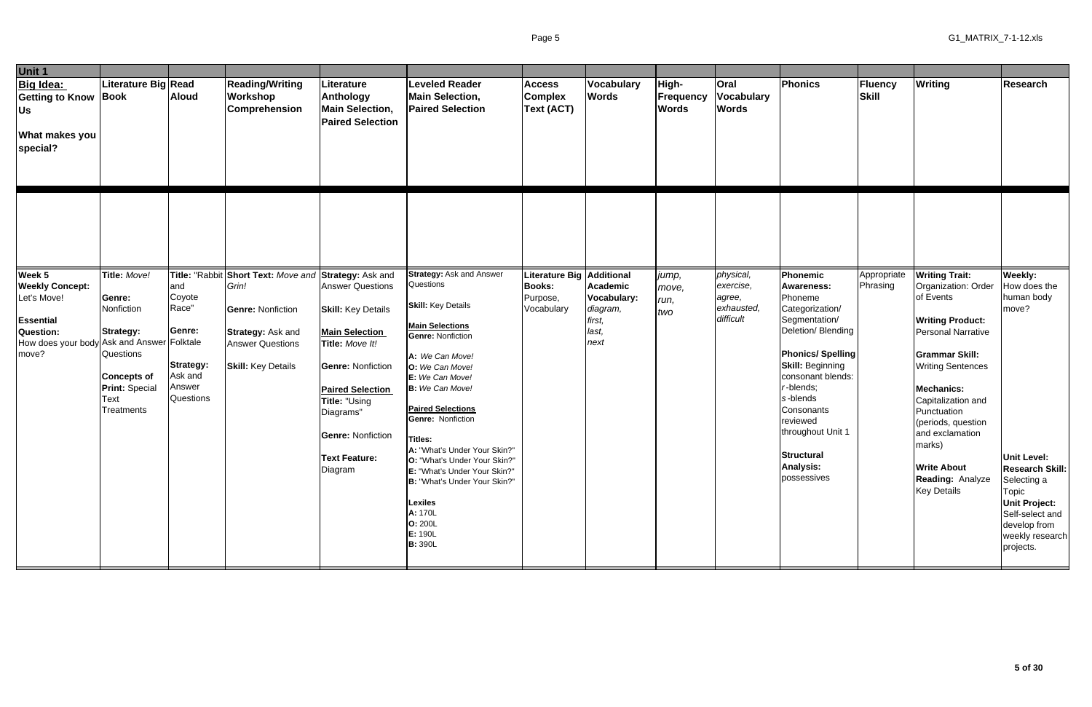| <b>Unit 1</b>                                                                                                                    |                                                                                                                                                   |                                                                                                          |                                                                                                                                                          |                                                                                                                                                                                                                                                      |                                                                                                                                                                                                                                                                                                                                                                                                                                                                                                   |                                                           |                                                                                     |                                    |                                                             |                                                                                                                                                                                                                                                                                                                  |                                |                                                                                                                                                                                                                                                                                                                                                            |                                                                                                                                                                                                                   |
|----------------------------------------------------------------------------------------------------------------------------------|---------------------------------------------------------------------------------------------------------------------------------------------------|----------------------------------------------------------------------------------------------------------|----------------------------------------------------------------------------------------------------------------------------------------------------------|------------------------------------------------------------------------------------------------------------------------------------------------------------------------------------------------------------------------------------------------------|---------------------------------------------------------------------------------------------------------------------------------------------------------------------------------------------------------------------------------------------------------------------------------------------------------------------------------------------------------------------------------------------------------------------------------------------------------------------------------------------------|-----------------------------------------------------------|-------------------------------------------------------------------------------------|------------------------------------|-------------------------------------------------------------|------------------------------------------------------------------------------------------------------------------------------------------------------------------------------------------------------------------------------------------------------------------------------------------------------------------|--------------------------------|------------------------------------------------------------------------------------------------------------------------------------------------------------------------------------------------------------------------------------------------------------------------------------------------------------------------------------------------------------|-------------------------------------------------------------------------------------------------------------------------------------------------------------------------------------------------------------------|
| <b>Big Idea:</b><br><b>Getting to Know Book</b><br><b>Us</b><br><b>What makes you</b><br>special?                                | Literature Big Read                                                                                                                               | <b>Aloud</b>                                                                                             | <b>Reading/Writing</b><br><b>Workshop</b><br><b>Comprehension</b>                                                                                        | Literature<br>Anthology<br><b>Main Selection,</b><br><b>Paired Selection</b>                                                                                                                                                                         | <b>Leveled Reader</b><br><b>Main Selection,</b><br><b>Paired Selection</b>                                                                                                                                                                                                                                                                                                                                                                                                                        | <b>Access</b><br><b>Complex</b><br>Text (ACT)             | Vocabulary<br><b>Words</b>                                                          | High-<br>Frequency<br><b>Words</b> | Oral<br><b>Vocabulary</b><br><b>Words</b>                   | Phonics                                                                                                                                                                                                                                                                                                          | <b>Fluency</b><br><b>Skill</b> | Writing                                                                                                                                                                                                                                                                                                                                                    | Research                                                                                                                                                                                                          |
|                                                                                                                                  |                                                                                                                                                   |                                                                                                          |                                                                                                                                                          |                                                                                                                                                                                                                                                      |                                                                                                                                                                                                                                                                                                                                                                                                                                                                                                   |                                                           |                                                                                     |                                    |                                                             |                                                                                                                                                                                                                                                                                                                  |                                |                                                                                                                                                                                                                                                                                                                                                            |                                                                                                                                                                                                                   |
| Week 5<br><b>Weekly Concept:</b><br>Let's Move!<br>Essential<br>Question:<br>How does your body Ask and Answer Folktale<br>move? | Title: Move!<br>Genre:<br>Nonfiction<br><b>Strategy:</b><br><b>Questions</b><br><b>Concepts of</b><br><b>Print: Special</b><br>Text<br>Treatments | Title: "Rabbit<br>and<br>Coyote<br>Race"<br>Genre:<br><b>Strategy:</b><br>Ask and<br>Answer<br>Questions | Short Text: Move and Strategy: Ask and<br>Grin!<br><b>Genre: Nonfiction</b><br>Strategy: Ask and<br><b>Answer Questions</b><br><b>Skill:</b> Key Details | <b>Answer Questions</b><br><b>Skill:</b> Key Details<br><b>Main Selection</b><br>Title: Move It!<br><b>Genre: Nonfiction</b><br><b>Paired Selection</b><br>Title: "Using<br>Diagrams"<br><b>Genre: Nonfiction</b><br><b>Text Feature:</b><br>Diagram | <b>Strategy: Ask and Answer</b><br>Questions<br><b>Skill:</b> Key Details<br><b>Main Selections</b><br><b>Genre: Nonfiction</b><br>A: We Can Move!<br>O: We Can Move!<br>E: We Can Move!<br><b>B:</b> We Can Move!<br><b>Paired Selections</b><br><b>Genre: Nonfiction</b><br><b>Titles:</b><br>A: "What's Under Your Skin?"<br>O: "What's Under Your Skin?"<br>E: "What's Under Your Skin?"<br>B: "What's Under Your Skin?"<br><b>Lexiles</b><br>A: 170L<br>O: 200L<br>E: 190L<br><b>B: 390L</b> | Literature Big<br><b>Books:</b><br>Purpose,<br>Vocabulary | <b>Additional</b><br>Academic<br>Vocabulary:<br>diagram,<br>first,<br>last,<br>next | jump,<br>move,<br>run,<br>two      | physical,<br>exercise,<br>agree,<br>exhausted,<br>difficult | Phonemic<br><b>Awareness:</b><br>Phoneme<br>Categorization/<br>Segmentation/<br>Deletion/ Blending<br><b>Phonics/Spelling</b><br><b>Skill: Beginning</b><br>consonant blends:<br>$r$ -blends;<br>s-blends<br>Consonants<br>reviewed<br>throughout Unit 1<br><b>Structural</b><br><b>Analysis:</b><br>possessives | Appropriate<br>Phrasing        | <b>Writing Trait:</b><br>Organization: Order<br>of Events<br><b>Writing Product:</b><br><b>Personal Narrative</b><br><b>Grammar Skill:</b><br><b>Writing Sentences</b><br><b>Mechanics:</b><br>Capitalization and<br>Punctuation<br>(periods, question<br>and exclamation<br>marks)<br><b>Write About</b><br><b>Reading: Analyze</b><br><b>Key Details</b> | Weekly:<br>How does the<br>human body<br>move?<br><b>Unit Level:</b><br><b>Research Skill:</b><br>Selecting a<br>Topic<br><b>Unit Project:</b><br>Self-select and<br>develop from<br>weekly research<br>projects. |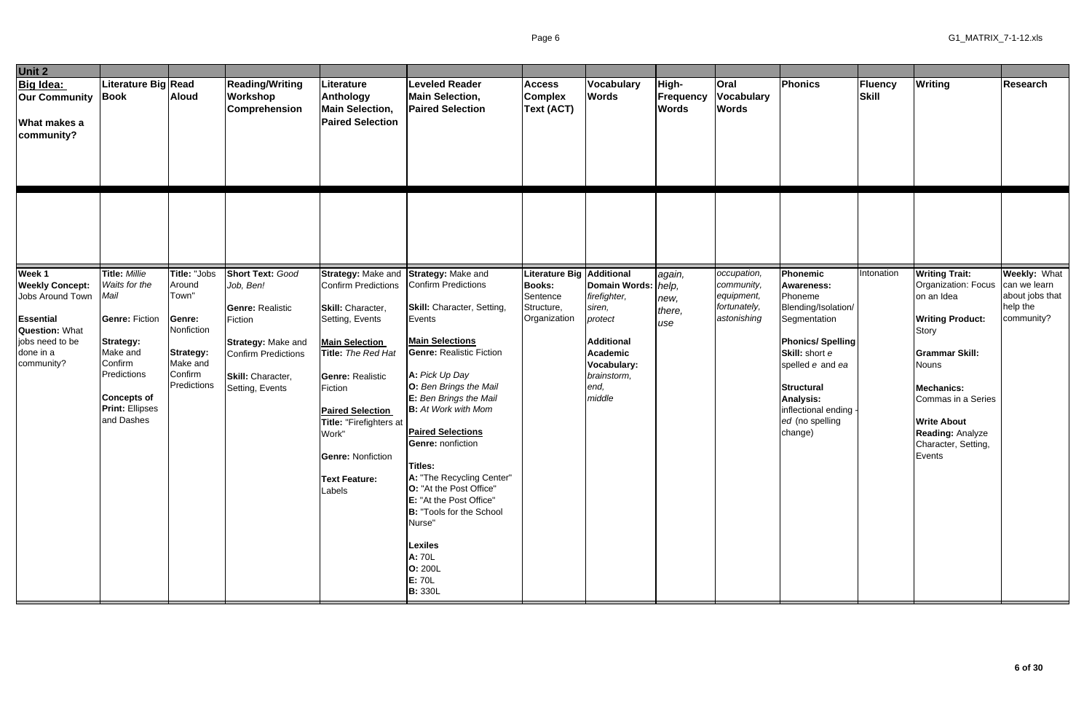| Unit 2                                                                                                                                          |                                                                                                                                                                                                |                                                                                                                   |                                                                                                                                                                               |                                                                                                                                                                                                                                                                                                                        |                                                                                                                                                                                                                                                                                                                                                                                                                                                                                                                         |                                                                                  |                                                                                                                                                                               |                                           |                                                                        |                                                                                                                                                                                                                                                  |                         |                                                                                                                                                                                                                                                               |                                                                                  |
|-------------------------------------------------------------------------------------------------------------------------------------------------|------------------------------------------------------------------------------------------------------------------------------------------------------------------------------------------------|-------------------------------------------------------------------------------------------------------------------|-------------------------------------------------------------------------------------------------------------------------------------------------------------------------------|------------------------------------------------------------------------------------------------------------------------------------------------------------------------------------------------------------------------------------------------------------------------------------------------------------------------|-------------------------------------------------------------------------------------------------------------------------------------------------------------------------------------------------------------------------------------------------------------------------------------------------------------------------------------------------------------------------------------------------------------------------------------------------------------------------------------------------------------------------|----------------------------------------------------------------------------------|-------------------------------------------------------------------------------------------------------------------------------------------------------------------------------|-------------------------------------------|------------------------------------------------------------------------|--------------------------------------------------------------------------------------------------------------------------------------------------------------------------------------------------------------------------------------------------|-------------------------|---------------------------------------------------------------------------------------------------------------------------------------------------------------------------------------------------------------------------------------------------------------|----------------------------------------------------------------------------------|
| <b>Big Idea:</b><br><b>Our Community Book</b><br>What makes a<br>community?                                                                     | Literature Big Read                                                                                                                                                                            | <b>Aloud</b>                                                                                                      | <b>Reading/Writing</b><br>Workshop<br><b>Comprehension</b>                                                                                                                    | Literature<br>Anthology<br><b>Main Selection,</b><br><b>Paired Selection</b>                                                                                                                                                                                                                                           | <b>Leveled Reader</b><br><b>Main Selection,</b><br><b>Paired Selection</b>                                                                                                                                                                                                                                                                                                                                                                                                                                              | <b>Access</b><br><b>Complex</b><br>Text (ACT)                                    | Vocabulary<br><b>Words</b>                                                                                                                                                    | High-<br><b>Frequency</b><br><b>Words</b> | <b>Oral</b><br><b>Vocabulary</b><br><b>Words</b>                       | Phonics                                                                                                                                                                                                                                          | Fluency<br><b>Skill</b> | <b>Writing</b>                                                                                                                                                                                                                                                | <b>Research</b>                                                                  |
|                                                                                                                                                 |                                                                                                                                                                                                |                                                                                                                   |                                                                                                                                                                               |                                                                                                                                                                                                                                                                                                                        |                                                                                                                                                                                                                                                                                                                                                                                                                                                                                                                         |                                                                                  |                                                                                                                                                                               |                                           |                                                                        |                                                                                                                                                                                                                                                  |                         |                                                                                                                                                                                                                                                               |                                                                                  |
| Week 1<br><b>Weekly Concept:</b><br>Jobs Around Town<br><b>Essential</b><br><b>Question: What</b><br>jobs need to be<br>done in a<br>community? | <b>Title: Millie</b><br>Waits for the<br>Mail<br><b>Genre: Fiction</b><br><b>Strategy:</b><br>Make and<br>Confirm<br>Predictions<br><b>Concepts of</b><br><b>Print: Ellipses</b><br>and Dashes | Title: "Jobs<br>Around<br>Town"<br>Genre:<br>Nonfiction<br><b>Strategy:</b><br>Make and<br>Confirm<br>Predictions | <b>Short Text: Good</b><br>Job, Ben!<br><b>Genre: Realistic</b><br>Fiction<br><b>Strategy: Make and</b><br><b>Confirm Predictions</b><br>Skill: Character,<br>Setting, Events | Strategy: Make and Strategy: Make and<br>Confirm Predictions<br>Skill: Character,<br>Setting, Events<br><b>Main Selection</b><br>Title: The Red Hat<br><b>Genre: Realistic</b><br>Fiction<br><b>Paired Selection</b><br>Title: "Firefighters at<br>Work"<br><b>Genre: Nonfiction</b><br><b>Text Feature:</b><br>Labels | Confirm Predictions<br><b>Skill:</b> Character, Setting,<br>Events<br><b>Main Selections</b><br><b>Genre: Realistic Fiction</b><br>A: Pick Up Day<br>O: Ben Brings the Mail<br>E: Ben Brings the Mail<br><b>B:</b> At Work with Mom<br><b>Paired Selections</b><br><b>Genre: nonfiction</b><br>Titles:<br>A: "The Recycling Center"<br>O: "At the Post Office"<br><b>E:</b> "At the Post Office"<br><b>B:</b> "Tools for the School<br>Nurse"<br><b>Lexiles</b><br>A: 70L<br><b>O: 200L</b><br>E: 70L<br><b>B: 330L</b> | <b>Literature Big</b><br><b>Books:</b><br>Sentence<br>Structure,<br>Organization | <b>Additional</b><br>Domain Words: <i>help</i> ,<br>firefighter,<br>siren,<br>protect<br><b>Additional</b><br><b>Academic</b><br>Vocabulary:<br>brainstorm,<br>end,<br>middle | again,<br>new,<br>there,<br>use           | occupation,<br>community,<br>equipment,<br>fortunately,<br>astonishing | Phonemic<br><b>Awareness:</b><br>Phoneme<br>Blending/Isolation/<br>Segmentation<br><b>Phonics/Spelling</b><br>Skill: short e<br>spelled e and ea<br><b>Structural</b><br><b>Analysis:</b><br>inflectional ending -<br>ed (no spelling<br>change) | Intonation              | <b>Writing Trait:</b><br>Organization: Focus<br>on an Idea<br><b>Writing Product:</b><br>Story<br><b>Grammar Skill:</b><br><b>Nouns</b><br><b>Mechanics:</b><br>Commas in a Series<br><b>Write About</b><br>Reading: Analyze<br>Character, Setting,<br>Events | <b>Weekly: What</b><br>can we learn<br>about jobs that<br>help the<br>community? |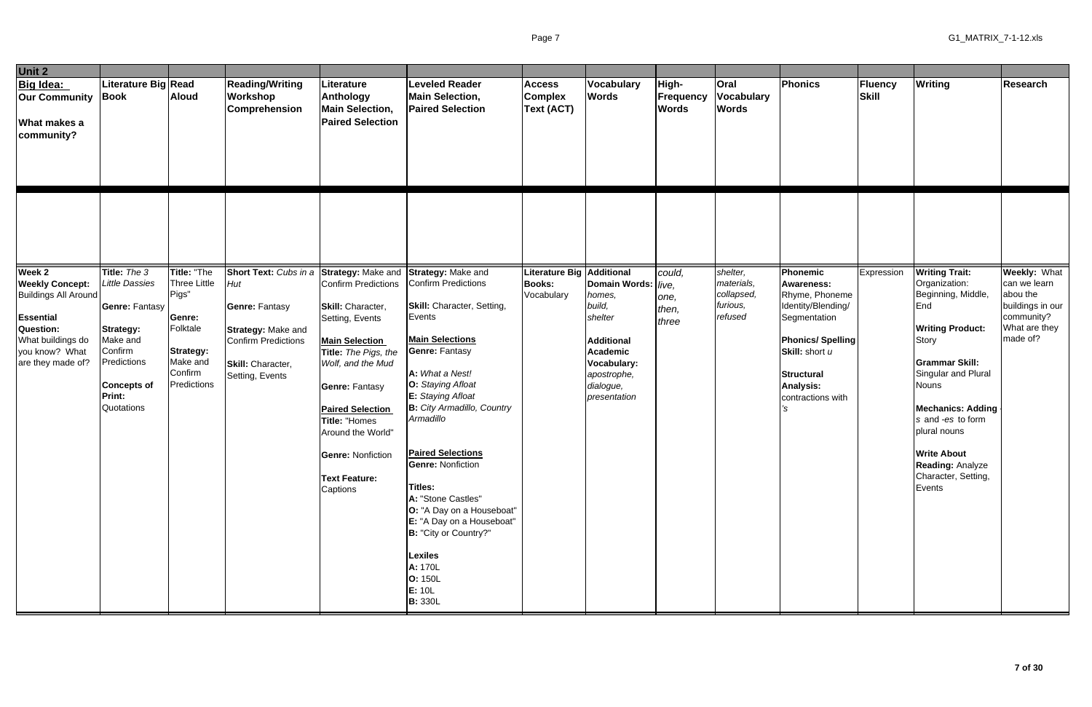| Unit 2                                                                                                            |                                                                                                                                                 |                                                                                |                                                                                                                          |                                                                                                                                                                                                                                                                      |                                                                                                                                                                                                                                                                                                                                                                                                                                                                                    |                                               |                                                                                                                                       |                                           |                                                  |                                                                                                                                                          |                         |                                                                                                                                                                                                                                                                                  |                                                                         |
|-------------------------------------------------------------------------------------------------------------------|-------------------------------------------------------------------------------------------------------------------------------------------------|--------------------------------------------------------------------------------|--------------------------------------------------------------------------------------------------------------------------|----------------------------------------------------------------------------------------------------------------------------------------------------------------------------------------------------------------------------------------------------------------------|------------------------------------------------------------------------------------------------------------------------------------------------------------------------------------------------------------------------------------------------------------------------------------------------------------------------------------------------------------------------------------------------------------------------------------------------------------------------------------|-----------------------------------------------|---------------------------------------------------------------------------------------------------------------------------------------|-------------------------------------------|--------------------------------------------------|----------------------------------------------------------------------------------------------------------------------------------------------------------|-------------------------|----------------------------------------------------------------------------------------------------------------------------------------------------------------------------------------------------------------------------------------------------------------------------------|-------------------------------------------------------------------------|
| Big Idea:<br><b>Our Community</b><br><b>What makes a</b><br>community?                                            | iterature Big Read<br><b>Book</b>                                                                                                               | <b>Aloud</b>                                                                   | <b>Reading/Writing</b><br>Workshop<br><b>Comprehension</b>                                                               | Literature<br>Anthology<br><b>Main Selection,</b><br><b>Paired Selection</b>                                                                                                                                                                                         | <b>Leveled Reader</b><br><b>Main Selection,</b><br><b>Paired Selection</b>                                                                                                                                                                                                                                                                                                                                                                                                         | <b>Access</b><br><b>Complex</b><br>Text (ACT) | Vocabulary<br><b>Words</b>                                                                                                            | High-<br><b>Frequency</b><br><b>Words</b> | <b>Oral</b><br><b>Vocabulary</b><br><b>Words</b> | Phonics                                                                                                                                                  | <b>Fluency</b><br>Skill | <b>Writing</b>                                                                                                                                                                                                                                                                   | <b>Research</b>                                                         |
| Week 2<br><b>Weekly Concept:</b>                                                                                  | Title: The 3<br><b>Little Dassies</b>                                                                                                           | Title: "The<br><b>Three Little</b>                                             | Short Text: Cubs in a<br>Hut                                                                                             | Strategy: Make and Strategy: Make and<br>Confirm Predictions                                                                                                                                                                                                         | Confirm Predictions                                                                                                                                                                                                                                                                                                                                                                                                                                                                | Literature Big Additional<br><b>Books:</b>    | Domain Words:   /ive,                                                                                                                 | could,                                    | shelter,<br>materials,                           | Phonemic<br><b>Awareness:</b>                                                                                                                            | Expression              | <b>Writing Trait:</b><br>Organization:                                                                                                                                                                                                                                           | Weekly: What<br>can we learn                                            |
| <b>Buildings All Around</b><br>Essential<br>Question:<br>What buildings do<br>you know? What<br>are they made of? | <b>Genre: Fantasy</b><br><b>Strategy:</b><br>Make and<br>Confirm<br>redictions <sup></sup><br><b>Concepts of</b><br><b>Print:</b><br>Quotations | Pigs"<br>Genre:<br>Folktale<br>Strategy:<br>Make and<br>Confirm<br>Predictions | <b>Genre: Fantasy</b><br><b>Strategy: Make and</b><br><b>Confirm Predictions</b><br>Skill: Character,<br>Setting, Events | Skill: Character,<br>Setting, Events<br><b>Main Selection</b><br>Title: The Pigs, the<br>Wolf, and the Mud<br><b>Genre: Fantasy</b><br><b>Paired Selection</b><br>Title: "Homes<br>Around the World"<br><b>Genre: Nonfiction</b><br><b>Text Feature:</b><br>Captions | <b>Skill:</b> Character, Setting,<br>Events<br><b>Main Selections</b><br><b>Genre: Fantasy</b><br>A: What a Nest!<br>O: Staying Afloat<br><b>E:</b> Staying Afloat<br><b>B:</b> City Armadillo, Country<br>Armadillo<br><b>Paired Selections</b><br><b>Genre: Nonfiction</b><br><b>Titles:</b><br>A: "Stone Castles"<br>O: "A Day on a Houseboat"<br>E: "A Day on a Houseboat"<br>B: "City or Country?"<br><b>Lexiles</b><br>A: 170L<br><b>O: 150L</b><br>E: 10L<br><b>B: 330L</b> | Vocabulary                                    | homes,<br>build,<br>shelter<br><b>Additional</b><br><b>Academic</b><br><b>Vocabulary:</b><br>apostrophe,<br>dialogue,<br>presentation | one,<br>then,<br>three                    | collapsed,<br>furious,<br>refused                | Rhyme, Phoneme<br>Identity/Blending/<br>Segmentation<br><b>Phonics/Spelling</b><br>Skill: short u<br><b>Structural</b><br>Analysis:<br>contractions with |                         | Beginning, Middle,<br>End<br><b>Writing Product:</b><br>Story<br><b>Grammar Skill:</b><br>Singular and Plural<br><b>Nouns</b><br><b>Mechanics: Adding</b><br>s and -es to form<br>plural nouns<br><b>Write About</b><br><b>Reading: Analyze</b><br>Character, Setting,<br>Events | abou the<br>buildings in our<br>community?<br>What are they<br>made of? |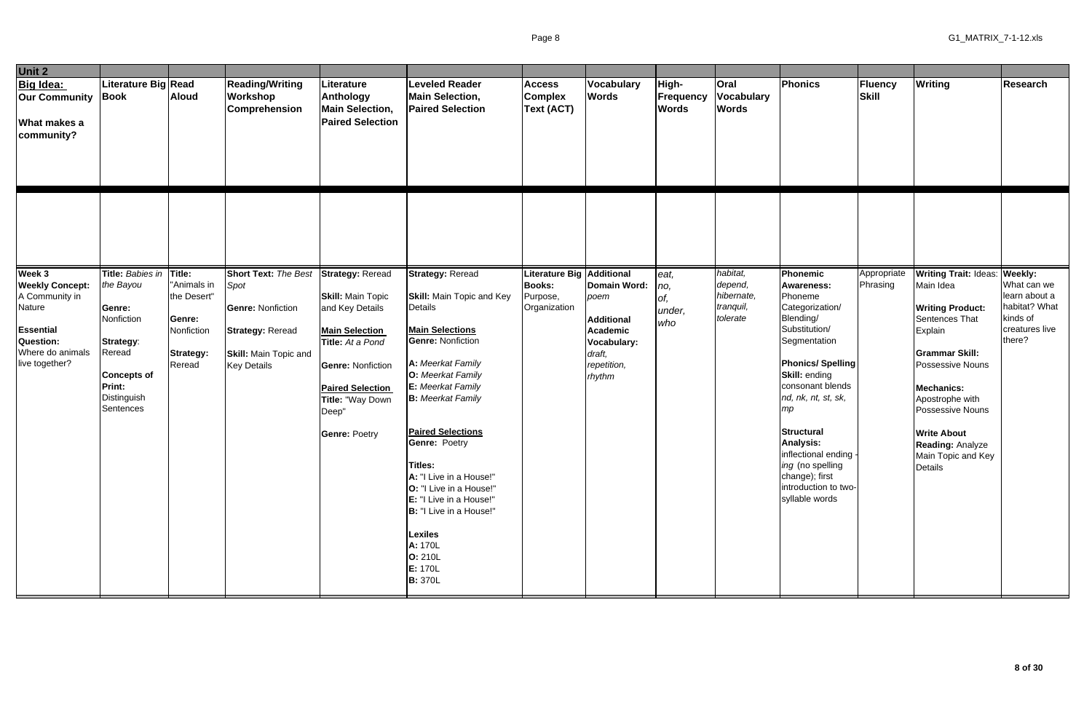| Unit 2                                                                                                                       |                                                                                                                                          |                                                                                     |                                                                                                                                                  |                                                                                                                                                                                                                                 |                                                                                                                                                                                                                                                                                                                                                                                                                  |                                                                    |                                                                                                                                     |                                           |                                                            |                                                                                                                                                                                                                                                                                                                                                                 |                         |                                                                                                                                                                                                                                                                                       |                                                                                                  |
|------------------------------------------------------------------------------------------------------------------------------|------------------------------------------------------------------------------------------------------------------------------------------|-------------------------------------------------------------------------------------|--------------------------------------------------------------------------------------------------------------------------------------------------|---------------------------------------------------------------------------------------------------------------------------------------------------------------------------------------------------------------------------------|------------------------------------------------------------------------------------------------------------------------------------------------------------------------------------------------------------------------------------------------------------------------------------------------------------------------------------------------------------------------------------------------------------------|--------------------------------------------------------------------|-------------------------------------------------------------------------------------------------------------------------------------|-------------------------------------------|------------------------------------------------------------|-----------------------------------------------------------------------------------------------------------------------------------------------------------------------------------------------------------------------------------------------------------------------------------------------------------------------------------------------------------------|-------------------------|---------------------------------------------------------------------------------------------------------------------------------------------------------------------------------------------------------------------------------------------------------------------------------------|--------------------------------------------------------------------------------------------------|
| <b>Big Idea:</b><br><b>Our Community</b><br>What makes a<br>community?                                                       | iterature Big Read<br>Book                                                                                                               | <b>Aloud</b>                                                                        | <b>Reading/Writing</b><br>Workshop<br><b>Comprehension</b>                                                                                       | <b>Literature</b><br>Anthology<br><b>Main Selection,</b><br><b>Paired Selection</b>                                                                                                                                             | <b>Leveled Reader</b><br><b>Main Selection,</b><br><b>Paired Selection</b>                                                                                                                                                                                                                                                                                                                                       | <b>Access</b><br><b>Complex</b><br><b>Text (ACT)</b>               | Vocabulary<br><b>Words</b>                                                                                                          | High-<br><b>Frequency</b><br><b>Words</b> | Oral<br><b>Vocabulary</b><br><b>Words</b>                  | Phonics                                                                                                                                                                                                                                                                                                                                                         | Fluency<br>Skill        | <b>Writing</b>                                                                                                                                                                                                                                                                        | <b>Research</b>                                                                                  |
| Week 3<br><b>Weekly Concept:</b><br>A Community in<br>Nature<br>Essential<br>Question:<br>Where do animals<br>live together? | Title: Babies in<br>the Bayou<br>Genre:<br>Nonfiction<br>Strategy:<br>Reread<br><b>Concepts of</b><br>Print:<br>Distinguish<br>Sentences | Title:<br>"Animals in<br>the Desert"<br>Genre:<br>Nonfiction<br>Strategy:<br>Reread | <b>Short Text: The Best</b><br>Spot<br><b>Genre: Nonfiction</b><br><b>Strategy: Reread</b><br><b>Skill:</b> Main Topic and<br><b>Key Details</b> | <b>Strategy: Reread</b><br><b>Skill: Main Topic</b><br>and Key Details<br><b>Main Selection</b><br>Title: At a Pond<br><b>Genre: Nonfiction</b><br><b>Paired Selection</b><br>Title: "Way Down<br>Deep"<br><b>Genre: Poetry</b> | <b>Strategy: Reread</b><br><b>Skill:</b> Main Topic and Key<br><b>Details</b><br><b>Main Selections</b><br><b>Genre: Nonfiction</b><br>A: Meerkat Family<br>O: Meerkat Family<br><b>E:</b> Meerkat Family<br><b>B:</b> Meerkat Family<br><b>Paired Selections</b><br><b>Genre: Poetry</b><br>Titles:<br>A: "I Live in a House!"<br>O: "I Live in a House!"<br>E: "I Live in a House!"<br>B: "I Live in a House!" | <b>Literature Big</b><br><b>Books:</b><br>Purpose,<br>Organization | <b>Additional</b><br>Domain Word:<br>poem<br><b>Additional</b><br><b>Academic</b><br>Vocabulary:<br>draft,<br>repetition,<br>rhythm | eat,<br>no,<br>of,<br>under,<br>who       | habitat,<br>depend,<br>hibernate,<br>tranquil,<br>tolerate | Phonemic<br><b>Awareness:</b><br>Phoneme<br>Categorization/<br>Blending/<br>Substitution/<br>Segmentation<br><b>Phonics/Spelling</b><br><b>Skill:</b> ending<br>consonant blends<br>nd, nk, nt, st, sk,<br>mp<br><b>Structural</b><br><b>Analysis:</b><br>inflectional ending -<br>ing (no spelling<br>change); first<br>introduction to two-<br>syllable words | Appropriate<br>Phrasing | <b>Writing Trait: Ideas:</b><br>Main Idea<br><b>Writing Product:</b><br>Sentences That<br>Explain<br><b>Grammar Skill:</b><br>Possessive Nouns<br><b>Mechanics:</b><br>Apostrophe with<br>Possessive Nouns<br><b>Write About</b><br>Reading: Analyze<br>Main Topic and Key<br>Details | Weekly:<br>What can we<br>learn about a<br>habitat? What<br>kinds of<br>creatures live<br>there? |
|                                                                                                                              |                                                                                                                                          |                                                                                     |                                                                                                                                                  |                                                                                                                                                                                                                                 | <b>Lexiles</b><br>A: 170L<br><b>O: 210L</b><br>E: 170L<br><b>B: 370L</b>                                                                                                                                                                                                                                                                                                                                         |                                                                    |                                                                                                                                     |                                           |                                                            |                                                                                                                                                                                                                                                                                                                                                                 |                         |                                                                                                                                                                                                                                                                                       |                                                                                                  |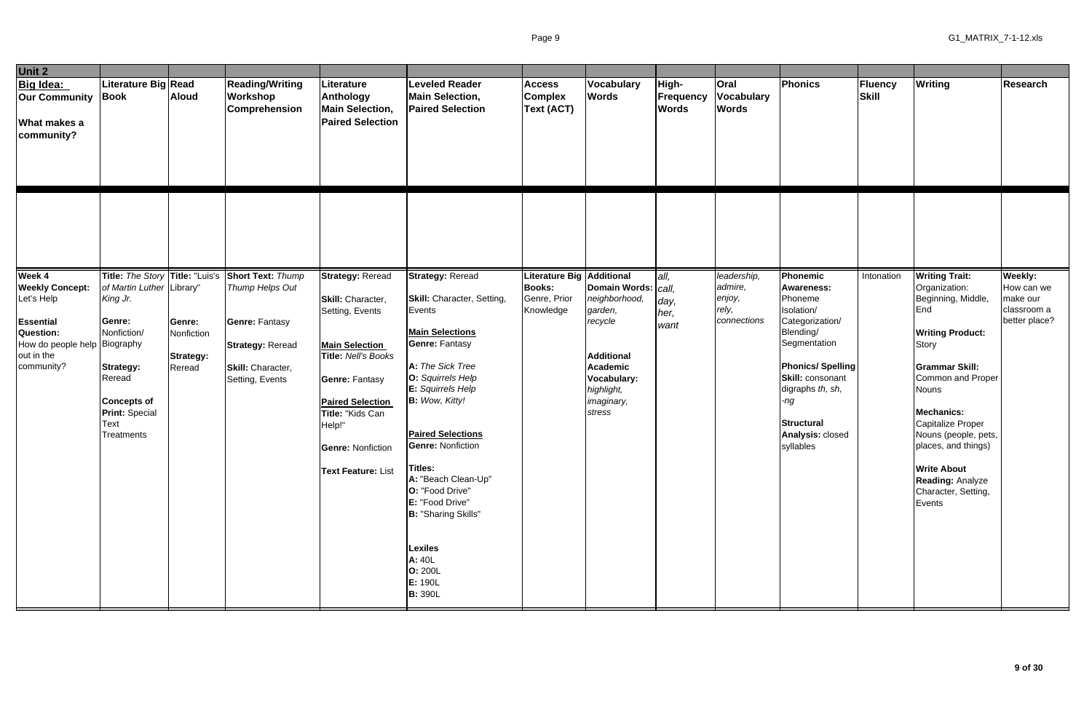| Unit 2                                                                                                                                   |                                                                                                                                                                          |                                                    |                                                                                                             |                                                                                                                                                                                                                          |                                                                                                                                                                                                                                                                                                                                                                                                                         |                                                      |                                                                                                                                                    |                                    |                                                  |                                                                                                                                                                                                                            |                  |                                                                                                                                                                                                                                                                                                                                |                                                        |
|------------------------------------------------------------------------------------------------------------------------------------------|--------------------------------------------------------------------------------------------------------------------------------------------------------------------------|----------------------------------------------------|-------------------------------------------------------------------------------------------------------------|--------------------------------------------------------------------------------------------------------------------------------------------------------------------------------------------------------------------------|-------------------------------------------------------------------------------------------------------------------------------------------------------------------------------------------------------------------------------------------------------------------------------------------------------------------------------------------------------------------------------------------------------------------------|------------------------------------------------------|----------------------------------------------------------------------------------------------------------------------------------------------------|------------------------------------|--------------------------------------------------|----------------------------------------------------------------------------------------------------------------------------------------------------------------------------------------------------------------------------|------------------|--------------------------------------------------------------------------------------------------------------------------------------------------------------------------------------------------------------------------------------------------------------------------------------------------------------------------------|--------------------------------------------------------|
| <b>Big Idea:</b><br><b>Our Community Book</b><br><b>What makes a</b><br>community?                                                       | Literature Big Read                                                                                                                                                      | <b>Aloud</b>                                       | <b>Reading/Writing</b><br>Workshop<br><b>Comprehension</b>                                                  | Literature<br>Anthology<br><b>Main Selection,</b><br><b>Paired Selection</b>                                                                                                                                             | <b>Leveled Reader</b><br><b>Main Selection,</b><br><b>Paired Selection</b>                                                                                                                                                                                                                                                                                                                                              | <b>Access</b><br><b>Complex</b><br><b>Text (ACT)</b> | Vocabulary<br><b>Words</b>                                                                                                                         | High-<br>Frequency<br><b>Words</b> | <b>Oral</b><br><b>Vocabulary</b><br><b>Words</b> | <b>Phonics</b>                                                                                                                                                                                                             | Fluency<br>Skill | <b>Writing</b>                                                                                                                                                                                                                                                                                                                 | <b>Research</b>                                        |
| Week 4                                                                                                                                   | Title: The Story Title: "Luis's                                                                                                                                          |                                                    | <b>Short Text: Thump</b>                                                                                    | <b>Strategy: Reread</b>                                                                                                                                                                                                  | <b>Strategy: Reread</b>                                                                                                                                                                                                                                                                                                                                                                                                 | <b>Literature Big Additional</b>                     |                                                                                                                                                    | all.                               | leadership,                                      | Phonemic                                                                                                                                                                                                                   | Intonation       | <b>Writing Trait:</b>                                                                                                                                                                                                                                                                                                          | Weekly:                                                |
| <b>Weekly Concept:</b><br>Let's Help<br><b>Essential</b><br><b>Question:</b><br>How do people help Biography<br>out in the<br>community? | of Martin Luther Library"<br>King Jr.<br>Genre:<br>Nonfiction/<br>Strategy:<br>Reread<br><b>Concepts of</b><br><b>Print: Special</b><br><b>Text</b><br><b>Treatments</b> | Genre:<br>Nonfiction<br><b>Strategy:</b><br>Reread | Thump Helps Out<br><b>Genre: Fantasy</b><br><b>Strategy: Reread</b><br>Skill: Character,<br>Setting, Events | Skill: Character,<br>Setting, Events<br><b>Main Selection</b><br>Title: Nell's Books<br><b>Genre: Fantasy</b><br><b>Paired Selection</b><br>Title: "Kids Can<br>Help!"<br><b>Genre: Nonfiction</b><br>Text Feature: List | <b>Skill:</b> Character, Setting,<br>Events<br><b>Main Selections</b><br><b>Genre: Fantasy</b><br>A: The Sick Tree<br>O: Squirrels Help<br>E: Squirrels Help<br><b>B:</b> Wow, Kitty!<br><b>Paired Selections</b><br><b>Genre: Nonfiction</b><br>Titles:<br>A: "Beach Clean-Up"<br>O: "Food Drive"<br>E: "Food Drive"<br><b>B: "Sharing Skills"</b><br>Lexiles<br>A: 40L<br><b>O: 200L</b><br>E: 190L<br><b>B: 390L</b> | <b>Books:</b><br>Genre, Prior<br>Knowledge           | Domain Words:   call,<br>neighborhood,<br>garden,<br>recycle<br><b>Additional</b><br>Academic<br>Vocabulary:<br>highlight,<br>imaginary,<br>stress | day,<br>her,<br>want               | admire,<br>enjoy,<br>rely,<br>connections        | <b>Awareness:</b><br>Phoneme<br>Isolation/<br>Categorization/<br>Blending/<br>Segmentation<br><b>Phonics/Spelling</b><br>Skill: consonant<br>digraphs th, sh,<br>ng.<br><b>Structural</b><br>Analysis: closed<br>syllables |                  | Organization:<br>Beginning, Middle,<br>End<br><b>Writing Product:</b><br><b>Story</b><br><b>Grammar Skill:</b><br>Common and Proper<br><b>Nouns</b><br><b>Mechanics:</b><br>Capitalize Proper<br>Nouns (people, pets,<br>places, and things)<br><b>Write About</b><br><b>Reading: Analyze</b><br>Character, Setting,<br>Events | How can we<br>make our<br>classroom a<br>better place? |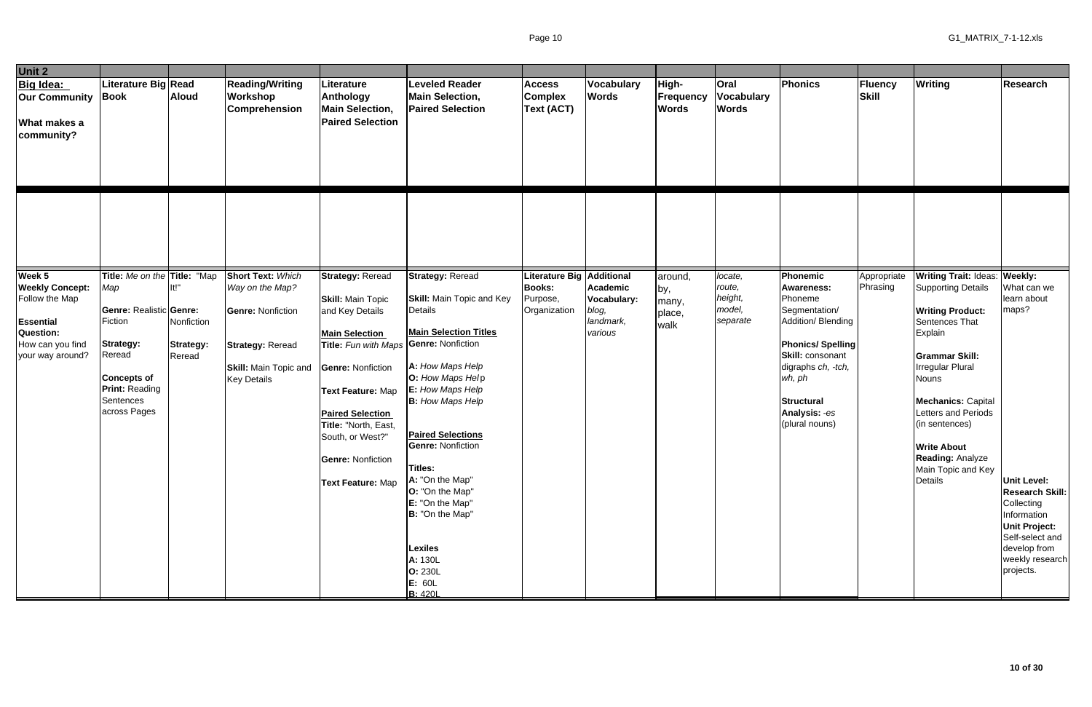| Unit 2                                                                                                                             |                                                                                                                                                                                            |                                           |                                                                                                                                                          |                                                                                                                                                                                                                                                                                                  |                                                                                                                                                                                                                                                                                                                                                                                                                                   |                                                                        |                                                          |                                           |                                                    |                                                                                                                                                                                                                 |                         |                                                                                                                                                                                                                                                                                                                                                       |                                                                                                                                                                                                      |
|------------------------------------------------------------------------------------------------------------------------------------|--------------------------------------------------------------------------------------------------------------------------------------------------------------------------------------------|-------------------------------------------|----------------------------------------------------------------------------------------------------------------------------------------------------------|--------------------------------------------------------------------------------------------------------------------------------------------------------------------------------------------------------------------------------------------------------------------------------------------------|-----------------------------------------------------------------------------------------------------------------------------------------------------------------------------------------------------------------------------------------------------------------------------------------------------------------------------------------------------------------------------------------------------------------------------------|------------------------------------------------------------------------|----------------------------------------------------------|-------------------------------------------|----------------------------------------------------|-----------------------------------------------------------------------------------------------------------------------------------------------------------------------------------------------------------------|-------------------------|-------------------------------------------------------------------------------------------------------------------------------------------------------------------------------------------------------------------------------------------------------------------------------------------------------------------------------------------------------|------------------------------------------------------------------------------------------------------------------------------------------------------------------------------------------------------|
| <b>Big Idea:</b><br><b>Our Community</b><br>What makes a<br>community?                                                             | Literature Big Read<br><b>Book</b>                                                                                                                                                         | <b>Aloud</b>                              | <b>Reading/Writing</b><br><b>Workshop</b><br>Comprehension                                                                                               | Literature<br><b>Anthology</b><br><b>Main Selection,</b><br><b>Paired Selection</b>                                                                                                                                                                                                              | <b>Leveled Reader</b><br><b>Main Selection,</b><br><b>Paired Selection</b>                                                                                                                                                                                                                                                                                                                                                        | <b>Access</b><br><b>Complex</b><br><b>Text (ACT)</b>                   | Vocabulary<br><b>Words</b>                               | High-<br><b>Frequency</b><br><b>Words</b> | Oral<br>Vocabulary<br><b>Words</b>                 | Phonics                                                                                                                                                                                                         | Fluency<br>Skill        | <b>Writing</b>                                                                                                                                                                                                                                                                                                                                        | Research                                                                                                                                                                                             |
|                                                                                                                                    |                                                                                                                                                                                            |                                           |                                                                                                                                                          |                                                                                                                                                                                                                                                                                                  |                                                                                                                                                                                                                                                                                                                                                                                                                                   |                                                                        |                                                          |                                           |                                                    |                                                                                                                                                                                                                 |                         |                                                                                                                                                                                                                                                                                                                                                       |                                                                                                                                                                                                      |
| Week 5<br><b>Weekly Concept:</b><br>Follow the Map<br><b>Essential</b><br><b>Question:</b><br>How can you find<br>your way around? | Title: Me on the Title: "Map<br>Map<br><b>Genre: Realistic Genre:</b><br>Fiction<br><b>Strategy:</b><br>Reread<br><b>Concepts of</b><br><b>Print: Reading</b><br>Sentences<br>across Pages | lt!"<br>Nonfiction<br>Strategy:<br>Reread | <b>Short Text: Which</b><br>Way on the Map?<br><b>Genre: Nonfiction</b><br><b>Strategy: Reread</b><br><b>Skill: Main Topic and</b><br><b>Key Details</b> | <b>Strategy: Reread</b><br><b>Skill: Main Topic</b><br>and Key Details<br><b>Main Selection</b><br>Title: Fun with Maps<br><b>Genre: Nonfiction</b><br>Text Feature: Map<br><b>Paired Selection</b><br>Title: "North, East,<br>South, or West?"<br><b>Genre: Nonfiction</b><br>Text Feature: Map | <b>Strategy: Reread</b><br><b>Skill:</b> Main Topic and Key<br>Details<br><b>Main Selection Titles</b><br><b>Genre: Nonfiction</b><br>A: How Maps Help<br>O: How Maps Help<br>E: How Maps Help<br><b>B:</b> How Maps Help<br><b>Paired Selections</b><br><b>Genre: Nonfiction</b><br>Titles:<br>A: "On the Map"<br>O: "On the Map"<br>E: "On the Map"<br>B: "On the Map"<br><b>Lexiles</b><br>A: 130L<br><b>O: 230L</b><br>E: 60L | Literature Big Additional<br><b>Books:</b><br>Purpose,<br>Organization | Academic<br>Vocabulary:<br>blog,<br>landmark,<br>various | around,<br>by,<br>many,<br>place,<br>walk | locate,<br>route,<br>height,<br>model,<br>separate | Phonemic<br><b>Awareness:</b><br>Phoneme<br>Segmentation/<br>Addition/ Blending<br><b>Phonics/Spelling</b><br>Skill: consonant<br>digraphs ch, -tch,<br>wh, ph<br>Structural<br>Analysis: -es<br>(plural nouns) | Appropriate<br>Phrasing | <b>Writing Trait: Ideas: Weekly:</b><br><b>Supporting Details</b><br><b>Writing Product:</b><br>Sentences That<br>Explain<br><b>Grammar Skill:</b><br><b>Irregular Plural</b><br><b>Nouns</b><br><b>Mechanics: Capital</b><br>Letters and Periods<br>(in sentences)<br><b>Write About</b><br><b>Reading: Analyze</b><br>Main Topic and Key<br>Details | What can we<br>learn about<br>maps?<br><b>Unit Level:</b><br>Research Skill:<br>Collecting<br>Information<br><b>Unit Project:</b><br>Self-select and<br>develop from<br>weekly research<br>projects. |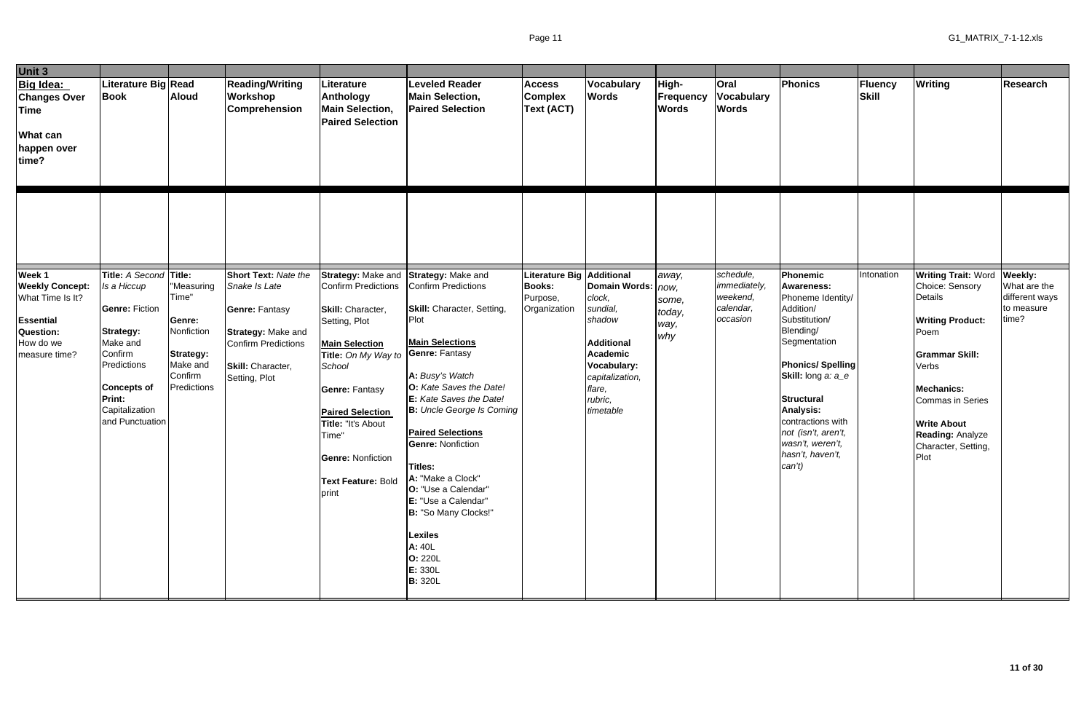| Unit 3                                                                                                              |                                                                                                                                                                                                      |                                                                                                |                                                                                                                                                                               |                                                                                                                                                                                                                                                                                                |                                                                                                                                                                                                                                                                                                                                                                                              |                                                                    |                                                                                                                                                                                |                                           |                                                                |                                                                                                                                                                                                                                                                                                       |                         |                                                                                                                                                                                                                                                                       |                                                       |
|---------------------------------------------------------------------------------------------------------------------|------------------------------------------------------------------------------------------------------------------------------------------------------------------------------------------------------|------------------------------------------------------------------------------------------------|-------------------------------------------------------------------------------------------------------------------------------------------------------------------------------|------------------------------------------------------------------------------------------------------------------------------------------------------------------------------------------------------------------------------------------------------------------------------------------------|----------------------------------------------------------------------------------------------------------------------------------------------------------------------------------------------------------------------------------------------------------------------------------------------------------------------------------------------------------------------------------------------|--------------------------------------------------------------------|--------------------------------------------------------------------------------------------------------------------------------------------------------------------------------|-------------------------------------------|----------------------------------------------------------------|-------------------------------------------------------------------------------------------------------------------------------------------------------------------------------------------------------------------------------------------------------------------------------------------------------|-------------------------|-----------------------------------------------------------------------------------------------------------------------------------------------------------------------------------------------------------------------------------------------------------------------|-------------------------------------------------------|
| Big Idea:<br><b>Changes Over</b><br><b>Time</b><br><b>What can</b><br>happen over<br>time?                          | Literature Big Read<br><b>Book</b>                                                                                                                                                                   | <b>Aloud</b>                                                                                   | <b>Reading/Writing</b><br>Workshop<br>Comprehension                                                                                                                           | Literature<br><b>Anthology</b><br><b>Main Selection,</b><br><b>Paired Selection</b>                                                                                                                                                                                                            | <b>Leveled Reader</b><br><b>Main Selection,</b><br><b>Paired Selection</b>                                                                                                                                                                                                                                                                                                                   | <b>Access</b><br><b>Complex</b><br>Text (ACT)                      | Vocabulary<br><b>Words</b>                                                                                                                                                     | High-<br><b>Frequency</b><br><b>Words</b> | Oral<br><b>Vocabulary</b><br><b>Words</b>                      | Phonics                                                                                                                                                                                                                                                                                               | <b>Fluency</b><br>Skill | <b>Writing</b>                                                                                                                                                                                                                                                        | <b>Research</b>                                       |
| Week 1<br><b>Weekly Concept:</b><br>What Time Is It?<br>Essential<br><b>Question:</b><br>How do we<br>measure time? | Title: A Second Title:<br>Is a Hiccup<br><b>Genre: Fiction</b><br><b>Strategy:</b><br>Make and<br>Confirm<br>Predictions<br><b>Concepts of</b><br><b>Print:</b><br>Capitalization<br>and Punctuation | "Measuring<br>Time"<br>Genre:<br>Nonfiction<br>Strategy:<br>Make and<br>Confirm<br>Predictions | <b>Short Text: Nate the</b><br>Snake Is Late<br><b>Genre: Fantasy</b><br><b>Strategy: Make and</b><br><b>Confirm Predictions</b><br><b>Skill:</b> Character,<br>Setting, Plot | <b>Strategy: Make and</b><br>Confirm Predictions<br>Skill: Character,<br>Setting, Plot<br><b>Main Selection</b><br>Title: On My Way to<br>School<br><b>Genre: Fantasy</b><br><b>Paired Selection</b><br>Title: "It's About<br>Time"<br><b>Genre: Nonfiction</b><br>Text Feature: Bold<br>print | Strategy: Make and<br>Confirm Predictions<br><b>Skill:</b> Character, Setting,<br>Plot<br><b>Main Selections</b><br><b>Genre: Fantasy</b><br>A: Busy's Watch<br>O: Kate Saves the Date!<br>E: Kate Saves the Date!<br><b>B:</b> Uncle George Is Coming<br><b>Paired Selections</b><br><b>Genre: Nonfiction</b><br>Titles:<br>A: "Make a Clock"<br>O: "Use a Calendar"<br>E: "Use a Calendar" | <b>Literature Big</b><br><b>Books:</b><br>Purpose,<br>Organization | Additional<br>Domain Words:   now,<br>clock,<br>sundial,<br>shadow<br><b>Additional</b><br><b>Academic</b><br>Vocabulary:<br>capitalization,<br>flare,<br>rubric,<br>timetable | away,<br>some,<br>today,<br>way,<br>why   | schedule,<br>immediately,<br>weekend,<br>calendar,<br>occasion | Phonemic<br><b>Awareness:</b><br>Phoneme Identity/<br>Addition/<br>Substitution/<br>Blending/<br>Segmentation<br><b>Phonics/Spelling</b><br>Skill: long a: a_e<br><b>Structural</b><br><b>Analysis:</b><br>contractions with<br>not (isn't, aren't,<br>wasn't, weren't,<br>hasn't, haven't,<br>can't) | Intonation              | <b>Writing Trait: Word Weekly:</b><br>Choice: Sensory<br>Details<br><b>Writing Product:</b><br>Poem<br><b>Grammar Skill:</b><br>Verbs<br><b>Mechanics:</b><br><b>Commas in Series</b><br><b>Write About</b><br><b>Reading: Analyze</b><br>Character, Setting,<br>Plot | What are the<br>different ways<br>to measure<br>time? |
|                                                                                                                     |                                                                                                                                                                                                      |                                                                                                |                                                                                                                                                                               |                                                                                                                                                                                                                                                                                                | B: "So Many Clocks!"<br><b>Lexiles</b><br>A: 40L<br><b>O: 220L</b><br>E: 330L<br><b>B: 320L</b>                                                                                                                                                                                                                                                                                              |                                                                    |                                                                                                                                                                                |                                           |                                                                |                                                                                                                                                                                                                                                                                                       |                         |                                                                                                                                                                                                                                                                       |                                                       |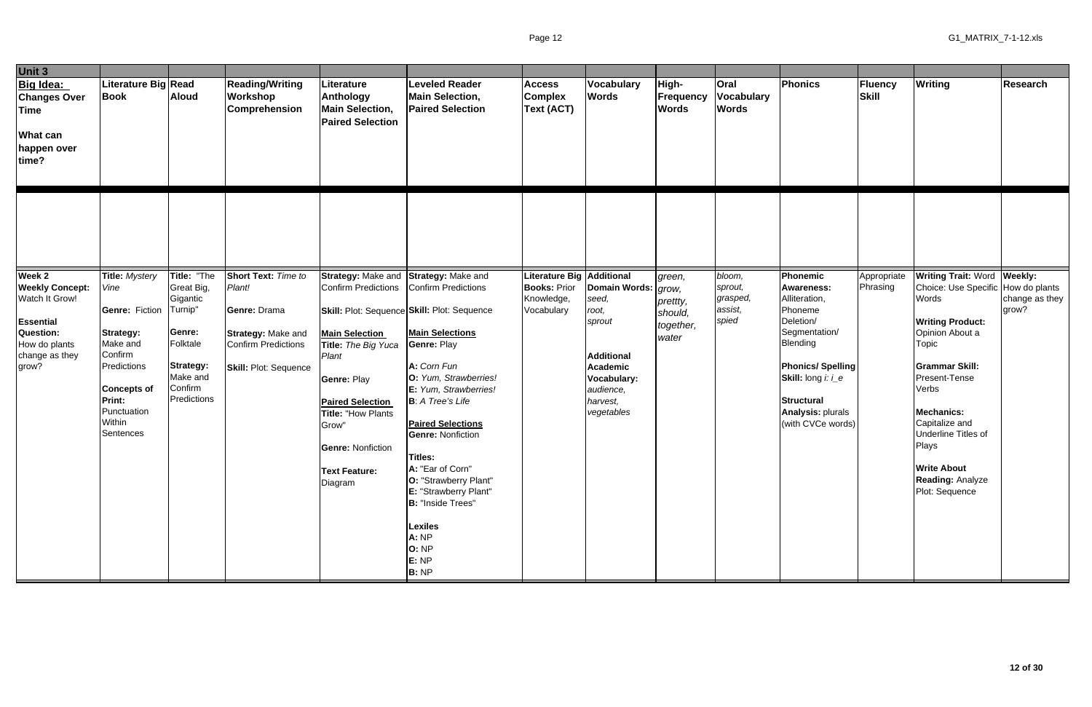| Unit 3                                                                                                                                 |                                                                                                                                                                                        |                                                                                                                           |                                                                                                                            |                                                                                                                                                                                                                                    |                                                                                                                                                                                                                                                                                                                                                                                                                                                                              |                                                                                     |                                                                                                                                                        |                                                     |                                                   |                                                                                                                                                                                                                                   |                         |                                                                                                                                                                                                                                                                                                                                       |                         |
|----------------------------------------------------------------------------------------------------------------------------------------|----------------------------------------------------------------------------------------------------------------------------------------------------------------------------------------|---------------------------------------------------------------------------------------------------------------------------|----------------------------------------------------------------------------------------------------------------------------|------------------------------------------------------------------------------------------------------------------------------------------------------------------------------------------------------------------------------------|------------------------------------------------------------------------------------------------------------------------------------------------------------------------------------------------------------------------------------------------------------------------------------------------------------------------------------------------------------------------------------------------------------------------------------------------------------------------------|-------------------------------------------------------------------------------------|--------------------------------------------------------------------------------------------------------------------------------------------------------|-----------------------------------------------------|---------------------------------------------------|-----------------------------------------------------------------------------------------------------------------------------------------------------------------------------------------------------------------------------------|-------------------------|---------------------------------------------------------------------------------------------------------------------------------------------------------------------------------------------------------------------------------------------------------------------------------------------------------------------------------------|-------------------------|
| Big Idea:<br><b>Changes Over</b><br><b>Time</b><br><b>What can</b><br>happen over<br>time?                                             | Literature Big Read<br><b>Book</b>                                                                                                                                                     | <b>Aloud</b>                                                                                                              | <b>Reading/Writing</b><br><b>Workshop</b><br><b>Comprehension</b>                                                          | Literature<br><b>Anthology</b><br><b>Main Selection,</b><br><b>Paired Selection</b>                                                                                                                                                | <b>Leveled Reader</b><br><b>Main Selection,</b><br><b>Paired Selection</b>                                                                                                                                                                                                                                                                                                                                                                                                   | <b>Access</b><br><b>Complex</b><br><b>Text (ACT)</b>                                | Vocabulary<br><b>Words</b>                                                                                                                             | High-<br><b>Frequency</b><br><b>Words</b>           | <b>Oral</b><br><b>Vocabulary</b><br><b>Words</b>  | Phonics                                                                                                                                                                                                                           | Fluency<br>Skill        | <b>Writing</b>                                                                                                                                                                                                                                                                                                                        | <b>Research</b>         |
|                                                                                                                                        |                                                                                                                                                                                        |                                                                                                                           |                                                                                                                            |                                                                                                                                                                                                                                    |                                                                                                                                                                                                                                                                                                                                                                                                                                                                              |                                                                                     |                                                                                                                                                        |                                                     |                                                   |                                                                                                                                                                                                                                   |                         |                                                                                                                                                                                                                                                                                                                                       |                         |
| Week 2<br><b>Weekly Concept:</b><br>Watch It Grow!<br><b>Essential</b><br><b>Question:</b><br>How do plants<br>change as they<br>grow? | <b>Title: Mystery</b><br>Vine<br><b>Genre: Fiction</b><br>Strategy:<br>Make and<br>Confirm<br>Predictions<br><b>Concepts of</b><br><b>Print:</b><br>Punctuation<br>Within<br>Sentences | Title: "The<br>Great Big,<br>Gigantic<br>Turnip"<br>Genre:<br>Folktale<br>Strategy:<br>Make and<br>Confirm<br>Predictions | Short Text: Time to<br>Plant!<br>Genre: Drama<br><b>Strategy: Make and</b><br>Confirm Predictions<br>Skill: Plot: Sequence | <b>Confirm Predictions</b><br><b>Main Selection</b><br>Title: The Big Yuca<br>Plant<br><b>Genre: Play</b><br><b>Paired Selection</b><br>Title: "How Plants<br>Grow"<br><b>Genre: Nonfiction</b><br><b>Text Feature:</b><br>Diagram | Strategy: Make and Strategy: Make and<br>Confirm Predictions<br>Skill: Plot: Sequence Skill: Plot: Sequence<br><b>Main Selections</b><br>Genre: Play<br>A: Corn Fun<br>O: Yum, Strawberries!<br>E: Yum, Strawberries!<br><b>B</b> : A Tree's Life<br><b>Paired Selections</b><br><b>Genre: Nonfiction</b><br>Titles:<br>A: "Ear of Corn"<br>O: "Strawberry Plant"<br>E: "Strawberry Plant"<br><b>B:</b> "Inside Trees"<br>Lexiles<br>A: NP<br>O: NP<br>E: NP<br><b>B:</b> NP | <b>Literature Big Additional</b><br><b>Books: Prior</b><br>Knowledge,<br>Vocabulary | Domain Words:   grow,<br>seed,<br>root,<br>sprout<br><b>Additional</b><br><b>Academic</b><br><b>Vocabulary:</b><br>audience,<br>harvest,<br>vegetables | green,<br>prettty,<br>should,<br>together,<br>water | bloom,<br>sprout,<br>grasped,<br>assist,<br>spied | <b>Phonemic</b><br><b>Awareness:</b><br>Alliteration,<br>Phoneme<br>Deletion/<br>Segmentation/<br>Blending<br><b>Phonics/Spelling</b><br>Skill: long i: i_e<br><b>Structural</b><br><b>Analysis: plurals</b><br>(with CVCe words) | Appropriate<br>Phrasing | <b>Writing Trait: Word Weekly:</b><br>Choice: Use Specific How do plants<br>Words<br><b>Writing Product:</b><br>Opinion About a<br>Topic<br><b>Grammar Skill:</b><br>Present-Tense<br>Verbs<br><b>Mechanics:</b><br>Capitalize and<br><b>Underline Titles of</b><br>Plays<br><b>Write About</b><br>Reading: Analyze<br>Plot: Sequence | change as they<br>grow? |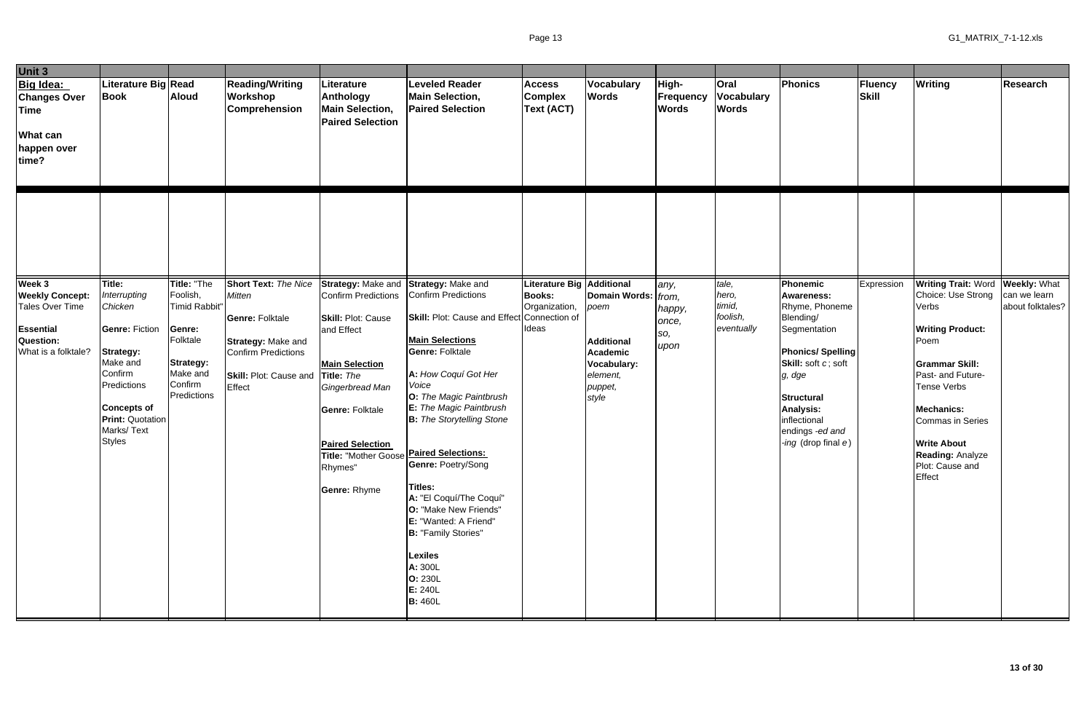| Unit 3                                                                                     |                                                                                                                                                                 |                                                                       |                                                                                                                       |                                                                                                                                                                                                                              |                                                                                                                                                                                                                                                                                                                                                                                                                                                           |                                                      |                                                                                            |                                    |                                                  |                                                                                                                                                                                         |                  |                                                                                                                                                                                                                                   |                                  |
|--------------------------------------------------------------------------------------------|-----------------------------------------------------------------------------------------------------------------------------------------------------------------|-----------------------------------------------------------------------|-----------------------------------------------------------------------------------------------------------------------|------------------------------------------------------------------------------------------------------------------------------------------------------------------------------------------------------------------------------|-----------------------------------------------------------------------------------------------------------------------------------------------------------------------------------------------------------------------------------------------------------------------------------------------------------------------------------------------------------------------------------------------------------------------------------------------------------|------------------------------------------------------|--------------------------------------------------------------------------------------------|------------------------------------|--------------------------------------------------|-----------------------------------------------------------------------------------------------------------------------------------------------------------------------------------------|------------------|-----------------------------------------------------------------------------------------------------------------------------------------------------------------------------------------------------------------------------------|----------------------------------|
| Big Idea:<br><b>Changes Over</b><br><b>Time</b><br><b>What can</b><br>happen over<br>time? | Literature Big Read<br><b>Book</b>                                                                                                                              | <b>Aloud</b>                                                          | <b>Reading/Writing</b><br>Workshop<br><b>Comprehension</b>                                                            | Literature<br>Anthology<br><b>Main Selection,</b><br><b>Paired Selection</b>                                                                                                                                                 | <b>Leveled Reader</b><br><b>Main Selection,</b><br><b>Paired Selection</b>                                                                                                                                                                                                                                                                                                                                                                                | <b>Access</b><br><b>Complex</b><br><b>Text (ACT)</b> | <b>Vocabulary</b><br><b>Words</b>                                                          | High-<br>Frequency<br><b>Words</b> | <b>Oral</b><br><b>Vocabulary</b><br><b>Words</b> | Phonics                                                                                                                                                                                 | Fluency<br>Skill | <b>Writing</b>                                                                                                                                                                                                                    | <b>Research</b>                  |
| Week 3<br><b>Weekly Concept:</b><br>Tales Over Time                                        | Title:<br>Interrupting<br>Chicken                                                                                                                               | Title: "The<br>Foolish,<br>Timid Rabbit"                              | <b>Short Text: The Nice</b><br><b>Mitten</b>                                                                          | Strategy: Make and<br>Confirm Predictions                                                                                                                                                                                    | <b>Strategy: Make and</b><br>Confirm Predictions                                                                                                                                                                                                                                                                                                                                                                                                          | Literature Big<br><b>Books:</b><br>Organization,     | <b>Additional</b><br>Domain Words: from,<br>poem                                           | any,                               | tale,<br>hero,<br>timid,                         | Phonemic<br><b>Awareness:</b><br>Rhyme, Phoneme                                                                                                                                         | Expression       | <b>Writing Trait: Word Weekly: What</b><br>Choice: Use Strong<br>Verbs                                                                                                                                                            | can we learn<br>about folktales? |
| <b>Essential</b><br>Question:<br>What is a folktale?                                       | <b>Genre: Fiction</b><br><b>Strategy:</b><br>Make and<br>Confirm<br>Predictions<br><b>Concepts of</b><br><b>Print: Quotation</b><br>Marks/Text<br><b>Styles</b> | Genre:<br>Folktale<br>Strategy:<br>Make and<br>Confirm<br>Predictions | <b>Genre: Folktale</b><br>Strategy: Make and<br><b>Confirm Predictions</b><br><b>Skill: Plot: Cause and</b><br>Effect | Skill: Plot: Cause<br>and Effect<br><b>Main Selection</b><br>Title: The<br>Gingerbread Man<br><b>Genre: Folktale</b><br><b>Paired Selection</b><br>Title: "Mother Goose Paired Selections:<br>Rhymes"<br><b>Genre: Rhyme</b> | Skill: Plot: Cause and Effect Connection of<br><b>Main Selections</b><br><b>Genre: Folktale</b><br>A: How Coquí Got Her<br>Voice<br>O: The Magic Paintbrush<br>E: The Magic Paintbrush<br><b>B:</b> The Storytelling Stone<br>Genre: Poetry/Song<br><b>Titles:</b><br>A: "El Coquí/The Coquí"<br>O: "Make New Friends"<br>E: "Wanted: A Friend"<br><b>B: "Family Stories"</b><br><b>Lexiles</b><br>A: 300L<br><b>O: 230L</b><br>E: 240L<br><b>B:</b> 460L | Ideas                                                | <b>Additional</b><br><b>Academic</b><br><b>Vocabulary:</b><br>element,<br>puppet,<br>style | happy,<br>once,<br>SO,<br>upon     | foolish,<br>eventually                           | Blending/<br>Segmentation<br><b>Phonics/Spelling</b><br>Skill: soft c; soft<br>g, dge<br><b>Structural</b><br><b>Analysis:</b><br>inflectional<br>endings -ed and<br>ing (drop final e) |                  | <b>Writing Product:</b><br>Poem<br><b>Grammar Skill:</b><br>Past- and Future-<br><b>Tense Verbs</b><br><b>Mechanics:</b><br><b>Commas in Series</b><br><b>Write About</b><br><b>Reading: Analyze</b><br>Plot: Cause and<br>Effect |                                  |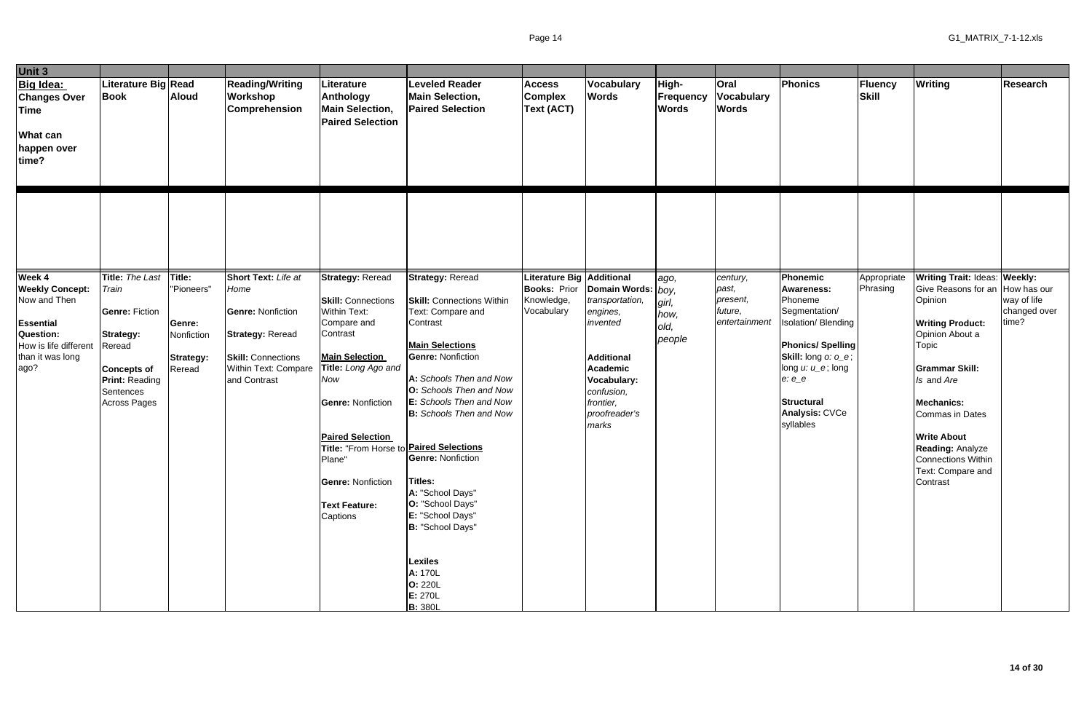| Unit 3                                                                                                    |                                                                                                                                        |                                                    |                                                                                                                          |                                                                                                                                                                                                                                                                                                                       |                                                                                                                                                                                                                                                                                                                                                                                                                                                      |                                                      |                                                                                                                                                     |                                    |                                                  |                                                                                                                                                                                                     |                         |                                                                                                                                                                                                                                                              |                                      |
|-----------------------------------------------------------------------------------------------------------|----------------------------------------------------------------------------------------------------------------------------------------|----------------------------------------------------|--------------------------------------------------------------------------------------------------------------------------|-----------------------------------------------------------------------------------------------------------------------------------------------------------------------------------------------------------------------------------------------------------------------------------------------------------------------|------------------------------------------------------------------------------------------------------------------------------------------------------------------------------------------------------------------------------------------------------------------------------------------------------------------------------------------------------------------------------------------------------------------------------------------------------|------------------------------------------------------|-----------------------------------------------------------------------------------------------------------------------------------------------------|------------------------------------|--------------------------------------------------|-----------------------------------------------------------------------------------------------------------------------------------------------------------------------------------------------------|-------------------------|--------------------------------------------------------------------------------------------------------------------------------------------------------------------------------------------------------------------------------------------------------------|--------------------------------------|
| Big Idea:<br><b>Changes Over</b><br><b>Time</b><br><b>What can</b><br>happen over<br>time?                | Literature Big Read<br><b>Book</b>                                                                                                     | <b>Aloud</b>                                       | <b>Reading/Writing</b><br>Workshop<br><b>Comprehension</b>                                                               | Literature<br>Anthology<br><b>Main Selection,</b><br><b>Paired Selection</b>                                                                                                                                                                                                                                          | <b>Leveled Reader</b><br><b>Main Selection,</b><br><b>Paired Selection</b>                                                                                                                                                                                                                                                                                                                                                                           | <b>Access</b><br><b>Complex</b><br><b>Text (ACT)</b> | Vocabulary<br><b>Words</b>                                                                                                                          | High-<br>Frequency<br><b>Words</b> | <b>Oral</b><br><b>Vocabulary</b><br><b>Words</b> | Phonics                                                                                                                                                                                             | Fluency<br>Skill        | <b>Writing</b>                                                                                                                                                                                                                                               | <b>Research</b>                      |
| Week 4<br><b>Weekly Concept:</b>                                                                          | Title: The Last<br>Train                                                                                                               | Title:<br>"Pioneers"                               | Short Text: Life at<br>Home                                                                                              | <b>Strategy: Reread</b>                                                                                                                                                                                                                                                                                               | <b>Strategy: Reread</b>                                                                                                                                                                                                                                                                                                                                                                                                                              | Literature Big Additional<br><b>Books: Prior</b>     | Domain Words: boy,                                                                                                                                  | ago,                               | century,<br>past,                                | <b>Phonemic</b><br><b>Awareness:</b>                                                                                                                                                                | Appropriate<br>Phrasing | <b>Writing Trait: Ideas: Weekly:</b><br>Give Reasons for an                                                                                                                                                                                                  | How has our                          |
| Now and Then<br><b>Essential</b><br><b>Question:</b><br>How is life different<br>than it was long<br>ago? | <b>Genre: Fiction</b><br><b>Strategy:</b><br>Reread<br><b>Concepts of</b><br><b>Print: Reading</b><br>Sentences<br><b>Across Pages</b> | Genre:<br>Nonfiction<br><b>Strategy:</b><br>Reread | <b>Genre: Nonfiction</b><br><b>Strategy: Reread</b><br><b>Skill: Connections</b><br>Within Text: Compare<br>and Contrast | <b>Skill: Connections</b><br><b>Within Text:</b><br>Compare and<br>Contrast<br><b>Main Selection</b><br>Title: Long Ago and<br><b>Now</b><br><b>Genre: Nonfiction</b><br><b>Paired Selection</b><br>Title: "From Horse to <b>Paired Selections</b><br>Plane"<br><b>Genre: Nonfiction</b><br>Text Feature:<br>Captions | <b>Skill: Connections Within</b><br>Text: Compare and<br>Contrast<br><b>Main Selections</b><br><b>Genre: Nonfiction</b><br>A: Schools Then and Now<br><b>O:</b> Schools Then and Now<br>E: Schools Then and Now<br><b>B:</b> Schools Then and Now<br><b>Genre: Nonfiction</b><br><b>Titles:</b><br>A: "School Days"<br>O: "School Days"<br>E: "School Days"<br>B: "School Days"<br>Lexiles<br>A: 170L<br><b>O: 220L</b><br>E: 270L<br><b>B:</b> 380L | Knowledge,<br>Vocabulary                             | transportation,<br>engines,<br>invented<br><b>Additional</b><br><b>Academic</b><br>Vocabulary:<br>confusion,<br>frontier,<br>proofreader's<br>marks | girl,<br>how,<br>old,<br>people    | present,<br>future,<br>entertainment             | Phoneme<br>Segmentation/<br>Isolation/ Blending<br><b>Phonics/Spelling</b><br>Skill: long o: o_e;<br>long $u: u \_e$ ; long<br>$e: e\_e$<br><b>Structural</b><br><b>Analysis: CVCe</b><br>syllables |                         | Opinion<br><b>Writing Product:</b><br>Opinion About a<br>Topic<br><b>Grammar Skill:</b><br>Is and Are<br><b>Mechanics:</b><br>Commas in Dates<br><b>Write About</b><br><b>Reading: Analyze</b><br><b>Connections Within</b><br>Text: Compare and<br>Contrast | way of life<br>changed over<br>time? |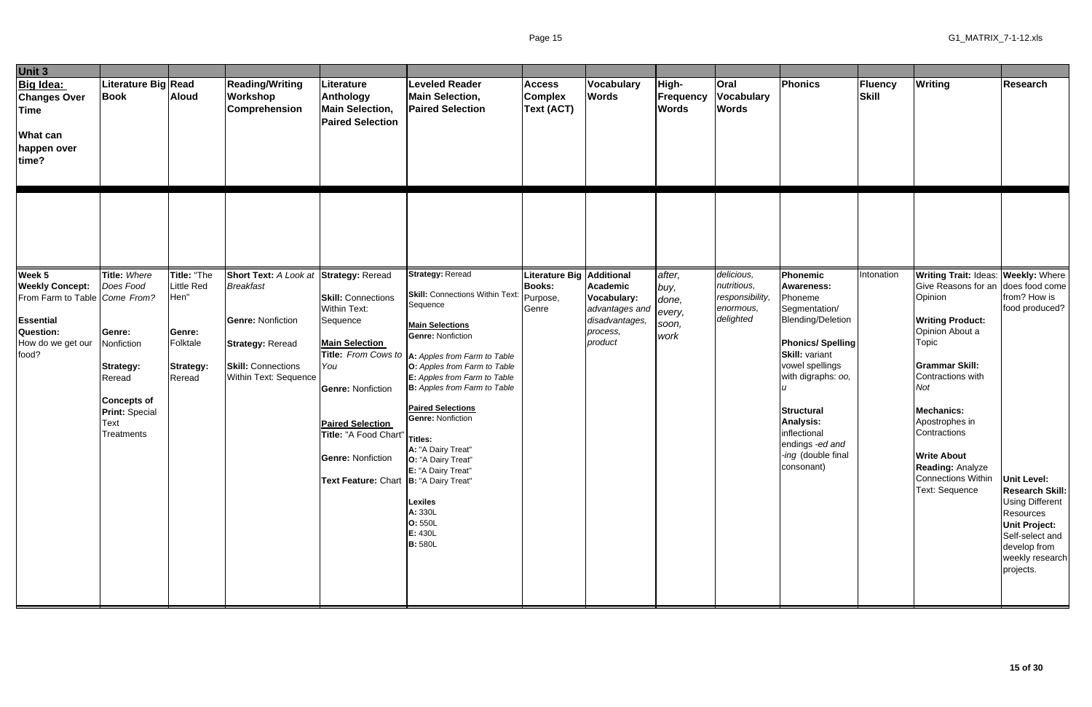| Unit 3                                                                                                                           |                                                                                                                                             |                                                                                |                                                                                                                               |                                                                                                                                                                                                                                                    |                                                                                                                                                                                                                                                                                                                                                                                                                                                                                  |                                                     |                                                                                    |                                                    |                                                                        |                                                                                                                                                                                                                                                                                 |                         |                                                                                                                                                                                                                                                                                                                                                         |                                                                                                                                                                                                                  |
|----------------------------------------------------------------------------------------------------------------------------------|---------------------------------------------------------------------------------------------------------------------------------------------|--------------------------------------------------------------------------------|-------------------------------------------------------------------------------------------------------------------------------|----------------------------------------------------------------------------------------------------------------------------------------------------------------------------------------------------------------------------------------------------|----------------------------------------------------------------------------------------------------------------------------------------------------------------------------------------------------------------------------------------------------------------------------------------------------------------------------------------------------------------------------------------------------------------------------------------------------------------------------------|-----------------------------------------------------|------------------------------------------------------------------------------------|----------------------------------------------------|------------------------------------------------------------------------|---------------------------------------------------------------------------------------------------------------------------------------------------------------------------------------------------------------------------------------------------------------------------------|-------------------------|---------------------------------------------------------------------------------------------------------------------------------------------------------------------------------------------------------------------------------------------------------------------------------------------------------------------------------------------------------|------------------------------------------------------------------------------------------------------------------------------------------------------------------------------------------------------------------|
| Big Idea:<br><b>Changes Over</b><br><b>Time</b><br><b>What can</b><br>happen over<br>time?                                       | Literature Big Read<br>Book                                                                                                                 | <b>Aloud</b>                                                                   | <b>Reading/Writing</b><br>Workshop<br><b>Comprehension</b>                                                                    | Literature<br>Anthology<br><b>Main Selection,</b><br><b>Paired Selection</b>                                                                                                                                                                       | <b>Leveled Reader</b><br><b>Main Selection,</b><br><b>Paired Selection</b>                                                                                                                                                                                                                                                                                                                                                                                                       | <b>Access</b><br><b>Complex</b><br>Text (ACT)       | Vocabulary<br><b>Words</b>                                                         | High-<br><b>Frequency</b><br><b>Words</b>          | Oral<br><b>Vocabulary</b><br><b>Words</b>                              | Phonics                                                                                                                                                                                                                                                                         | Fluency<br><b>Skill</b> | <b>Writing</b>                                                                                                                                                                                                                                                                                                                                          | <b>Research</b>                                                                                                                                                                                                  |
|                                                                                                                                  | Title: Where                                                                                                                                |                                                                                | Short Text: A Look at Strategy: Reread                                                                                        |                                                                                                                                                                                                                                                    | <b>Strategy: Reread</b>                                                                                                                                                                                                                                                                                                                                                                                                                                                          |                                                     |                                                                                    |                                                    |                                                                        | <b>Phonemic</b>                                                                                                                                                                                                                                                                 |                         |                                                                                                                                                                                                                                                                                                                                                         |                                                                                                                                                                                                                  |
| Week 5<br><b>Weekly Concept:</b><br>From Farm to Table Come From?<br><b>Essential</b><br>Question:<br>How do we get our<br>food? | Does Food<br>Genre:<br>Nonfiction<br><b>Strategy:</b><br>Reread<br><b>Concepts of</b><br><b>Print: Special</b><br><b>Text</b><br>Treatments | Title: "The<br>Little Red<br>Hen"<br>Genre:<br>Folktale<br>Strategy:<br>Reread | <b>Breakfast</b><br><b>Genre: Nonfiction</b><br><b>Strategy: Reread</b><br><b>Skill: Connections</b><br>Within Text: Sequence | <b>Skill: Connections</b><br><b>Within Text:</b><br>Sequence<br><b>Main Selection</b><br>You<br><b>Genre: Nonfiction</b><br><b>Paired Selection</b><br>Title: "A Food Chart<br><b>Genre: Nonfiction</b><br>Text Feature: Chart  B: "A Dairy Treat" | Skill: Connections Within Text: Purpose,<br>Sequence<br><b>Main Selections</b><br><b>Genre: Nonfiction</b><br>Title: From Cows to  A: Apples from Farm to Table<br>O: Apples from Farm to Table<br>E: Apples from Farm to Table<br><b>B:</b> Apples from Farm to Table<br><b>Paired Selections</b><br><b>Genre: Nonfiction</b><br>Titles:<br>A: "A Dairy Treat"<br>O: "A Dairy Treat"<br>E: "A Dairy Treat"<br><b>Lexiles</b><br>A: 330L<br>O: 550L<br>E: 430L<br><b>B:</b> 580L | Literature Big Additional<br><b>Books:</b><br>Genre | Academic<br>Vocabulary:<br>advantages and<br>disadvantages,<br>process,<br>product | after,<br>buy,<br>done,<br>every,<br>soon,<br>work | delicious,<br>nutritious,<br>responsibility,<br>enormous,<br>delighted | <b>Awareness:</b><br>Phoneme<br>Segmentation/<br><b>Blending/Deletion</b><br><b>Phonics/Spelling</b><br><b>Skill: variant</b><br>vowel spellings<br>with digraphs: oo,<br><b>Structural</b><br>Analysis:<br>inflectional<br>endings -ed and<br>-ing (double final<br>consonant) | Intonation              | <b>Writing Trait: Ideas: Weekly: Where</b><br>Give Reasons for an does food come<br>Opinion<br><b>Writing Product:</b><br>Opinion About a<br>Topic<br><b>Grammar Skill:</b><br>Contractions with<br>Not<br><b>Mechanics:</b><br>Apostrophes in<br>Contractions<br><b>Write About</b><br><b>Reading: Analyze</b><br>Connections Within<br>Text: Sequence | from? How is<br>food produced?<br><b>Unit Level:</b><br><b>Research Skill:</b><br><b>Using Different</b><br>Resources<br><b>Unit Project:</b><br>Self-select and<br>develop from<br>weekly research<br>projects. |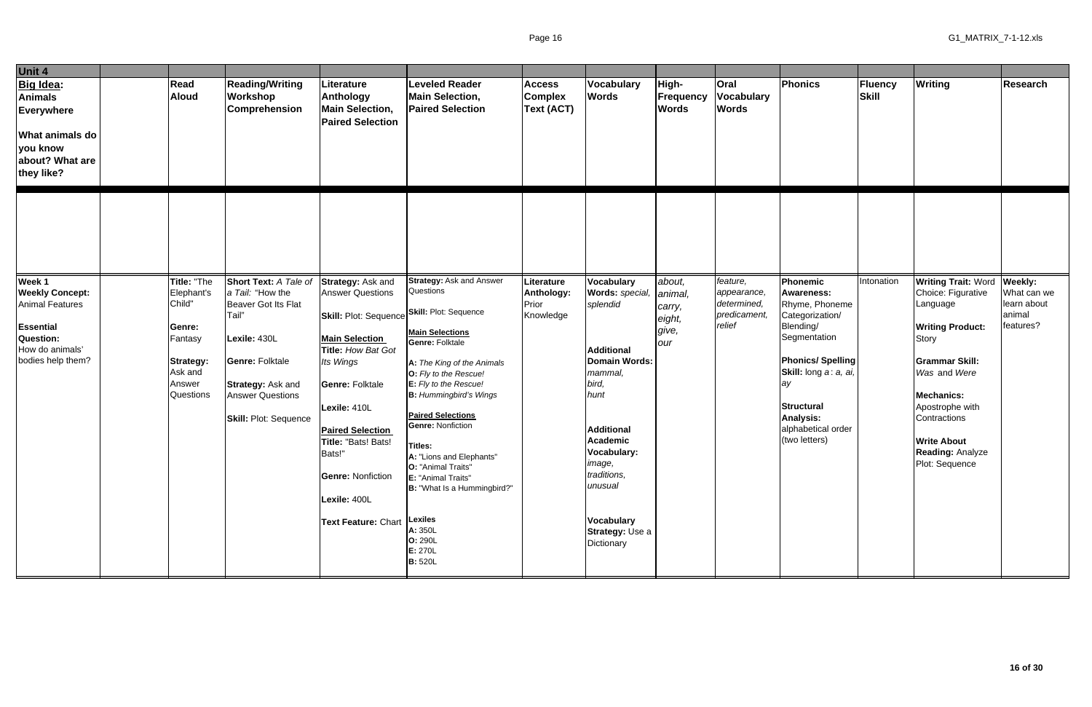| Unit 4                                                                                                                              |                                                                                                                       |                                                                                                                                                                                                                   |                                                                                                                                                                                                                                                                                                                                         |                                                                                                                                                                                                                                                                                                                                                                                                                                                           |                                                      |                                                                                                                                                                                                                                                                                          |                                                       |                                                                  |                                                                                                                                                                                                                                           |                  |                                                                                                                                                                                                                                                                              |                                                   |
|-------------------------------------------------------------------------------------------------------------------------------------|-----------------------------------------------------------------------------------------------------------------------|-------------------------------------------------------------------------------------------------------------------------------------------------------------------------------------------------------------------|-----------------------------------------------------------------------------------------------------------------------------------------------------------------------------------------------------------------------------------------------------------------------------------------------------------------------------------------|-----------------------------------------------------------------------------------------------------------------------------------------------------------------------------------------------------------------------------------------------------------------------------------------------------------------------------------------------------------------------------------------------------------------------------------------------------------|------------------------------------------------------|------------------------------------------------------------------------------------------------------------------------------------------------------------------------------------------------------------------------------------------------------------------------------------------|-------------------------------------------------------|------------------------------------------------------------------|-------------------------------------------------------------------------------------------------------------------------------------------------------------------------------------------------------------------------------------------|------------------|------------------------------------------------------------------------------------------------------------------------------------------------------------------------------------------------------------------------------------------------------------------------------|---------------------------------------------------|
| Big Idea:<br><b>Animals</b><br><b>Everywhere</b><br><b>What animals do</b><br>you know<br>about? What are<br>they like?             | Read<br><b>Aloud</b>                                                                                                  | <b>Reading/Writing</b><br>Workshop<br><b>Comprehension</b>                                                                                                                                                        | Literature<br>Anthology<br><b>Main Selection,</b><br><b>Paired Selection</b>                                                                                                                                                                                                                                                            | <b>Leveled Reader</b><br><b>Main Selection,</b><br><b>Paired Selection</b>                                                                                                                                                                                                                                                                                                                                                                                | <b>Access</b><br><b>Complex</b><br><b>Text (ACT)</b> | Vocabulary<br><b>Words</b>                                                                                                                                                                                                                                                               | High-<br><b>Frequency</b><br><b>Words</b>             | <b>Oral</b><br><b>Vocabulary</b><br><b>Words</b>                 | Phonics                                                                                                                                                                                                                                   | Fluency<br>Skill | <b>Writing</b>                                                                                                                                                                                                                                                               | <b>Research</b>                                   |
|                                                                                                                                     |                                                                                                                       |                                                                                                                                                                                                                   |                                                                                                                                                                                                                                                                                                                                         |                                                                                                                                                                                                                                                                                                                                                                                                                                                           |                                                      |                                                                                                                                                                                                                                                                                          |                                                       |                                                                  |                                                                                                                                                                                                                                           |                  |                                                                                                                                                                                                                                                                              |                                                   |
| Week 1<br><b>Weekly Concept:</b><br><b>Animal Features</b><br><b>Essential</b><br>Question:<br>How do animals'<br>bodies help them? | Title: "The<br>Elephant's<br>Child"<br>Genre:<br>Fantasy<br><b>Strategy:</b><br>Ask and<br>Answer<br><b>Questions</b> | Short Text: A Tale of<br>a Tail: "How the<br><b>Beaver Got Its Flat</b><br>Tail"<br>Lexile: 430L<br><b>Genre: Folktale</b><br><b>Strategy: Ask and</b><br><b>Answer Questions</b><br><b>Skill: Plot: Sequence</b> | Strategy: Ask and<br><b>Answer Questions</b><br><b>Skill:</b> Plot: Sequence Skill: Plot: Sequence<br><b>Main Selection</b><br>Title: How Bat Got<br>Its Wings<br><b>Genre: Folktale</b><br>Lexile: 410L<br><b>Paired Selection</b><br>Title: "Bats! Bats!<br>Bats!"<br><b>Genre: Nonfiction</b><br>Lexile: 400L<br>Text Feature: Chart | <b>Strategy: Ask and Answer</b><br>Questions<br><b>Main Selections</b><br><b>Genre: Folktale</b><br>A: The King of the Animals<br>O: Fly to the Rescue!<br>E: Fly to the Rescue!<br><b>B:</b> Hummingbird's Wings<br><b>Paired Selections</b><br><b>Genre: Nonfiction</b><br>Titles:<br>A: "Lions and Elephants"<br>O: "Animal Traits"<br>E: "Animal Traits"<br>B: "What Is a Hummingbird?"<br>Lexiles<br>A: 350L<br>O: 290L<br>E: 270L<br><b>B:</b> 520L | Literature<br>Anthology:<br>Prior<br>Knowledge       | <b>Vocabulary</b><br>Words: special,<br>splendid<br><b>Additional</b><br><b>Domain Words:</b><br>mammal,<br>bird,<br>hunt<br><b>Additional</b><br><b>Academic</b><br>Vocabulary:<br><i><b>Image,</b></i><br>traditions,<br>unusual<br><b>Vocabulary</b><br>Strategy: Use a<br>Dictionary | about,<br>animal,<br>carry,<br>eight,<br>give,<br>our | feature,<br>appearance,<br>determined,<br>predicament,<br>relief | Phonemic<br><b>Awareness:</b><br>Rhyme, Phoneme<br>Categorization/<br>Blending/<br>Segmentation<br><b>Phonics/Spelling</b><br>Skill: long a: a, ai,<br>av<br><b>Structural</b><br><b>Analysis:</b><br>alphabetical order<br>(two letters) | Intonation       | Writing Trait: Word Weekly:<br>Choice: Figurative<br>Language<br><b>Writing Product:</b><br><b>Story</b><br><b>Grammar Skill:</b><br>Was and Were<br><b>Mechanics:</b><br>Apostrophe with<br>Contractions<br><b>Write About</b><br><b>Reading: Analyze</b><br>Plot: Sequence | What can we<br>learn about<br>animal<br>features? |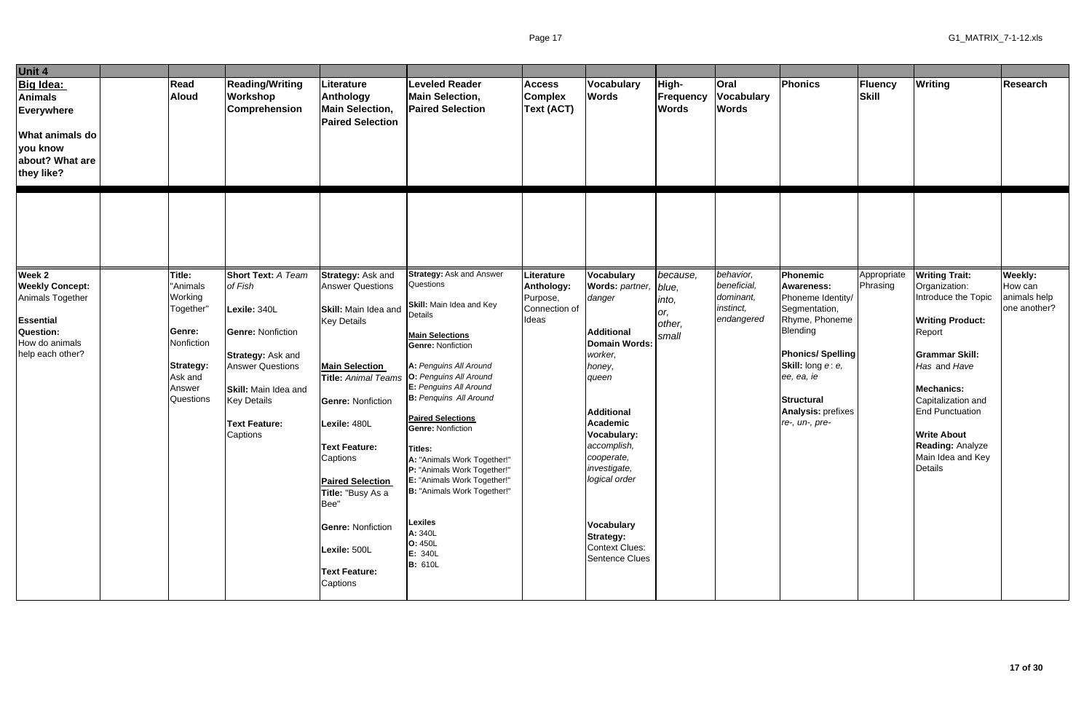| Unit 4                                                                                                                  |                                                                                                                |                                                                                                                                                                                       |                                                                                                                                                                                                                                                                           |                                                                                                                                                                                                                                                                                                                                                                                                                                                                     |                                                         |                                                                                                                                                                                                                                                |                                          |                                                     |                                                                                                                                                                                                                         |                  |                                                                                                                                                                                                                                                                          |                                         |
|-------------------------------------------------------------------------------------------------------------------------|----------------------------------------------------------------------------------------------------------------|---------------------------------------------------------------------------------------------------------------------------------------------------------------------------------------|---------------------------------------------------------------------------------------------------------------------------------------------------------------------------------------------------------------------------------------------------------------------------|---------------------------------------------------------------------------------------------------------------------------------------------------------------------------------------------------------------------------------------------------------------------------------------------------------------------------------------------------------------------------------------------------------------------------------------------------------------------|---------------------------------------------------------|------------------------------------------------------------------------------------------------------------------------------------------------------------------------------------------------------------------------------------------------|------------------------------------------|-----------------------------------------------------|-------------------------------------------------------------------------------------------------------------------------------------------------------------------------------------------------------------------------|------------------|--------------------------------------------------------------------------------------------------------------------------------------------------------------------------------------------------------------------------------------------------------------------------|-----------------------------------------|
| <b>Big Idea:</b><br><b>Animals</b><br>Everywhere<br><b>What animals do</b><br>you know<br>about? What are<br>they like? | <b>Read</b><br><b>Aloud</b>                                                                                    | <b>Reading/Writing</b><br><b>Workshop</b><br><b>Comprehension</b>                                                                                                                     | Literature<br>Anthology<br><b>Main Selection,</b><br><b>Paired Selection</b>                                                                                                                                                                                              | <b>Leveled Reader</b><br><b>Main Selection,</b><br><b>Paired Selection</b>                                                                                                                                                                                                                                                                                                                                                                                          | <b>Access</b><br><b>Complex</b><br><b>Text (ACT)</b>    | Vocabulary<br><b>Words</b>                                                                                                                                                                                                                     | High-<br>Frequency<br><b>Words</b>       | Oral<br><b>Vocabulary</b><br><b>Words</b>           | <b>Phonics</b>                                                                                                                                                                                                          | Fluency<br>Skill | <b>Writing</b>                                                                                                                                                                                                                                                           | <b>Research</b>                         |
| Week 2                                                                                                                  | Title:                                                                                                         | Short Text: A Team                                                                                                                                                                    | <b>Strategy: Ask and</b>                                                                                                                                                                                                                                                  | <b>Strategy: Ask and Answer</b>                                                                                                                                                                                                                                                                                                                                                                                                                                     | Literature                                              | <b>Vocabulary</b>                                                                                                                                                                                                                              | because,                                 | behavior,                                           | Phonemic                                                                                                                                                                                                                | Appropriate      | <b>Writing Trait:</b>                                                                                                                                                                                                                                                    | Weekly:                                 |
| <b>Weekly Concept:</b><br>Animals Together<br><b>Essential</b><br>Question:<br>How do animals<br>help each other?       | "Animals<br>Working<br>Together"<br>Genre:<br>Nonfiction<br><b>Strategy:</b><br>Ask and<br>Answer<br>Questions | of Fish<br>Lexile: 340L<br><b>Genre: Nonfiction</b><br><b>Strategy: Ask and</b><br><b>Answer Questions</b><br>Skill: Main Idea and<br><b>Key Details</b><br>Text Feature:<br>Captions | <b>Answer Questions</b><br><b>Skill:</b> Main Idea and<br><b>Key Details</b><br><b>Main Selection</b><br><b>Genre: Nonfiction</b><br>Lexile: 480L<br><b>Text Feature:</b><br>Captions<br><b>Paired Selection</b><br>Title: "Busy As a<br>Bee"<br><b>Genre: Nonfiction</b> | Questions<br>Skill: Main Idea and Key<br>Details<br><b>Main Selections</b><br><b>Genre: Nonfiction</b><br>A: Penguins All Around<br>Title: Animal Teams   O: Penguins All Around<br>E: Penguins All Around<br><b>B:</b> Penquins All Around<br><b>Paired Selections</b><br><b>Genre: Nonfiction</b><br><b>Titles:</b><br>A: "Animals Work Together!"<br>P: "Animals Work Together!"<br>E: "Animals Work Together!"<br>B: "Animals Work Together!"<br><b>Lexiles</b> | <b>Anthology:</b><br>Purpose,<br>Connection of<br>Ideas | Words: partner,<br>danger<br><b>Additional</b><br><b>Domain Words:</b><br>worker,<br>honey,<br>queen<br><b>Additional</b><br><b>Academic</b><br>Vocabulary:<br>accomplish,<br>cooperate,<br>investigate,<br>logical order<br><b>Vocabulary</b> | blue,<br>into,<br>or,<br>other,<br>small | beneficial,<br>dominant,<br>instinct,<br>endangered | <b>Awareness:</b><br>Phoneme Identity/<br>Segmentation,<br>Rhyme, Phoneme<br>Blending<br><b>Phonics/Spelling</b><br>Skill: long e: e,<br>ee, ea, ie<br><b>Structural</b><br><b>Analysis: prefixes</b><br>re-, un-, pre- | Phrasing         | Organization:<br>Introduce the Topic<br><b>Writing Product:</b><br>Report<br><b>Grammar Skill:</b><br>Has and Have<br><b>Mechanics:</b><br>Capitalization and<br><b>End Punctuation</b><br><b>Write About</b><br><b>Reading: Analyze</b><br>Main Idea and Key<br>Details | How can<br>animals help<br>one another? |
|                                                                                                                         |                                                                                                                |                                                                                                                                                                                       | Lexile: 500L<br><b>Text Feature:</b><br>Captions                                                                                                                                                                                                                          | A: 340L<br>O: 450L<br>E: 340L<br><b>B:</b> 610L                                                                                                                                                                                                                                                                                                                                                                                                                     |                                                         | <b>Strategy:</b><br><b>Context Clues:</b><br>Sentence Clues                                                                                                                                                                                    |                                          |                                                     |                                                                                                                                                                                                                         |                  |                                                                                                                                                                                                                                                                          |                                         |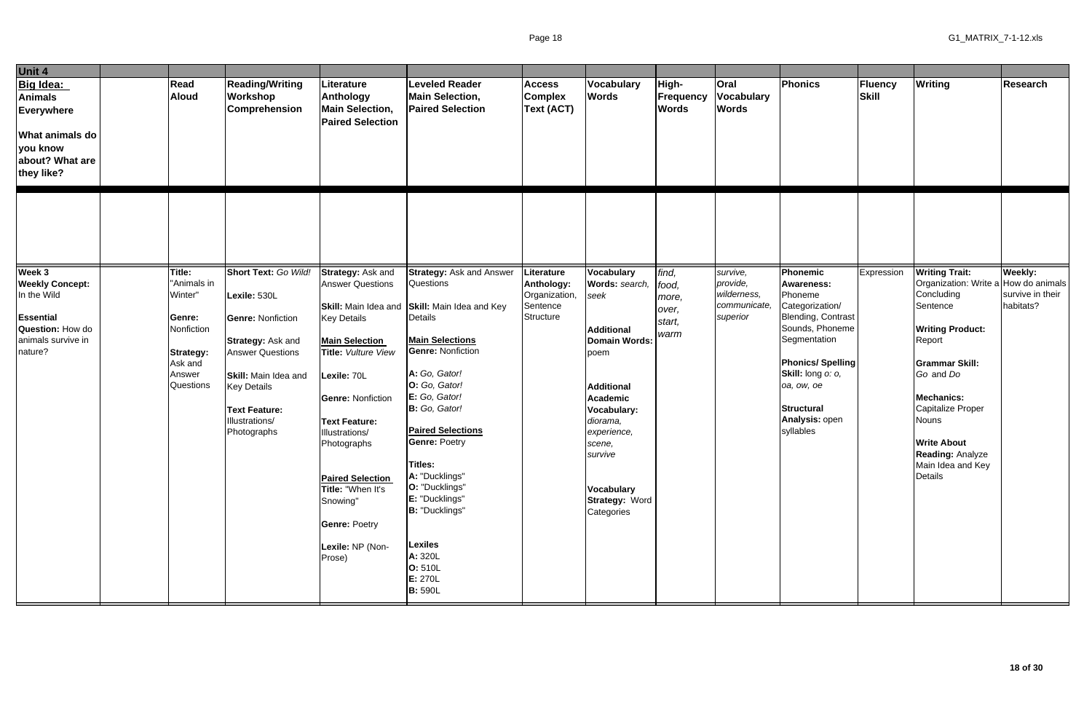| Unit 4                                                                                                    |                                                                            |                                                                                                                                                                          |                                                                                                                                                                                                                                                                                          |                                                                                                                                                                                                                                                                                                                                                             |                                                      |                                                                                                                                                                                                 |                                           |                                           |                                                                                                                                                                         |                  |                                                                                                                                                                                                                           |                               |
|-----------------------------------------------------------------------------------------------------------|----------------------------------------------------------------------------|--------------------------------------------------------------------------------------------------------------------------------------------------------------------------|------------------------------------------------------------------------------------------------------------------------------------------------------------------------------------------------------------------------------------------------------------------------------------------|-------------------------------------------------------------------------------------------------------------------------------------------------------------------------------------------------------------------------------------------------------------------------------------------------------------------------------------------------------------|------------------------------------------------------|-------------------------------------------------------------------------------------------------------------------------------------------------------------------------------------------------|-------------------------------------------|-------------------------------------------|-------------------------------------------------------------------------------------------------------------------------------------------------------------------------|------------------|---------------------------------------------------------------------------------------------------------------------------------------------------------------------------------------------------------------------------|-------------------------------|
| Big Idea:<br>Animals<br>Everywhere<br><b>What animals do</b><br>you know<br>about? What are<br>they like? | Read<br><b>Aloud</b>                                                       | <b>Reading/Writing</b><br>Workshop<br><b>Comprehension</b>                                                                                                               | Literature<br>Anthology<br><b>Main Selection,</b><br><b>Paired Selection</b>                                                                                                                                                                                                             | <b>Leveled Reader</b><br><b>Main Selection,</b><br><b>Paired Selection</b>                                                                                                                                                                                                                                                                                  | <b>Access</b><br><b>Complex</b><br><b>Text (ACT)</b> | Vocabulary<br><b>Words</b>                                                                                                                                                                      | High-<br><b>Frequency</b><br><b>Words</b> | Oral<br><b>Vocabulary</b><br><b>Words</b> | Phonics                                                                                                                                                                 | Fluency<br>Skill | Writing                                                                                                                                                                                                                   | <b>Research</b>               |
| Week 3                                                                                                    | Title:                                                                     | Short Text: Go Wild!                                                                                                                                                     | Strategy: Ask and                                                                                                                                                                                                                                                                        | <b>Strategy: Ask and Answer</b>                                                                                                                                                                                                                                                                                                                             | Literature                                           | Vocabulary                                                                                                                                                                                      | find,                                     | survive,                                  | Phonemic                                                                                                                                                                | Expression       | <b>Writing Trait:</b>                                                                                                                                                                                                     | Weekly:                       |
| <b>Weekly Concept:</b><br>In the Wild                                                                     | "Animals in<br>Winter"                                                     | Lexile: 530L                                                                                                                                                             | <b>Answer Questions</b>                                                                                                                                                                                                                                                                  | Questions<br>Skill: Main Idea and Skill: Main Idea and Key                                                                                                                                                                                                                                                                                                  | Anthology:<br>Organization,<br>Sentence              | Words: search,<br>seek                                                                                                                                                                          | food,<br>more,<br>over,                   | provide,<br>wilderness,<br>communicate,   | <b>Awareness:</b><br>Phoneme<br>Categorization/                                                                                                                         |                  | Organization: Write a How do animals<br>Concluding<br>Sentence                                                                                                                                                            | survive in their<br>habitats? |
| <b>Essential</b><br>Question: How do<br>animals survive in<br>nature?                                     | Genre:<br>Nonfiction<br><b>Strategy:</b><br>Ask and<br>Answer<br>Questions | <b>Genre: Nonfiction</b><br>Strategy: Ask and<br><b>Answer Questions</b><br>Skill: Main Idea and<br><b>Key Details</b><br>Text Feature:<br>Illustrations/<br>Photographs | <b>Key Details</b><br><b>Main Selection</b><br>Title: Vulture View<br>Lexile: 70L<br><b>Genre: Nonfiction</b><br><b>Text Feature:</b><br>Illustrations/<br>Photographs<br><b>Paired Selection</b><br>Title: "When It's<br>Snowing"<br><b>Genre: Poetry</b><br>Lexile: NP (Non-<br>Prose) | Details<br><b>Main Selections</b><br><b>Genre: Nonfiction</b><br>A: Go, Gator!<br>O: Go, Gator!<br>E: Go, Gator!<br>B: Go, Gator!<br><b>Paired Selections</b><br><b>Genre: Poetry</b><br><b>Titles:</b><br>A: "Ducklings"<br>O: "Ducklings"<br>E: "Ducklings"<br><b>B: "Ducklings"</b><br><b>Lexiles</b><br>A: 320L<br>O: 510L<br>E: 270L<br><b>B: 590L</b> | Structure                                            | <b>Additional</b><br>Domain Words:<br>poem<br><b>Additional</b><br><b>Academic</b><br>Vocabulary:<br>diorama,<br>experience,<br>scene,<br>survive<br>Vocabulary<br>Strategy: Word<br>Categories | start,<br>warm                            | superior                                  | Blending, Contrast<br>Sounds, Phoneme<br>Segmentation<br><b>Phonics/Spelling</b><br>Skill: long o: o,<br>oa, ow, oe<br><b>Structural</b><br>Analysis: open<br>syllables |                  | <b>Writing Product:</b><br>Report<br><b>Grammar Skill:</b><br>Go and Do<br><b>Mechanics:</b><br>Capitalize Proper<br><b>Nouns</b><br><b>Write About</b><br><b>Reading: Analyze</b><br>Main Idea and Key<br><b>Details</b> |                               |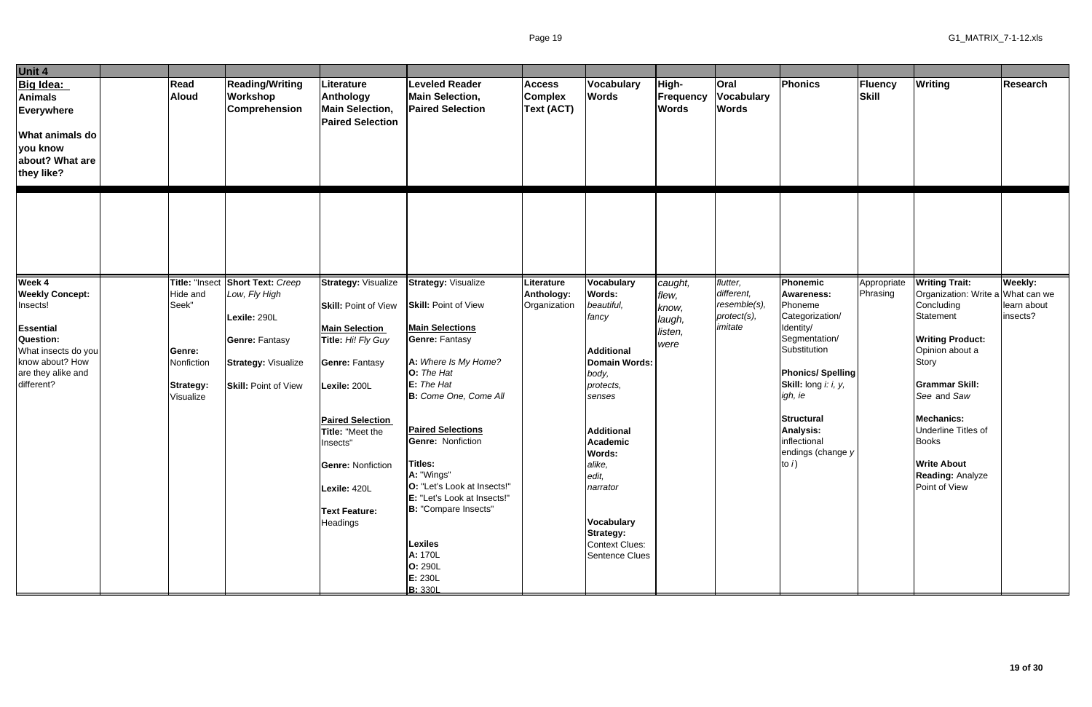| Unit 4                                                                                                                                                             |                                                                                       |                                                                                                                                          |                                                                                                                                                                                                       |                                                                                                                                                                                                                                                   |                                                      |                                                                                                                                                           |                                                        |                                                                 |                                                                                                                                                                                                                                  |                         |                                                                                                                                                                                                                                                         |                                    |
|--------------------------------------------------------------------------------------------------------------------------------------------------------------------|---------------------------------------------------------------------------------------|------------------------------------------------------------------------------------------------------------------------------------------|-------------------------------------------------------------------------------------------------------------------------------------------------------------------------------------------------------|---------------------------------------------------------------------------------------------------------------------------------------------------------------------------------------------------------------------------------------------------|------------------------------------------------------|-----------------------------------------------------------------------------------------------------------------------------------------------------------|--------------------------------------------------------|-----------------------------------------------------------------|----------------------------------------------------------------------------------------------------------------------------------------------------------------------------------------------------------------------------------|-------------------------|---------------------------------------------------------------------------------------------------------------------------------------------------------------------------------------------------------------------------------------------------------|------------------------------------|
| Big Idea:<br><b>Animals</b><br><b>Everywhere</b><br><b>What animals do</b><br>you know<br>about? What are<br>they like?                                            | Read<br><b>Aloud</b>                                                                  | <b>Reading/Writing</b><br>Workshop<br><b>Comprehension</b>                                                                               | Literature<br>Anthology<br><b>Main Selection,</b><br><b>Paired Selection</b>                                                                                                                          | <b>Leveled Reader</b><br><b>Main Selection,</b><br><b>Paired Selection</b>                                                                                                                                                                        | <b>Access</b><br><b>Complex</b><br><b>Text (ACT)</b> | <b>Vocabulary</b><br><b>Words</b>                                                                                                                         | High-<br>Frequency<br><b>Words</b>                     | <b>Oral</b><br>Vocabulary<br><b>Words</b>                       | Phonics                                                                                                                                                                                                                          | Fluency<br>Skill        | <b>Writing</b>                                                                                                                                                                                                                                          | <b>Research</b>                    |
|                                                                                                                                                                    |                                                                                       |                                                                                                                                          |                                                                                                                                                                                                       |                                                                                                                                                                                                                                                   |                                                      |                                                                                                                                                           |                                                        |                                                                 |                                                                                                                                                                                                                                  |                         |                                                                                                                                                                                                                                                         |                                    |
| Week 4<br><b>Weekly Concept:</b><br>Insects!<br><b>Essential</b><br><b>Question:</b><br>What insects do you<br>know about? How<br>are they alike and<br>different? | Title: "Insect<br>Hide and<br>Seek"<br>Genre:<br>Nonfiction<br>Strategy:<br>Visualize | Short Text: Creep<br>Low, Fly High<br>Lexile: 290L<br><b>Genre: Fantasy</b><br><b>Strategy: Visualize</b><br><b>Skill: Point of View</b> | <b>Strategy: Visualize</b><br><b>Skill: Point of View</b><br><b>Main Selection</b><br>Title: Hi! Fly Guy<br>Genre: Fantasy<br>Lexile: 200L<br><b>Paired Selection</b><br>Title: "Meet the<br>Insects" | <b>Strategy: Visualize</b><br><b>Skill: Point of View</b><br><b>Main Selections</b><br><b>Genre: Fantasy</b><br>A: Where Is My Home?<br>O: The Hat<br>E: The Hat<br>B: Come One, Come All<br><b>Paired Selections</b><br><b>Genre: Nonfiction</b> | Literature<br>Anthology:<br>Organization             | Vocabulary<br>Words:<br>beautiful,<br>fancy<br><b>Additional</b><br>Domain Words:<br>body,<br>protects,<br>senses<br><b>Additional</b><br><b>Academic</b> | caught,<br>flew,<br>know,<br>laugh,<br>listen,<br>were | flutter,<br>different,<br>resemble(s)<br>protect(s),<br>imitate | Phonemic<br><b>Awareness:</b><br>Phoneme<br>Categorization/<br>Identity/<br>Segmentation/<br>Substitution<br><b>Phonics/Spelling</b><br>Skill: long i: i, y,<br>igh, ie<br><b>Structural</b><br><b>Analysis:</b><br>inflectional | Appropriate<br>Phrasing | <b>Writing Trait:</b><br>Organization: Write a What can we<br>Concluding<br>Statement<br><b>Writing Product:</b><br>Opinion about a<br><b>Story</b><br><b>Grammar Skill:</b><br>See and Saw<br>Mechanics:<br><b>Underline Titles of</b><br><b>Books</b> | Weekly:<br>learn about<br>insects? |
|                                                                                                                                                                    |                                                                                       |                                                                                                                                          | <b>Genre: Nonfiction</b><br>Lexile: 420L<br><b>Text Feature:</b><br>Headings                                                                                                                          | Titles:<br>A: "Wings"<br>O: "Let's Look at Insects!"<br>E: "Let's Look at Insects!"<br>B: "Compare Insects"<br>Lexiles<br>A: 170L<br>O: 290L<br>E: 230L<br><b>B:</b> 330L                                                                         |                                                      | Words:<br>alike,<br>edit,<br>narrator<br><b>Vocabulary</b><br><b>Strategy:</b><br><b>Context Clues:</b><br><b>Sentence Clues</b>                          |                                                        |                                                                 | endings (change y<br>to $i$ )                                                                                                                                                                                                    |                         | <b>Write About</b><br><b>Reading: Analyze</b><br>Point of View                                                                                                                                                                                          |                                    |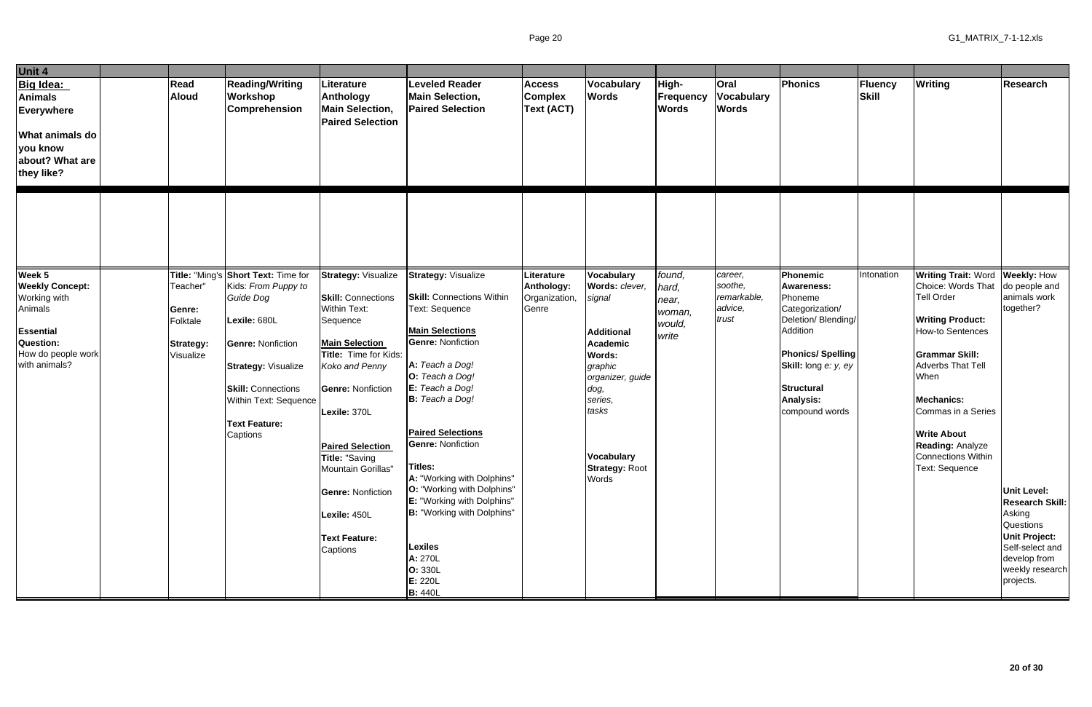| Unit 4                                                                                                                    |                                                          |                                                                                                                                                                                                      |                                                                                                                                                                                                                                                 |                                                                                                                                                                                                                                                                |                                               |                                                                                                                                                                              |                                             |                                            |                                                                                                                                                                                                 |                  |                                                                                                                                                                                                                                                                                                       |                                                                                                                                                                |
|---------------------------------------------------------------------------------------------------------------------------|----------------------------------------------------------|------------------------------------------------------------------------------------------------------------------------------------------------------------------------------------------------------|-------------------------------------------------------------------------------------------------------------------------------------------------------------------------------------------------------------------------------------------------|----------------------------------------------------------------------------------------------------------------------------------------------------------------------------------------------------------------------------------------------------------------|-----------------------------------------------|------------------------------------------------------------------------------------------------------------------------------------------------------------------------------|---------------------------------------------|--------------------------------------------|-------------------------------------------------------------------------------------------------------------------------------------------------------------------------------------------------|------------------|-------------------------------------------------------------------------------------------------------------------------------------------------------------------------------------------------------------------------------------------------------------------------------------------------------|----------------------------------------------------------------------------------------------------------------------------------------------------------------|
| Big Idea:<br>Animals<br>Everywhere<br><b>What animals do</b><br>you know<br>about? What are<br>they like?                 | Read<br><b>Aloud</b>                                     | <b>Reading/Writing</b><br>Workshop<br><b>Comprehension</b>                                                                                                                                           | Literature<br>Anthology<br><b>Main Selection,</b><br><b>Paired Selection</b>                                                                                                                                                                    | <b>Leveled Reader</b><br><b>Main Selection,</b><br><b>Paired Selection</b>                                                                                                                                                                                     | <b>Access</b><br><b>Complex</b><br>Text (ACT) | Vocabulary<br><b>Words</b>                                                                                                                                                   | High-<br>Frequency<br><b>Words</b>          | Oral<br><b>Vocabulary</b><br><b>Words</b>  | Phonics                                                                                                                                                                                         | Fluency<br>Skill | Writing                                                                                                                                                                                                                                                                                               | <b>Research</b>                                                                                                                                                |
| Week 5                                                                                                                    |                                                          | Title: "Ming's Short Text: Time for                                                                                                                                                                  | <b>Strategy: Visualize</b>                                                                                                                                                                                                                      | <b>Strategy: Visualize</b>                                                                                                                                                                                                                                     | Literature                                    | Vocabulary                                                                                                                                                                   | found,                                      | career,                                    | Phonemic                                                                                                                                                                                        | Intonation       | <b>Writing Trait: Word</b>                                                                                                                                                                                                                                                                            | <b>Weekly: How</b>                                                                                                                                             |
| <b>Weekly Concept:</b><br>Working with<br>Animals<br><b>Essential</b><br>Question:<br>How do people work<br>with animals? | Teacher"<br>Genre:<br>Folktale<br>Strategy:<br>Visualize | Kids: From Puppy to<br>Guide Dog<br>Lexile: 680L<br><b>Genre: Nonfiction</b><br><b>Strategy: Visualize</b><br><b>Skill: Connections</b><br>Within Text: Sequence<br><b>Text Feature:</b><br>Captions | <b>Skill: Connections</b><br><b>Within Text:</b><br>Sequence<br><b>Main Selection</b><br>Title: Time for Kids:<br>Koko and Penny<br><b>Genre: Nonfiction</b><br>Lexile: 370L<br><b>Paired Selection</b><br>Title: "Saving<br>Mountain Gorillas" | <b>Skill: Connections Within</b><br>Text: Sequence<br><b>Main Selections</b><br><b>Genre: Nonfiction</b><br>A: Teach a Dog!<br>O: Teach a Dog!<br>E: Teach a Dog!<br><b>B:</b> Teach a Dog!<br><b>Paired Selections</b><br><b>Genre: Nonfiction</b><br>Titles: | Anthology:<br>Organization,<br>Genre          | Words: clever,<br>signal<br><b>Additional</b><br>Academic<br><b>Words:</b><br>graphic<br>organizer, guide<br>dog,<br>series,<br>tasks<br>Vocabulary<br><b>Strategy: Root</b> | hard,<br>near,<br>woman,<br>would,<br>write | soothe,<br>remarkable,<br>advice,<br>trust | <b>Awareness:</b><br>Phoneme<br>Categorization/<br>Deletion/Blending/<br>Addition<br><b>Phonics/Spelling</b><br>Skill: long e: y, ey<br><b>Structural</b><br><b>Analysis:</b><br>compound words |                  | Choice: Words That<br><b>Tell Order</b><br><b>Writing Product:</b><br><b>How-to Sentences</b><br><b>Grammar Skill:</b><br><b>Adverbs That Tell</b><br>When<br><b>Mechanics:</b><br>Commas in a Series<br><b>Write About</b><br><b>Reading: Analyze</b><br><b>Connections Within</b><br>Text: Sequence | do people and<br>animals work<br>together?                                                                                                                     |
|                                                                                                                           |                                                          |                                                                                                                                                                                                      | <b>Genre: Nonfiction</b><br>Lexile: 450L<br><b>Text Feature:</b><br>Captions                                                                                                                                                                    | A: "Working with Dolphins"<br>O: "Working with Dolphins"<br>E: "Working with Dolphins"<br>B: "Working with Dolphins"<br><b>Lexiles</b><br>A: 270L<br>O: 330L<br>E: 220L<br><b>B: 440L</b>                                                                      |                                               | Words                                                                                                                                                                        |                                             |                                            |                                                                                                                                                                                                 |                  |                                                                                                                                                                                                                                                                                                       | <b>Unit Level:</b><br><b>Research Skill:</b><br>Asking<br>Questions<br><b>Unit Project:</b><br>Self-select and<br>develop from<br>weekly research<br>projects. |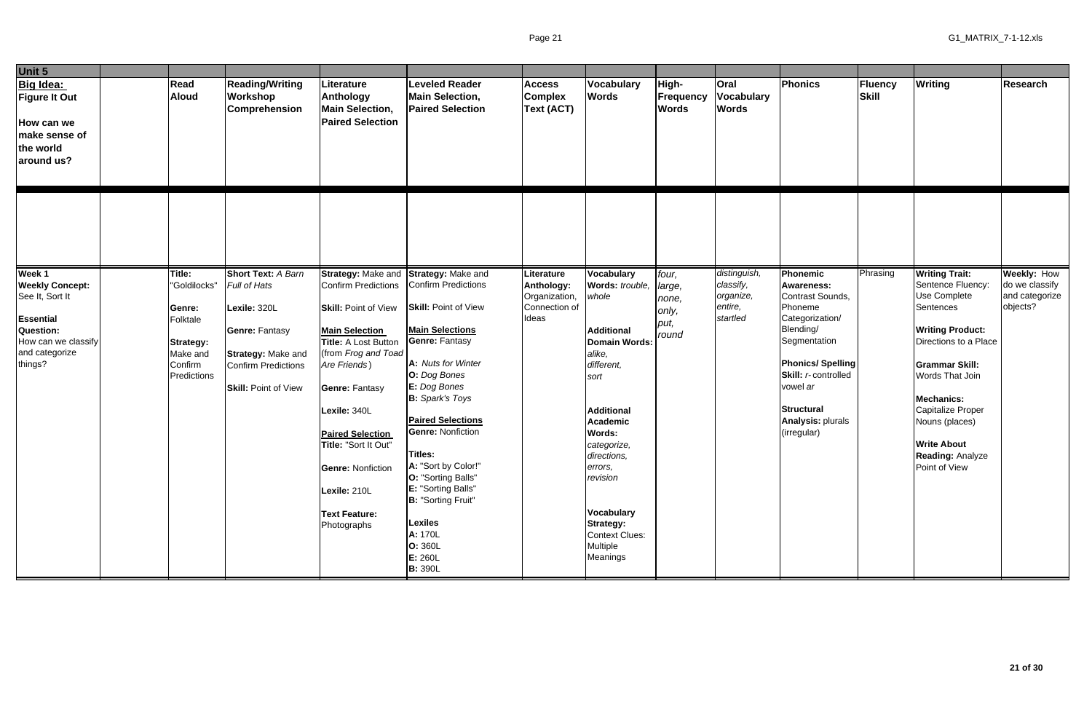| Unit 5                                                                                                                                          |                                                                                                        |                                                                                                                                                                       |                                                                                                                                                                                                                                                                                                                                                 |                                                                                                                                                                                                                                                                                                                                                                                                                     |                                                                     |                                                                                                                                                                                                                                                                                                                      |                                                    |                                                               |                                                                                                                                                                                                                                            |                  |                                                                                                                                                                                                                                                                                                              |                                                                    |
|-------------------------------------------------------------------------------------------------------------------------------------------------|--------------------------------------------------------------------------------------------------------|-----------------------------------------------------------------------------------------------------------------------------------------------------------------------|-------------------------------------------------------------------------------------------------------------------------------------------------------------------------------------------------------------------------------------------------------------------------------------------------------------------------------------------------|---------------------------------------------------------------------------------------------------------------------------------------------------------------------------------------------------------------------------------------------------------------------------------------------------------------------------------------------------------------------------------------------------------------------|---------------------------------------------------------------------|----------------------------------------------------------------------------------------------------------------------------------------------------------------------------------------------------------------------------------------------------------------------------------------------------------------------|----------------------------------------------------|---------------------------------------------------------------|--------------------------------------------------------------------------------------------------------------------------------------------------------------------------------------------------------------------------------------------|------------------|--------------------------------------------------------------------------------------------------------------------------------------------------------------------------------------------------------------------------------------------------------------------------------------------------------------|--------------------------------------------------------------------|
| Big Idea:<br><b>Figure It Out</b><br>How can we<br>make sense of<br>the world<br>around us?                                                     | Read<br><b>Aloud</b>                                                                                   | <b>Reading/Writing</b><br><b>Workshop</b><br>Comprehension                                                                                                            | Literature<br><b>Anthology</b><br><b>Main Selection,</b><br><b>Paired Selection</b>                                                                                                                                                                                                                                                             | <b>Leveled Reader</b><br><b>Main Selection,</b><br><b>Paired Selection</b>                                                                                                                                                                                                                                                                                                                                          | <b>Access</b><br><b>Complex</b><br><b>Text (ACT)</b>                | <b>Vocabulary</b><br><b>Words</b>                                                                                                                                                                                                                                                                                    | High-<br><b>Frequency</b><br><b>Words</b>          | <b>Oral</b><br><b>Vocabulary</b><br><b>Words</b>              | Phonics                                                                                                                                                                                                                                    | Fluency<br>Skill | Writing                                                                                                                                                                                                                                                                                                      | Research                                                           |
|                                                                                                                                                 |                                                                                                        |                                                                                                                                                                       |                                                                                                                                                                                                                                                                                                                                                 |                                                                                                                                                                                                                                                                                                                                                                                                                     |                                                                     |                                                                                                                                                                                                                                                                                                                      |                                                    |                                                               |                                                                                                                                                                                                                                            |                  |                                                                                                                                                                                                                                                                                                              |                                                                    |
| Week 1<br><b>Weekly Concept:</b><br>See It, Sort It<br><b>Essential</b><br><b>Question:</b><br>How can we classify<br>and categorize<br>things? | Title:<br>"Goldilocks"<br>Genre:<br>Folktale<br><b>Strategy:</b><br>Make and<br>Confirm<br>Predictions | Short Text: A Barn<br><b>Full of Hats</b><br>Lexile: 320L<br><b>Genre: Fantasy</b><br>Strategy: Make and<br><b>Confirm Predictions</b><br><b>Skill: Point of View</b> | Strategy: Make and<br>Confirm Predictions<br><b>Skill: Point of View</b><br><b>Main Selection</b><br>Title: A Lost Button<br>(from Frog and Toad<br>Are Friends)<br><b>Genre: Fantasy</b><br>Lexile: 340L<br><b>Paired Selection</b><br>Title: "Sort It Out"<br><b>Genre: Nonfiction</b><br>Lexile: 210L<br><b>Text Feature:</b><br>Photographs | Strategy: Make and<br>Confirm Predictions<br><b>Skill: Point of View</b><br><b>Main Selections</b><br><b>Genre: Fantasy</b><br>A: Nuts for Winter<br>O: Dog Bones<br>E: Dog Bones<br><b>B:</b> Spark's Toys<br><b>Paired Selections</b><br><b>Genre: Nonfiction</b><br>Titles:<br>A: "Sort by Color!"<br>O: "Sorting Balls"<br>E: "Sorting Balls"<br>B: "Sorting Fruit"<br>Lexiles<br>A: 170L<br>O: 360L<br>E: 260L | Literature<br>Anthology:<br>Organization,<br>Connection of<br>Ideas | <b>Vocabulary</b><br>Words: trouble,<br>whole<br><b>Additional</b><br><b>Domain Words:</b><br>alike,<br>different,<br>sort<br><b>Additional</b><br><b>Academic</b><br>Words:<br>categorize,<br>directions,<br>errors,<br>revision<br>Vocabulary<br><b>Strategy:</b><br><b>Context Clues:</b><br>Multiple<br>Meanings | four,<br>large,<br>none,<br>only,<br>put,<br>round | distinguish,<br>classify,<br>organize,<br>entire,<br>startled | Phonemic<br><b>Awareness:</b><br>Contrast Sounds,<br>Phoneme<br>Categorization/<br>Blending/<br>Segmentation<br><b>Phonics/Spelling</b><br>Skill: r-controlled<br>vowel ar<br><b>Structural</b><br><b>Analysis: plurals</b><br>(irregular) | Phrasing         | <b>Writing Trait:</b><br>Sentence Fluency:<br><b>Use Complete</b><br>Sentences<br><b>Writing Product:</b><br>Directions to a Place<br><b>Grammar Skill:</b><br>Words That Join<br><b>Mechanics:</b><br>Capitalize Proper<br>Nouns (places)<br><b>Write About</b><br><b>Reading: Analyze</b><br>Point of View | <b>Weekly: How</b><br>do we classify<br>and categorize<br>objects? |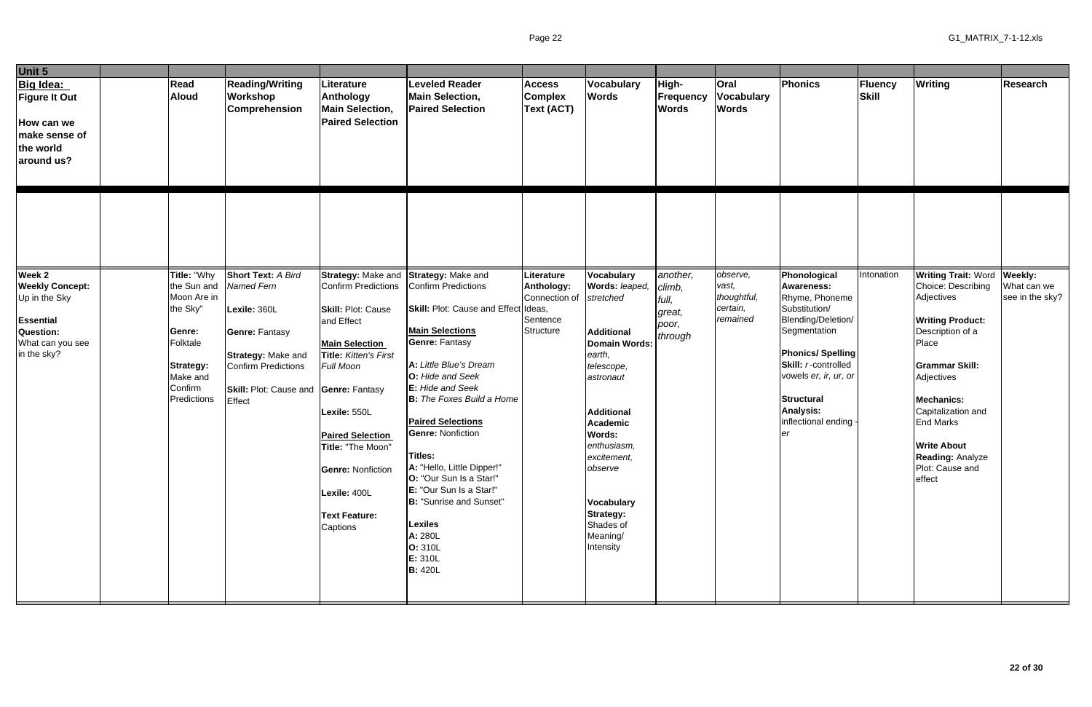| Unit 5                                                                                                         |                                                                                                                                       |                                                                                                                                                                                                |                                                                                                                                                                                                                    |                                                                                                                                                                                                                                                                                                                                                                |                                                                    |                                                                                                                                                                                                          |                                                           |                                                          |                                                                                                                                                                                                                                                         |                  |                                                                                                                                                                                                                                                                                                          |                                |
|----------------------------------------------------------------------------------------------------------------|---------------------------------------------------------------------------------------------------------------------------------------|------------------------------------------------------------------------------------------------------------------------------------------------------------------------------------------------|--------------------------------------------------------------------------------------------------------------------------------------------------------------------------------------------------------------------|----------------------------------------------------------------------------------------------------------------------------------------------------------------------------------------------------------------------------------------------------------------------------------------------------------------------------------------------------------------|--------------------------------------------------------------------|----------------------------------------------------------------------------------------------------------------------------------------------------------------------------------------------------------|-----------------------------------------------------------|----------------------------------------------------------|---------------------------------------------------------------------------------------------------------------------------------------------------------------------------------------------------------------------------------------------------------|------------------|----------------------------------------------------------------------------------------------------------------------------------------------------------------------------------------------------------------------------------------------------------------------------------------------------------|--------------------------------|
| Big Idea:<br><b>Figure It Out</b><br>How can we<br>make sense of<br>the world<br>around us?                    | Read<br>Aloud                                                                                                                         | <b>Reading/Writing</b><br>Workshop<br><b>Comprehension</b>                                                                                                                                     | <b>Literature</b><br>Anthology<br><b>Main Selection,</b><br><b>Paired Selection</b>                                                                                                                                | <b>Leveled Reader</b><br><b>Main Selection,</b><br><b>Paired Selection</b>                                                                                                                                                                                                                                                                                     | <b>Access</b><br><b>Complex</b><br><b>Text (ACT)</b>               | Vocabulary<br><b>Words</b>                                                                                                                                                                               | High-<br>Frequency<br><b>Words</b>                        | Oral<br><b>Vocabulary</b><br><b>Words</b>                | Phonics                                                                                                                                                                                                                                                 | Fluency<br>Skill | <b>Writing</b>                                                                                                                                                                                                                                                                                           | <b>Research</b>                |
| Week 2<br><b>Weekly Concept:</b><br>Up in the Sky<br>Essential<br>Question:<br>What can you see<br>in the sky? | Title: "Why<br>the Sun and<br>Moon Are in<br>the Sky"<br>Genre:<br>Folktale<br><b>Strategy:</b><br>Make and<br>Confirm<br>Predictions | <b>Short Text: A Bird</b><br>Named Fern<br>Lexile: 360L<br><b>Genre: Fantasy</b><br><b>Strategy: Make and</b><br><b>Confirm Predictions</b><br>Skill: Plot: Cause and Genre: Fantasy<br>Effect | Confirm Predictions<br>Skill: Plot: Cause<br>and Effect<br><b>Main Selection</b><br>Title: Kitten's First<br>Full Moon<br>Lexile: 550L<br><b>Paired Selection</b><br>Title: "The Moon"<br><b>Genre: Nonfiction</b> | Strategy: Make and Strategy: Make and<br>Confirm Predictions<br>Skill: Plot: Cause and Effect Ideas,<br><b>Main Selections</b><br><b>Genre: Fantasy</b><br>A: Little Blue's Dream<br>O: Hide and Seek<br>E: Hide and Seek<br><b>B:</b> The Foxes Build a Home<br><b>Paired Selections</b><br><b>Genre: Nonfiction</b><br>Titles:<br>A: "Hello, Little Dipper!" | Literature<br>Anthology:<br>Connection of<br>Sentence<br>Structure | Vocabulary<br>Words: leaped,<br>stretched<br><b>Additional</b><br>Domain Words:<br>earth,<br>telescope,<br>astronaut<br><b>Additional</b><br>Academic<br>Words:<br>enthusiasm,<br>excitement,<br>observe | another,<br>climb,<br>full,<br>great,<br>poor,<br>through | observe,<br>vast,<br>thoughtful,<br>certain,<br>remained | Phonological<br><b>Awareness:</b><br>Rhyme, Phoneme<br>Substitution/<br>Blending/Deletion/<br>Segmentation<br><b>Phonics/Spelling</b><br>Skill: r-controlled<br>vowels er, ir, ur, or<br><b>Structural</b><br><b>Analysis:</b><br>inflectional ending - | Intonation       | <b>Writing Trait: Word Weekly:</b><br>Choice: Describing<br>Adjectives<br><b>Writing Product:</b><br>Description of a<br>Place<br><b>Grammar Skill:</b><br>Adjectives<br><b>Mechanics:</b><br>Capitalization and<br><b>End Marks</b><br><b>Write About</b><br><b>Reading: Analyze</b><br>Plot: Cause and | What can we<br>see in the sky? |
|                                                                                                                |                                                                                                                                       |                                                                                                                                                                                                | Lexile: 400L<br><b>Text Feature:</b><br>Captions                                                                                                                                                                   | O: "Our Sun Is a Star!"<br>E: "Our Sun Is a Star!"<br>B: "Sunrise and Sunset"<br><b>Lexiles</b><br>A: 280L<br>O: 310L<br>E: 310L<br><b>B:</b> 420L                                                                                                                                                                                                             |                                                                    | Vocabulary<br><b>Strategy:</b><br>Shades of<br>Meaning/<br>Intensity                                                                                                                                     |                                                           |                                                          |                                                                                                                                                                                                                                                         |                  | effect                                                                                                                                                                                                                                                                                                   |                                |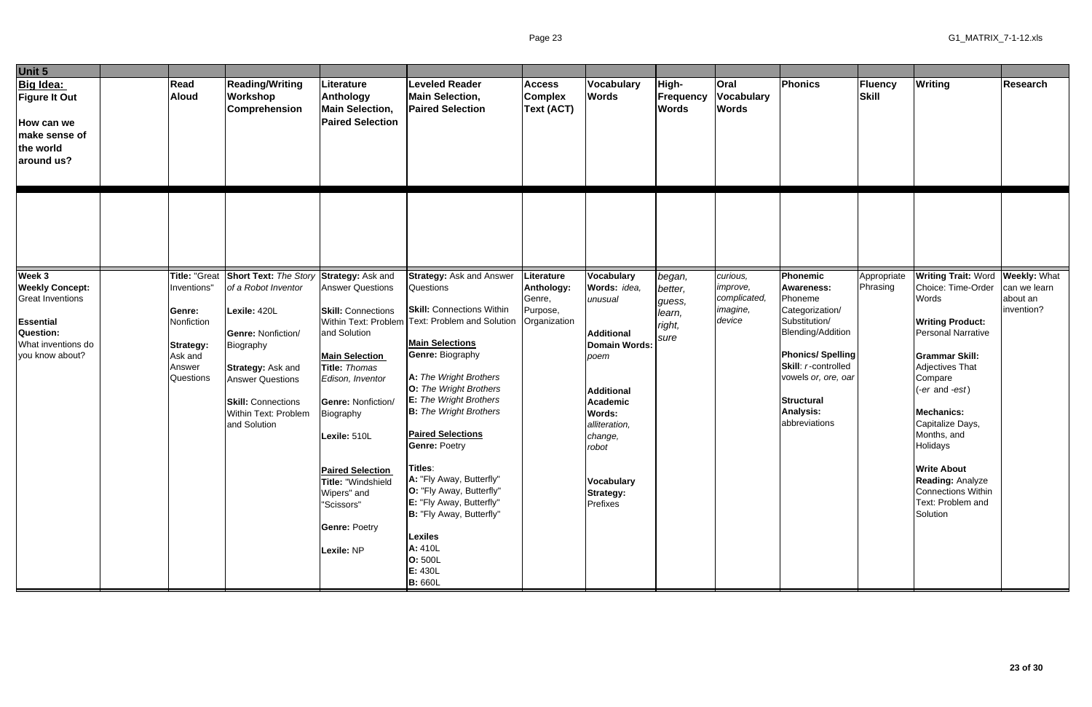| Unit 5                                                                                                                         |                                                                                                                   |                                                                                                                                                                                                                                           |                                                                                                                                                                                                                                                                                                                                       |                                                                                                                                                                                                                                                                                                                                                                                                                                                                                                                                                                    |                                                                |                                                                                                                                                                                                                                 |                                                         |                                                            |                                                                                                                                                                                                                                                    |                                |                                                                                                                                                                                                                                                                                                                                                                                       |                                        |
|--------------------------------------------------------------------------------------------------------------------------------|-------------------------------------------------------------------------------------------------------------------|-------------------------------------------------------------------------------------------------------------------------------------------------------------------------------------------------------------------------------------------|---------------------------------------------------------------------------------------------------------------------------------------------------------------------------------------------------------------------------------------------------------------------------------------------------------------------------------------|--------------------------------------------------------------------------------------------------------------------------------------------------------------------------------------------------------------------------------------------------------------------------------------------------------------------------------------------------------------------------------------------------------------------------------------------------------------------------------------------------------------------------------------------------------------------|----------------------------------------------------------------|---------------------------------------------------------------------------------------------------------------------------------------------------------------------------------------------------------------------------------|---------------------------------------------------------|------------------------------------------------------------|----------------------------------------------------------------------------------------------------------------------------------------------------------------------------------------------------------------------------------------------------|--------------------------------|---------------------------------------------------------------------------------------------------------------------------------------------------------------------------------------------------------------------------------------------------------------------------------------------------------------------------------------------------------------------------------------|----------------------------------------|
| Big Idea:<br><b>Figure It Out</b><br>How can we<br>make sense of<br>the world<br>around us?                                    | Read<br><b>Aloud</b>                                                                                              | <b>Reading/Writing</b><br>Workshop<br>Comprehension                                                                                                                                                                                       | Literature<br>Anthology<br><b>Main Selection,</b><br><b>Paired Selection</b>                                                                                                                                                                                                                                                          | <b>Leveled Reader</b><br><b>Main Selection,</b><br><b>Paired Selection</b>                                                                                                                                                                                                                                                                                                                                                                                                                                                                                         | <b>Access</b><br><b>Complex</b><br>Text (ACT)                  | Vocabulary<br><b>Words</b>                                                                                                                                                                                                      | High-<br><b>Frequency</b><br><b>Words</b>               | <b>Oral</b><br><b>Vocabulary</b><br><b>Words</b>           | Phonics                                                                                                                                                                                                                                            | <b>Fluency</b><br><b>Skill</b> | <b>Writing</b>                                                                                                                                                                                                                                                                                                                                                                        | <b>Research</b>                        |
|                                                                                                                                |                                                                                                                   |                                                                                                                                                                                                                                           |                                                                                                                                                                                                                                                                                                                                       |                                                                                                                                                                                                                                                                                                                                                                                                                                                                                                                                                                    |                                                                |                                                                                                                                                                                                                                 |                                                         |                                                            |                                                                                                                                                                                                                                                    |                                |                                                                                                                                                                                                                                                                                                                                                                                       |                                        |
| Week 3<br><b>Weekly Concept:</b><br><b>Great Inventions</b><br>Essential<br>Question:<br>What inventions do<br>you know about? | <b>Title: "Great</b><br>Inventions"<br>Genre:<br>Nonfiction<br><b>Strategy:</b><br>Ask and<br>Answer<br>Questions | <b>Short Text: The Story</b><br>of a Robot Inventor<br>Lexile: 420L<br><b>Genre: Nonfiction/</b><br>Biography<br><b>Strategy: Ask and</b><br><b>Answer Questions</b><br><b>Skill: Connections</b><br>Within Text: Problem<br>and Solution | Strategy: Ask and<br><b>Answer Questions</b><br><b>Skill: Connections</b><br>and Solution<br><b>Main Selection</b><br>Title: Thomas<br>Edison, Inventor<br><b>Genre: Nonfiction/</b><br>Biography<br>Lexile: 510L<br><b>Paired Selection</b><br>Title: "Windshield<br>Wipers" and<br>"Scissors"<br><b>Genre: Poetry</b><br>Lexile: NP | <b>Strategy: Ask and Answer</b><br>Questions<br><b>Skill: Connections Within</b><br>Within Text: Problem Text: Problem and Solution<br><b>Main Selections</b><br><b>Genre: Biography</b><br>A: The Wright Brothers<br>O: The Wright Brothers<br><b>E:</b> The Wright Brothers<br><b>B:</b> The Wright Brothers<br><b>Paired Selections</b><br><b>Genre: Poetry</b><br>Titles:<br>A: "Fly Away, Butterfly"<br>O: "Fly Away, Butterfly"<br>E: "Fly Away, Butterfly"<br>B: "Fly Away, Butterfly"<br><b>Lexiles</b><br>A: 410L<br>O: 500L<br>E: 430L<br><b>B: 660L</b> | Literature<br>Anthology:<br>Genre,<br>Purpose,<br>Organization | Vocabulary<br>Words: idea,<br>unusual<br><b>Additional</b><br>Domain Words:<br>poem<br><b>Additional</b><br><b>Academic</b><br><b>Words:</b><br>alliteration,<br>change,<br>robot<br>Vocabulary<br><b>Strategy:</b><br>Prefixes | began,<br>better,<br>guess,<br>learn,<br>right,<br>sure | curious,<br>improve,<br>complicated,<br>imagine,<br>device | <b>Phonemic</b><br><b>Awareness:</b><br>Phoneme<br>Categorization/<br>Substitution/<br><b>Blending/Addition</b><br><b>Phonics/Spelling</b><br>Skill: r-controlled<br>vowels or, ore, oar<br><b>Structural</b><br><b>Analysis:</b><br>abbreviations | Appropriate<br>Phrasing        | <b>Writing Trait: Word Weekly: What</b><br>Choice: Time-Order<br>Words<br><b>Writing Product:</b><br><b>Personal Narrative</b><br><b>Grammar Skill:</b><br>Adjectives That<br>Compare<br>$(-er and -est)$<br><b>Mechanics:</b><br>Capitalize Days,<br>Months, and<br>Holidays<br><b>Write About</b><br>Reading: Analyze<br><b>Connections Within</b><br>Text: Problem and<br>Solution | can we learn<br>about an<br>invention? |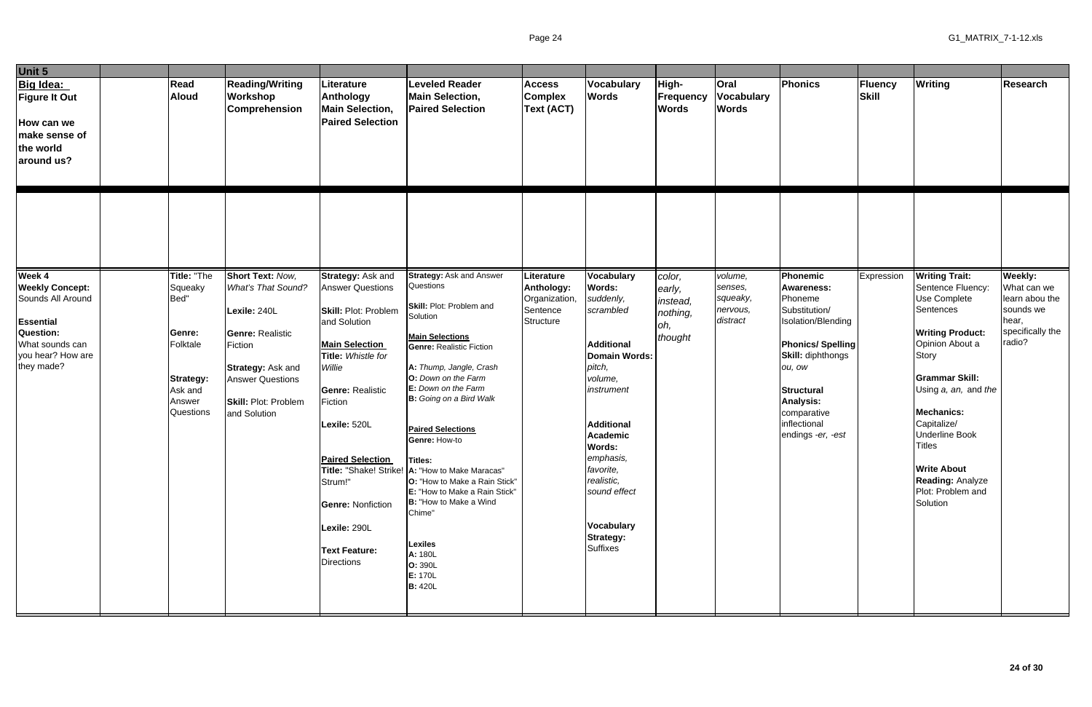| Unit 5                                                                                                                                              |                                                                                                            |                                                                                                                                                                                                    |                                                                                                                                                                                                                                                                                                                                                  |                                                                                                                                                                                                                                                                                                                                                                                                                                                                                                                                               |                                                                    |                                                                                                                                                                                                                                                                                                             |                                                             |                                                        |                                                                                                                                                                                                                                        |                  |                                                                                                                                                                                                                                                                                                                                                 |                                                                                              |
|-----------------------------------------------------------------------------------------------------------------------------------------------------|------------------------------------------------------------------------------------------------------------|----------------------------------------------------------------------------------------------------------------------------------------------------------------------------------------------------|--------------------------------------------------------------------------------------------------------------------------------------------------------------------------------------------------------------------------------------------------------------------------------------------------------------------------------------------------|-----------------------------------------------------------------------------------------------------------------------------------------------------------------------------------------------------------------------------------------------------------------------------------------------------------------------------------------------------------------------------------------------------------------------------------------------------------------------------------------------------------------------------------------------|--------------------------------------------------------------------|-------------------------------------------------------------------------------------------------------------------------------------------------------------------------------------------------------------------------------------------------------------------------------------------------------------|-------------------------------------------------------------|--------------------------------------------------------|----------------------------------------------------------------------------------------------------------------------------------------------------------------------------------------------------------------------------------------|------------------|-------------------------------------------------------------------------------------------------------------------------------------------------------------------------------------------------------------------------------------------------------------------------------------------------------------------------------------------------|----------------------------------------------------------------------------------------------|
| <b>Big Idea:</b><br><b>Figure It Out</b><br>How can we<br>make sense of<br>the world<br>around us?                                                  | Read<br><b>Aloud</b>                                                                                       | <b>Reading/Writing</b><br>Workshop<br><b>Comprehension</b>                                                                                                                                         | Literature<br>Anthology<br><b>Main Selection,</b><br><b>Paired Selection</b>                                                                                                                                                                                                                                                                     | <b>Leveled Reader</b><br><b>Main Selection,</b><br><b>Paired Selection</b>                                                                                                                                                                                                                                                                                                                                                                                                                                                                    | <b>Access</b><br><b>Complex</b><br><b>Text (ACT)</b>               | <b>Vocabulary</b><br><b>Words</b>                                                                                                                                                                                                                                                                           | High-<br>Frequency<br><b>Words</b>                          | Oral<br><b>Vocabulary</b><br><b>Words</b>              | Phonics                                                                                                                                                                                                                                | Fluency<br>Skill | <b>Writing</b>                                                                                                                                                                                                                                                                                                                                  | <b>Research</b>                                                                              |
|                                                                                                                                                     |                                                                                                            |                                                                                                                                                                                                    |                                                                                                                                                                                                                                                                                                                                                  |                                                                                                                                                                                                                                                                                                                                                                                                                                                                                                                                               |                                                                    |                                                                                                                                                                                                                                                                                                             |                                                             |                                                        |                                                                                                                                                                                                                                        |                  |                                                                                                                                                                                                                                                                                                                                                 |                                                                                              |
| Week 4<br><b>Weekly Concept:</b><br>Sounds All Around<br><b>Essential</b><br><b>Question:</b><br>What sounds can<br>you hear? How are<br>they made? | Title: "The<br>Squeaky<br>Bed"<br>Genre:<br>Folktale<br><b>Strategy:</b><br>Ask and<br>Answer<br>Questions | <b>Short Text: Now,</b><br>What's That Sound?<br>Lexile: 240L<br><b>Genre: Realistic</b><br>Fiction<br><b>Strategy: Ask and</b><br><b>Answer Questions</b><br>Skill: Plot: Problem<br>and Solution | <b>Strategy: Ask and</b><br><b>Answer Questions</b><br><b>Skill: Plot: Problem</b><br>and Solution<br><b>Main Selection</b><br>Title: Whistle for<br>Willie<br><b>Genre: Realistic</b><br>Fiction<br>Lexile: 520L<br><b>Paired Selection</b><br>Strum!"<br><b>Genre: Nonfiction</b><br>Lexile: 290L<br><b>Text Feature:</b><br><b>Directions</b> | <b>Strategy: Ask and Answer</b><br>Questions<br>Skill: Plot: Problem and<br>Solution<br><b>Main Selections</b><br><b>Genre: Realistic Fiction</b><br>A: Thump, Jangle, Crash<br>O: Down on the Farm<br>E: Down on the Farm<br>B: Going on a Bird Walk<br><b>Paired Selections</b><br>Genre: How-to<br>Titles:<br>Title: "Shake! Strike!   A: "How to Make Maracas"<br>O: "How to Make a Rain Stick"<br>E: "How to Make a Rain Stick"<br>B: "How to Make a Wind<br>Chime"<br><b>Lexiles</b><br>A: 180L<br>O: 390L<br>E: 170L<br><b>B:</b> 420L | Literature<br>Anthology:<br>Organization,<br>Sentence<br>Structure | <b>Vocabulary</b><br>Words:<br>suddenly,<br>scrambled<br><b>Additional</b><br><b>Domain Words:</b><br>pitch,<br>volume,<br>instrument<br><b>Additional</b><br><b>Academic</b><br>Words:<br>emphasis,<br>favorite,<br>realistic,<br>sound effect<br><b>Vocabulary</b><br><b>Strategy:</b><br><b>Suffixes</b> | color,<br>early,<br>instead,<br>nothing,<br>loh,<br>thought | volume,<br>senses,<br>squeaky,<br>nervous,<br>distract | Phonemic<br><b>Awareness:</b><br>Phoneme<br>Substitution/<br>Isolation/Blending<br><b>Phonics/Spelling</b><br><b>Skill: diphthongs</b><br>ou, ow<br><b>Structural</b><br>Analysis:<br>comparative<br>inflectional<br>endings -er, -est | Expression       | <b>Writing Trait:</b><br>Sentence Fluency:<br>Use Complete<br>Sentences<br><b>Writing Product:</b><br>Opinion About a<br><b>Story</b><br><b>Grammar Skill:</b><br>Using a, an, and the<br><b>Mechanics:</b><br>Capitalize/<br><b>Underline Book</b><br><b>Titles</b><br><b>Write About</b><br>Reading: Analyze<br>Plot: Problem and<br>Solution | Weekly:<br>What can we<br>learn abou the<br>sounds we<br>hear,<br>specifically the<br>radio? |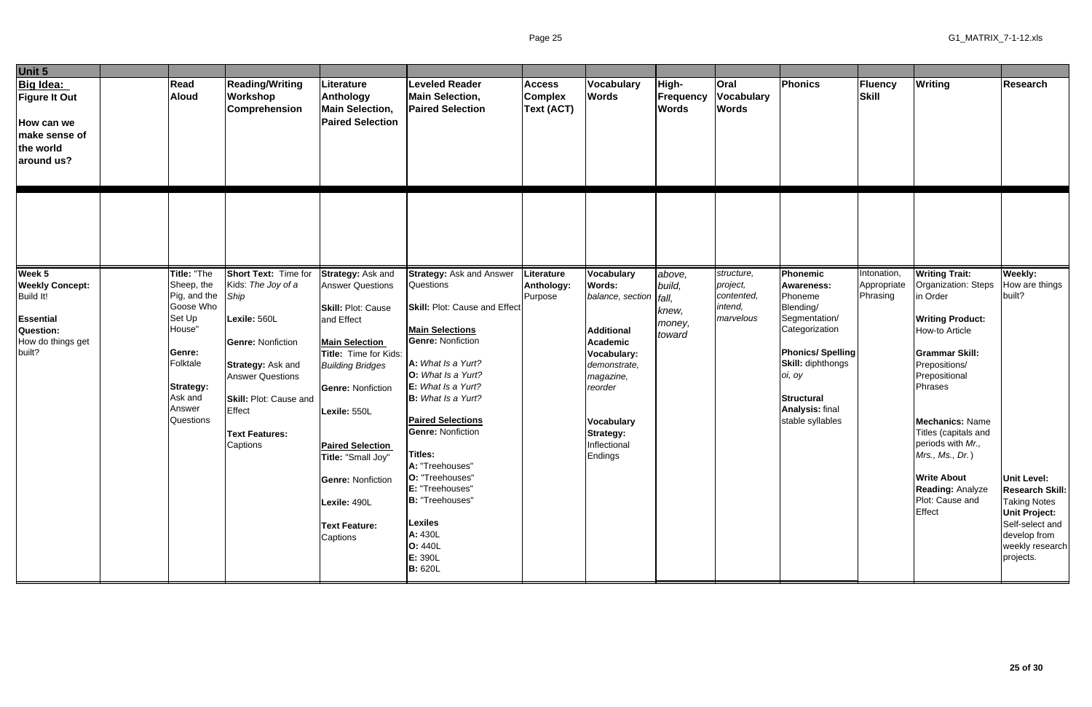| Unit 5                                                                                                        |                                                                                                                                                               |                                                                                                                                                                                                                                       |                                                                                                                                                                                                                                                                                                                                            |                                                                                                                                                                                                                                                                                                                                                                                                                                                                      |                                                      |                                                                                                                                                                                                                     |                                               |                                                              |                                                                                                                                                                                                                              |                                        |                                                                                                                                                                                                                                                                                                                                                     |                                                                                                                                                                                                       |
|---------------------------------------------------------------------------------------------------------------|---------------------------------------------------------------------------------------------------------------------------------------------------------------|---------------------------------------------------------------------------------------------------------------------------------------------------------------------------------------------------------------------------------------|--------------------------------------------------------------------------------------------------------------------------------------------------------------------------------------------------------------------------------------------------------------------------------------------------------------------------------------------|----------------------------------------------------------------------------------------------------------------------------------------------------------------------------------------------------------------------------------------------------------------------------------------------------------------------------------------------------------------------------------------------------------------------------------------------------------------------|------------------------------------------------------|---------------------------------------------------------------------------------------------------------------------------------------------------------------------------------------------------------------------|-----------------------------------------------|--------------------------------------------------------------|------------------------------------------------------------------------------------------------------------------------------------------------------------------------------------------------------------------------------|----------------------------------------|-----------------------------------------------------------------------------------------------------------------------------------------------------------------------------------------------------------------------------------------------------------------------------------------------------------------------------------------------------|-------------------------------------------------------------------------------------------------------------------------------------------------------------------------------------------------------|
| Big Idea:<br><b>Figure It Out</b><br>How can we<br>make sense of<br>the world<br>around us?                   | Read<br>Aloud                                                                                                                                                 | <b>Reading/Writing</b><br>Workshop<br>Comprehension                                                                                                                                                                                   | Literature<br>Anthology<br><b>Main Selection,</b><br><b>Paired Selection</b>                                                                                                                                                                                                                                                               | <b>Leveled Reader</b><br><b>Main Selection,</b><br><b>Paired Selection</b>                                                                                                                                                                                                                                                                                                                                                                                           | <b>Access</b><br><b>Complex</b><br><b>Text (ACT)</b> | Vocabulary<br><b>Words</b>                                                                                                                                                                                          | High-<br><b>Frequency</b><br><b>Words</b>     | <b>Oral</b><br><b>Vocabulary</b><br><b>Words</b>             | Phonics                                                                                                                                                                                                                      | Fluency<br><b>Skill</b>                | Writing                                                                                                                                                                                                                                                                                                                                             | <b>Research</b>                                                                                                                                                                                       |
|                                                                                                               |                                                                                                                                                               |                                                                                                                                                                                                                                       |                                                                                                                                                                                                                                                                                                                                            |                                                                                                                                                                                                                                                                                                                                                                                                                                                                      |                                                      |                                                                                                                                                                                                                     |                                               |                                                              |                                                                                                                                                                                                                              |                                        |                                                                                                                                                                                                                                                                                                                                                     |                                                                                                                                                                                                       |
| Week 5<br><b>Weekly Concept:</b><br>Build It!<br><b>Essential</b><br>Question:<br>How do things get<br>built? | Title: "The<br>Sheep, the<br>Pig, and the<br>Goose Who<br>Set Up<br>House"<br>Genre:<br>Folktale<br><b>Strategy:</b><br>Ask and<br>Answer<br><b>Questions</b> | Short Text: Time for<br>Kids: The Joy of a<br>Ship<br>Lexile: 560L<br><b>Genre: Nonfiction</b><br><b>Strategy: Ask and</b><br><b>Answer Questions</b><br><b>Skill: Plot: Cause and</b><br>Effect<br><b>Text Features:</b><br>Captions | Strategy: Ask and<br><b>Answer Questions</b><br>Skill: Plot: Cause<br>and Effect<br><b>Main Selection</b><br>Title: Time for Kids:<br><b>Building Bridges</b><br><b>Genre: Nonfiction</b><br>Lexile: 550L<br><b>Paired Selection</b><br>Title: "Small Joy"<br><b>Genre: Nonfiction</b><br>Lexile: 490L<br><b>Text Feature:</b><br>Captions | <b>Strategy: Ask and Answer</b><br>Questions<br><b>Skill: Plot: Cause and Effect</b><br><b>Main Selections</b><br><b>Genre: Nonfiction</b><br>A: What Is a Yurt?<br>O: What Is a Yurt?<br>E: What Is a Yurt?<br>B: What Is a Yurt?<br><b>Paired Selections</b><br><b>Genre: Nonfiction</b><br><b>Titles:</b><br>A: "Treehouses"<br>O: "Treehouses"<br>E: "Treehouses"<br><b>B:</b> "Treehouses"<br><b>Lexiles</b><br>A: 430L<br>O: 440L<br>E: 390L<br><b>B: 620L</b> | Literature<br>Anthology:<br>Purpose                  | Vocabulary<br><b>Words:</b><br>balance, section   fall,<br><b>Additional</b><br><b>Academic</b><br>Vocabulary:<br>demonstrate,<br>magazine,<br>reorder<br>Vocabulary<br><b>Strategy:</b><br>Inflectional<br>Endings | above,<br>build,<br>knew,<br>money,<br>toward | structure,<br>project,<br>contented,<br>intend,<br>marvelous | Phonemic<br><b>Awareness:</b><br>Phoneme<br>Blending/<br>Segmentation/<br>Categorization<br><b>Phonics/Spelling</b><br><b>Skill: diphthongs</b><br>oi, oy<br><b>Structural</b><br><b>Analysis: final</b><br>stable syllables | Intonation,<br>Appropriate<br>Phrasing | <b>Writing Trait:</b><br>Organization: Steps<br>in Order<br><b>Writing Product:</b><br>How-to Article<br><b>Grammar Skill:</b><br>Prepositions/<br>Prepositional<br>Phrases<br><b>Mechanics: Name</b><br>Titles (capitals and<br>periods with Mr.,<br>Mrs., Ms., Dr.)<br><b>Write About</b><br><b>Reading: Analyze</b><br>Plot: Cause and<br>Effect | Weekly:<br>How are things<br>built?<br><b>Unit Level:</b><br><b>Research Skill:</b><br><b>Taking Notes</b><br><b>Unit Project:</b><br>Self-select and<br>develop from<br>weekly research<br>projects. |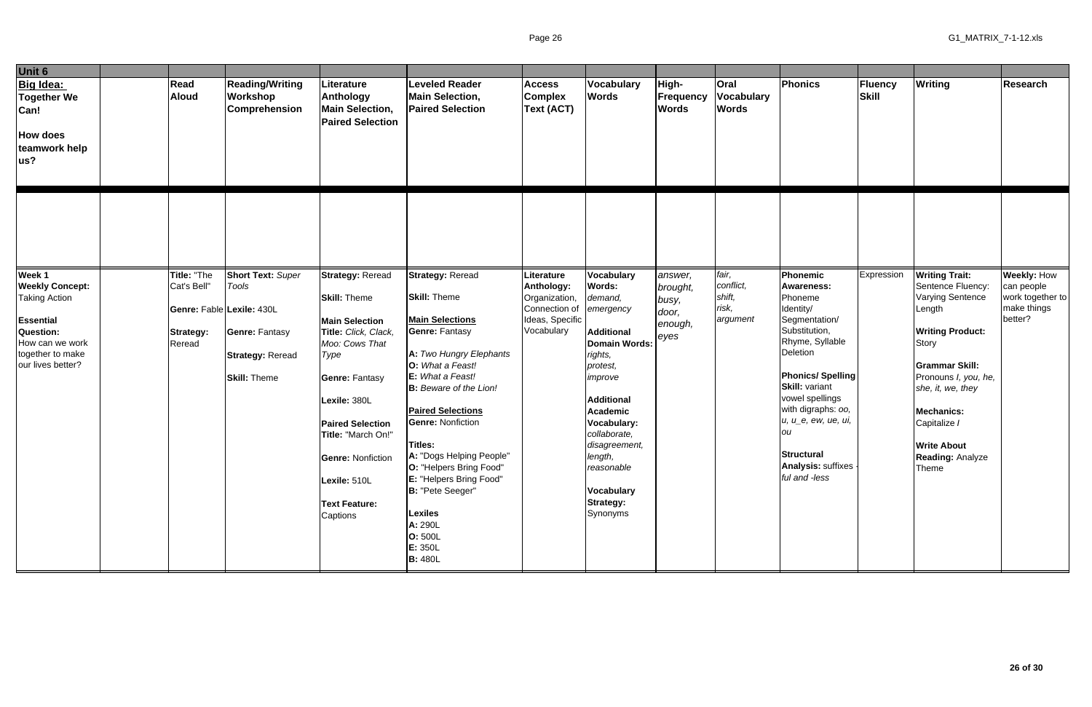| Unit 6                                                                       |                                          |                                                                         |                                                                                                                                                                                                                          |                                                                                                                                                                                                                                                                                                                                                                  |                                                                 |                                                                                                                                                                                                                              |                                    |                                           |                                                                                                                                                                                                                                           |                         |                                                                                                                                                                                                       |                                                          |
|------------------------------------------------------------------------------|------------------------------------------|-------------------------------------------------------------------------|--------------------------------------------------------------------------------------------------------------------------------------------------------------------------------------------------------------------------|------------------------------------------------------------------------------------------------------------------------------------------------------------------------------------------------------------------------------------------------------------------------------------------------------------------------------------------------------------------|-----------------------------------------------------------------|------------------------------------------------------------------------------------------------------------------------------------------------------------------------------------------------------------------------------|------------------------------------|-------------------------------------------|-------------------------------------------------------------------------------------------------------------------------------------------------------------------------------------------------------------------------------------------|-------------------------|-------------------------------------------------------------------------------------------------------------------------------------------------------------------------------------------------------|----------------------------------------------------------|
| Big Idea:<br>Together We<br>Can!<br><b>How does</b><br>teamwork help<br>lus? | Read<br><b>Aloud</b>                     | <b>Reading/Writing</b><br>Workshop<br><b>Comprehension</b>              | Literature<br><b>Anthology</b><br><b>Main Selection,</b><br><b>Paired Selection</b>                                                                                                                                      | <b>Leveled Reader</b><br><b>Main Selection,</b><br><b>Paired Selection</b>                                                                                                                                                                                                                                                                                       | <b>Access</b><br><b>Complex</b><br>Text (ACT)                   | Vocabulary<br><b>Words</b>                                                                                                                                                                                                   | High-<br>Frequency<br><b>Words</b> | Oral<br><b>Vocabulary</b><br><b>Words</b> | Phonics                                                                                                                                                                                                                                   | <b>Fluency</b><br>Skill | Writing                                                                                                                                                                                               | Research                                                 |
| Week 1                                                                       | Title: "The                              | <b>Short Text: Super</b>                                                | <b>Strategy: Reread</b>                                                                                                                                                                                                  | <b>Strategy: Reread</b>                                                                                                                                                                                                                                                                                                                                          | Literature                                                      | Vocabulary                                                                                                                                                                                                                   | answer,                            | fair,                                     | Phonemic                                                                                                                                                                                                                                  | Expression              | <b>Writing Trait:</b>                                                                                                                                                                                 | <b>Weekly: How</b>                                       |
| <b>Weekly Concept:</b><br><b>Taking Action</b><br>Essential                  | Cat's Bell"<br>Genre: Fable Lexile: 430L | Tools                                                                   | <b>Skill: Theme</b><br><b>Main Selection</b>                                                                                                                                                                             | <b>Skill: Theme</b><br><b>Main Selections</b>                                                                                                                                                                                                                                                                                                                    | Anthology:<br>Organization,<br>Connection of<br>Ideas, Specific | <b>Words:</b><br>demand,<br>emergency                                                                                                                                                                                        | brought,<br>busy,<br>door,         | conflict,<br>shift,<br>risk,<br>argument  | <b>Awareness:</b><br>Phoneme<br>Identity/<br>Segmentation/                                                                                                                                                                                |                         | Sentence Fluency:<br><b>Varying Sentence</b><br>Length                                                                                                                                                | can people<br>work together to<br>make things<br>better? |
| Question:<br>How can we work<br>together to make<br>our lives better?        | <b>Strategy:</b><br>Reread               | <b>Genre: Fantasy</b><br><b>Strategy: Reread</b><br><b>Skill: Theme</b> | Title: Click, Clack,<br>Moo: Cows That<br>Type<br><b>Genre: Fantasy</b><br>Lexile: 380L<br><b>Paired Selection</b><br>Title: "March On!"<br><b>Genre: Nonfiction</b><br>Lexile: 510L<br><b>Text Feature:</b><br>Captions | <b>Genre: Fantasy</b><br>A: Two Hungry Elephants<br>O: What a Feast!<br>E: What a Feast!<br><b>B:</b> Beware of the Lion!<br><b>Paired Selections</b><br><b>Genre: Nonfiction</b><br>Titles:<br>A: "Dogs Helping People"<br>O: "Helpers Bring Food"<br>E: "Helpers Bring Food"<br>B: "Pete Seeger"<br>Lexiles<br>A: 290L<br>O: 500L<br>E: 350L<br><b>B: 480L</b> | Vocabulary                                                      | <b>Additional</b><br>Domain Words:<br>rights,<br>protest,<br>improve<br><b>Additional</b><br>Academic<br>Vocabulary:<br>collaborate,<br>disagreement,<br>length,<br>reasonable<br>Vocabulary<br><b>Strategy:</b><br>Synonyms | enough,<br>eyes                    |                                           | Substitution,<br>Rhyme, Syllable<br>Deletion<br><b>Phonics/Spelling</b><br><b>Skill: variant</b><br>vowel spellings<br>with digraphs: oo,<br>u, u_e, ew, ue, ui,<br>ou<br><b>Structural</b><br><b>Analysis:</b> suffixes<br>ful and -less |                         | <b>Writing Product:</b><br>Story<br><b>Grammar Skill:</b><br>Pronouns I, you, he,<br>she, it, we, they<br><b>Mechanics:</b><br>Capitalize /<br><b>Write About</b><br><b>Reading: Analyze</b><br>Theme |                                                          |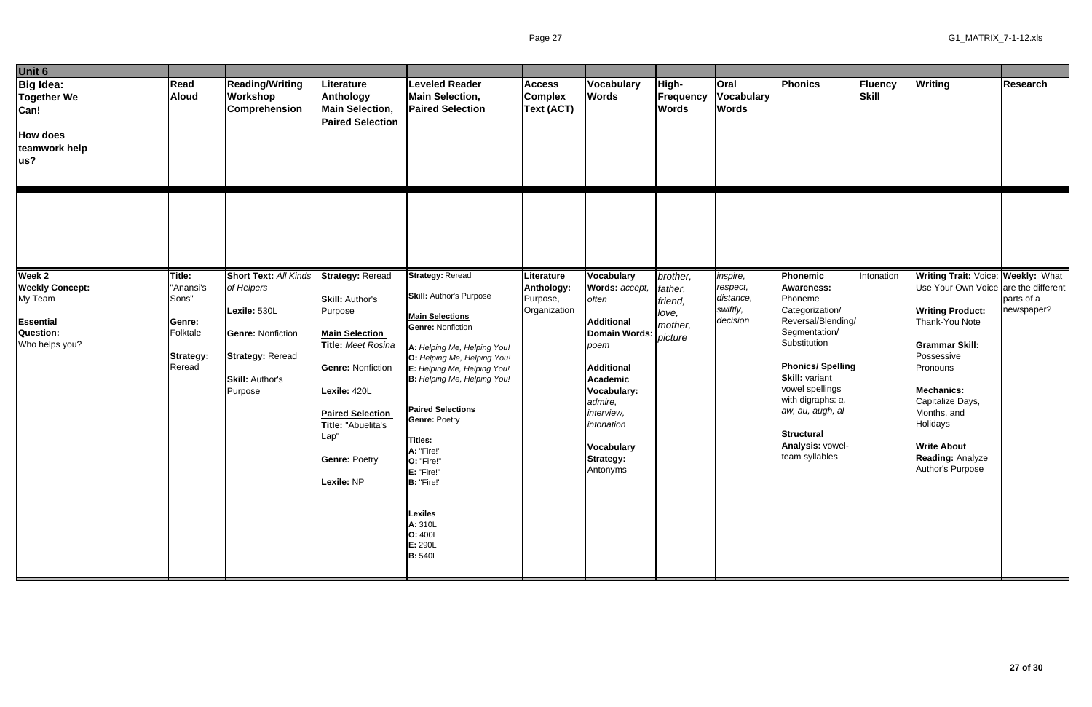| Unit 6                                                                      |                                           |                                                                                                          |                                                                                                                                                                                                   |                                                                                                                                                                                                                                                                                                                                                                                   |                                               |                                                                                                                                                                                                      |                                           |                                                  |                                                                                                                                                                                                                                                   |                         |                                                                                                                                                                                                                                       |                 |
|-----------------------------------------------------------------------------|-------------------------------------------|----------------------------------------------------------------------------------------------------------|---------------------------------------------------------------------------------------------------------------------------------------------------------------------------------------------------|-----------------------------------------------------------------------------------------------------------------------------------------------------------------------------------------------------------------------------------------------------------------------------------------------------------------------------------------------------------------------------------|-----------------------------------------------|------------------------------------------------------------------------------------------------------------------------------------------------------------------------------------------------------|-------------------------------------------|--------------------------------------------------|---------------------------------------------------------------------------------------------------------------------------------------------------------------------------------------------------------------------------------------------------|-------------------------|---------------------------------------------------------------------------------------------------------------------------------------------------------------------------------------------------------------------------------------|-----------------|
| Big Idea:<br><b>Together We</b><br>Can!<br>How does<br>teamwork help<br>us? | <b>Read</b><br><b>Aloud</b>               | <b>Reading/Writing</b><br>Workshop<br><b>Comprehension</b>                                               | Literature<br>Anthology<br><b>Main Selection,</b><br><b>Paired Selection</b>                                                                                                                      | <b>Leveled Reader</b><br><b>Main Selection,</b><br><b>Paired Selection</b>                                                                                                                                                                                                                                                                                                        | <b>Access</b><br><b>Complex</b><br>Text (ACT) | Vocabulary<br><b>Words</b>                                                                                                                                                                           | High-<br><b>Frequency</b><br><b>Words</b> | <b>Oral</b><br><b>Vocabulary</b><br><b>Words</b> | Phonics                                                                                                                                                                                                                                           | Fluency<br><b>Skill</b> | <b>Writing</b>                                                                                                                                                                                                                        | <b>Research</b> |
| Week 2<br><b>Weekly Concept:</b><br>My Team                                 | Title:<br>"Anansi's<br>Sons"              | <b>Short Text: All Kinds</b><br>of Helpers                                                               | <b>Strategy: Reread</b><br><b>Skill: Author's</b>                                                                                                                                                 | <b>Strategy: Reread</b><br><b>Skill: Author's Purpose</b>                                                                                                                                                                                                                                                                                                                         | Literature<br>Anthology:<br>Purpose,          | Vocabulary<br>Words: accept,<br>often                                                                                                                                                                | brother,<br>father,<br>friend,            | inspire,<br>respect,<br>distance,                | <b>Phonemic</b><br><b>Awareness:</b><br>Phoneme                                                                                                                                                                                                   | Intonation              | <b>Writing Trait: Voice: Weekly: What</b><br>Use Your Own Voice are the different                                                                                                                                                     | parts of a      |
| Essential<br>Question:<br>Who helps you?                                    | Genre:<br>Folktale<br>Strategy:<br>Reread | Lexile: 530L<br><b>Genre: Nonfiction</b><br><b>Strategy: Reread</b><br><b>Skill: Author's</b><br>Purpose | Purpose<br><b>Main Selection</b><br>Title: Meet Rosina<br><b>Genre: Nonfiction</b><br>Lexile: 420L<br><b>Paired Selection</b><br>Title: "Abuelita's<br>Lap"<br><b>Genre: Poetry</b><br>Lexile: NP | <b>Main Selections</b><br><b>Genre: Nonfiction</b><br>A: Helping Me, Helping You!<br>O: Helping Me, Helping You!<br>E: Helping Me, Helping You!<br>B: Helping Me, Helping You!<br><b>Paired Selections</b><br><b>Genre: Poetry</b><br><b>Titles:</b><br>A: "Fire!"<br>O: "Fire!"<br>E: "Fire!"<br>B: "Fire!"<br><b>Lexiles</b><br>A: 310L<br>O: 400L<br>E: 290L<br><b>B:</b> 540L | Organization                                  | <b>Additional</b><br><b>Domain Words:</b><br>poem<br><b>Additional</b><br><b>Academic</b><br>Vocabulary:<br>admire,<br>interview,<br>intonation<br><b>Vocabulary</b><br><b>Strategy:</b><br>Antonyms | love,<br>mother,<br>picture               | swiftly,<br>decision                             | Categorization/<br>Reversal/Blending/<br>Segmentation/<br>Substitution<br><b>Phonics/Spelling</b><br><b>Skill: variant</b><br>vowel spellings<br>with digraphs: a,<br>aw, au, augh, al<br><b>Structural</b><br>Analysis: vowel-<br>team syllables |                         | <b>Writing Product:</b><br>Thank-You Note<br><b>Grammar Skill:</b><br>Possessive<br>Pronouns<br><b>Mechanics:</b><br>Capitalize Days,<br>Months, and<br>Holidays<br><b>Write About</b><br><b>Reading: Analyze</b><br>Author's Purpose | newspaper?      |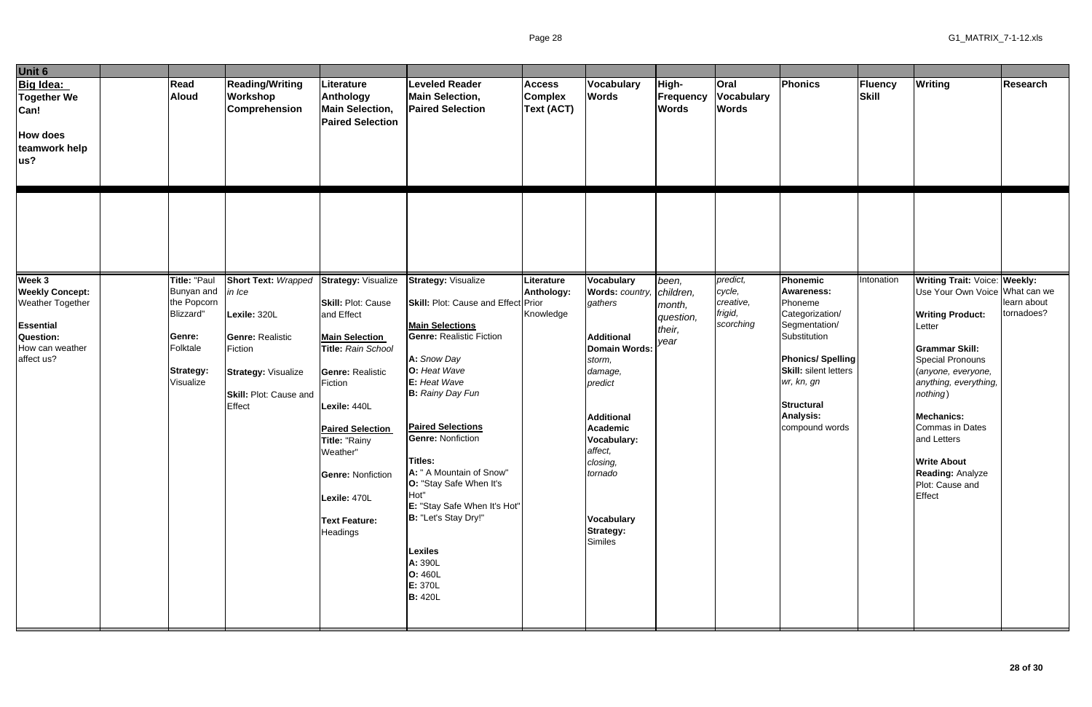| Unit 6                                                                                                                        |                                                                                                               |                                                                                                                                                              |                                                                                                                                                                                                                                                                                                             |                                                                                                                                                                                                                                                                                                                                                                                                                                                                                |                                                      |                                                                                                                                                                                                                                        |                                                             |                                                         |                                                                                                                                                                                                                                  |                         |                                                                                                                                                                                                                                                                                                                                                                 |                           |
|-------------------------------------------------------------------------------------------------------------------------------|---------------------------------------------------------------------------------------------------------------|--------------------------------------------------------------------------------------------------------------------------------------------------------------|-------------------------------------------------------------------------------------------------------------------------------------------------------------------------------------------------------------------------------------------------------------------------------------------------------------|--------------------------------------------------------------------------------------------------------------------------------------------------------------------------------------------------------------------------------------------------------------------------------------------------------------------------------------------------------------------------------------------------------------------------------------------------------------------------------|------------------------------------------------------|----------------------------------------------------------------------------------------------------------------------------------------------------------------------------------------------------------------------------------------|-------------------------------------------------------------|---------------------------------------------------------|----------------------------------------------------------------------------------------------------------------------------------------------------------------------------------------------------------------------------------|-------------------------|-----------------------------------------------------------------------------------------------------------------------------------------------------------------------------------------------------------------------------------------------------------------------------------------------------------------------------------------------------------------|---------------------------|
| Big Idea:<br>Together We<br>Can!<br><b>How does</b><br>teamwork help<br>lus?                                                  | Read<br><b>Aloud</b>                                                                                          | <b>Reading/Writing</b><br>Workshop<br>Comprehension                                                                                                          | Literature<br>Anthology<br><b>Main Selection,</b><br><b>Paired Selection</b>                                                                                                                                                                                                                                | <b>Leveled Reader</b><br><b>Main Selection,</b><br><b>Paired Selection</b>                                                                                                                                                                                                                                                                                                                                                                                                     | <b>Access</b><br><b>Complex</b><br><b>Text (ACT)</b> | Vocabulary<br><b>Words</b>                                                                                                                                                                                                             | High-<br>Frequency<br><b>Words</b>                          | Oral<br><b>Vocabulary</b><br><b>Words</b>               | Phonics                                                                                                                                                                                                                          | Fluency<br><b>Skill</b> | Writing                                                                                                                                                                                                                                                                                                                                                         | Research                  |
|                                                                                                                               |                                                                                                               |                                                                                                                                                              |                                                                                                                                                                                                                                                                                                             |                                                                                                                                                                                                                                                                                                                                                                                                                                                                                |                                                      |                                                                                                                                                                                                                                        |                                                             |                                                         |                                                                                                                                                                                                                                  |                         |                                                                                                                                                                                                                                                                                                                                                                 |                           |
| Week 3<br><b>Weekly Concept:</b><br><b>Weather Together</b><br><b>Essential</b><br>Question:<br>How can weather<br>affect us? | Title: "Paul<br>Bunyan and<br>the Popcorn<br>Blizzard"<br>Genre:<br>Folktale<br><b>Strategy:</b><br>Visualize | <b>Short Text: Wrapped</b><br>in Ice<br>Lexile: 320L<br><b>Genre: Realistic</b><br>Fiction<br><b>Strategy: Visualize</b><br>Skill: Plot: Cause and<br>Effect | <b>Strategy: Visualize</b><br>Skill: Plot: Cause<br>and Effect<br><b>Main Selection</b><br>Title: Rain School<br><b>Genre: Realistic</b><br>Fiction<br>Lexile: 440L<br><b>Paired Selection</b><br>Title: "Rainy<br>Weather"<br><b>Genre: Nonfiction</b><br>Lexile: 470L<br><b>Text Feature:</b><br>Headings | <b>Strategy: Visualize</b><br><b>Skill: Plot: Cause and Effect Prior</b><br><b>Main Selections</b><br><b>Genre: Realistic Fiction</b><br>A: Snow Day<br>O: Heat Wave<br>E: Heat Wave<br><b>B:</b> Rainy Day Fun<br><b>Paired Selections</b><br><b>Genre: Nonfiction</b><br>Titles:<br>A: " A Mountain of Snow"<br>O: "Stay Safe When It's<br>Hot"<br>E: "Stay Safe When It's Hot"<br>B: "Let's Stay Dry!"<br><b>Lexiles</b><br>A: 390L<br>O: 460L<br>E: 370L<br><b>B: 420L</b> | Literature<br>Anthology:<br>Knowledge                | Vocabulary<br>Words: country,<br>gathers<br><b>Additional</b><br>Domain Words:<br>storm,<br>damage,<br>predict<br>Additional<br>Academic<br><b>Vocabulary:</b><br>affect,<br>closing,<br>tornado<br>Vocabulary<br>Strategy:<br>Similes | been,<br>children,<br>month,<br>question,<br>their,<br>year | predict,<br>cycle,<br>creative,<br>frigid,<br>scorching | Phonemic<br><b>Awareness:</b><br>Phoneme<br>Categorization/<br>Segmentation/<br>Substitution<br><b>Phonics/Spelling</b><br><b>Skill:</b> silent letters<br>wr, kn, gn<br><b>Structural</b><br><b>Analysis:</b><br>compound words | Intonation              | <b>Writing Trait: Voice: Weekly:</b><br>Use Your Own Voice What can we<br><b>Writing Product:</b><br>Letter<br><b>Grammar Skill:</b><br>Special Pronouns<br>(anyone, everyone,<br>anything, everything,<br>nothing)<br><b>Mechanics:</b><br><b>Commas in Dates</b><br>and Letters<br><b>Write About</b><br><b>Reading: Analyze</b><br>Plot: Cause and<br>Effect | learn about<br>tornadoes? |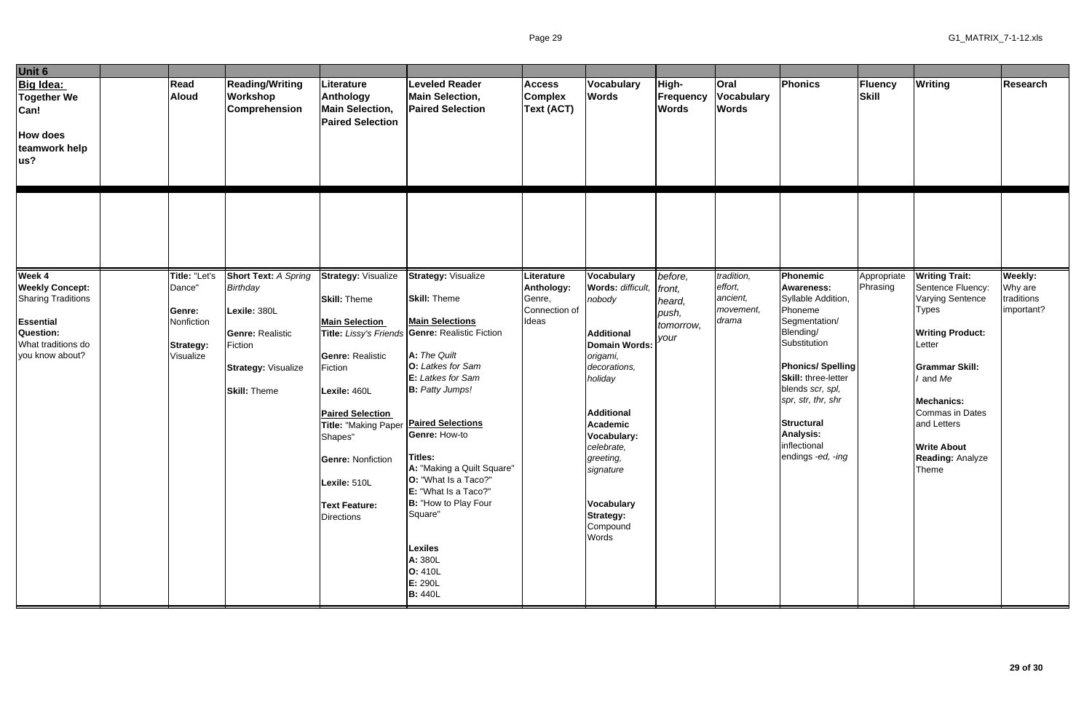| Unit 6                                                                                                                                  |                                                                                  |                                                                                                                                                           |                                                                                                                                                                                                                                                                                                                  |                                                                                                                                                                                                                                                                                                                                                                                                                               |                                                              |                                                                                                                                                                                                                                                                                                          |                                                           |                                                         |                                                                                                                                                                                                                                                                                               |                         |                                                                                                                                                                                                                                                                                  |                                                |
|-----------------------------------------------------------------------------------------------------------------------------------------|----------------------------------------------------------------------------------|-----------------------------------------------------------------------------------------------------------------------------------------------------------|------------------------------------------------------------------------------------------------------------------------------------------------------------------------------------------------------------------------------------------------------------------------------------------------------------------|-------------------------------------------------------------------------------------------------------------------------------------------------------------------------------------------------------------------------------------------------------------------------------------------------------------------------------------------------------------------------------------------------------------------------------|--------------------------------------------------------------|----------------------------------------------------------------------------------------------------------------------------------------------------------------------------------------------------------------------------------------------------------------------------------------------------------|-----------------------------------------------------------|---------------------------------------------------------|-----------------------------------------------------------------------------------------------------------------------------------------------------------------------------------------------------------------------------------------------------------------------------------------------|-------------------------|----------------------------------------------------------------------------------------------------------------------------------------------------------------------------------------------------------------------------------------------------------------------------------|------------------------------------------------|
| <b>Big Idea:</b><br><b>Together We</b><br>Can!<br><b>How does</b><br>teamwork help<br>us?                                               | Read<br><b>Aloud</b>                                                             | <b>Reading/Writing</b><br><b>Workshop</b><br><b>Comprehension</b>                                                                                         | Literature<br>Anthology<br><b>Main Selection,</b><br><b>Paired Selection</b>                                                                                                                                                                                                                                     | <b>Leveled Reader</b><br><b>Main Selection,</b><br><b>Paired Selection</b>                                                                                                                                                                                                                                                                                                                                                    | <b>Access</b><br><b>Complex</b><br><b>Text (ACT)</b>         | Vocabulary<br><b>Words</b>                                                                                                                                                                                                                                                                               | High-<br>Frequency<br><b>Words</b>                        | <b>Oral</b><br><b>Vocabulary</b><br><b>Words</b>        | Phonics                                                                                                                                                                                                                                                                                       | Fluency<br>Skill        | <b>Writing</b>                                                                                                                                                                                                                                                                   | <b>Research</b>                                |
|                                                                                                                                         |                                                                                  |                                                                                                                                                           |                                                                                                                                                                                                                                                                                                                  |                                                                                                                                                                                                                                                                                                                                                                                                                               |                                                              |                                                                                                                                                                                                                                                                                                          |                                                           |                                                         |                                                                                                                                                                                                                                                                                               |                         |                                                                                                                                                                                                                                                                                  |                                                |
| Week 4<br><b>Weekly Concept:</b><br><b>Sharing Traditions</b><br><b>Essential</b><br>Question:<br>What traditions do<br>you know about? | Title: "Let's<br>Dance"<br>Genre:<br>Nonfiction<br><b>Strategy:</b><br>Visualize | <b>Short Text: A Spring</b><br><b>Birthday</b><br>Lexile: 380L<br><b>Genre: Realistic</b><br>Fiction<br><b>Strategy: Visualize</b><br><b>Skill: Theme</b> | <b>Strategy: Visualize</b><br><b>Skill: Theme</b><br><b>Main Selection</b><br><b>Genre: Realistic</b><br>Fiction<br>Lexile: 460L<br><b>Paired Selection</b><br>Title: "Making Paper <i>Paired Selections</i><br>Shapes"<br><b>Genre: Nonfiction</b><br>Lexile: 510L<br><b>Text Feature:</b><br><b>Directions</b> | <b>Strategy: Visualize</b><br><b>Skill: Theme</b><br><b>Main Selections</b><br>Title: Lissy's Friends Genre: Realistic Fiction<br>A: The Quilt<br>O: Latkes for Sam<br>E: Latkes for Sam<br><b>B:</b> Patty Jumps!<br>Genre: How-to<br>Titles:<br>A: "Making a Quilt Square"<br>O: "What Is a Taco?"<br>E: "What Is a Taco?"<br>B: "How to Play Four<br>Square"<br>Lexiles<br>A: 380L<br>O: 410L<br>E: 290L<br><b>B:</b> 440L | Literature<br>Anthology:<br>Genre,<br>Connection of<br>Ideas | <b>Vocabulary</b><br>Words: difficult,<br>nobody<br><b>Additional</b><br><b>Domain Words:</b><br>origami,<br>decorations,<br>holiday<br><b>Additional</b><br><b>Academic</b><br><b>Vocabulary:</b><br>celebrate,<br>greeting,<br>signature<br><b>Vocabulary</b><br><b>Strategy:</b><br>Compound<br>Words | before,<br>front,<br>heard,<br>push,<br>tomorrow,<br>your | tradition,<br>effort,<br>ancient,<br>movement,<br>drama | Phonemic<br><b>Awareness:</b><br>Syllable Addition,<br>Phoneme<br>Segmentation/<br>Blending/<br>Substitution<br><b>Phonics/Spelling</b><br><b>Skill: three-letter</b><br>blends scr, spl,<br>spr, str, thr, shr<br><b>Structural</b><br><b>Analysis:</b><br>inflectional<br>endings -ed, -ing | Appropriate<br>Phrasing | <b>Writing Trait:</b><br>Sentence Fluency:<br><b>Varying Sentence</b><br><b>Types</b><br><b>Writing Product:</b><br>Letter<br><b>Grammar Skill:</b><br>I and Me<br><b>Mechanics:</b><br>Commas in Dates<br>and Letters<br><b>Write About</b><br><b>Reading: Analyze</b><br>Theme | Weekly:<br>Why are<br>traditions<br>important? |